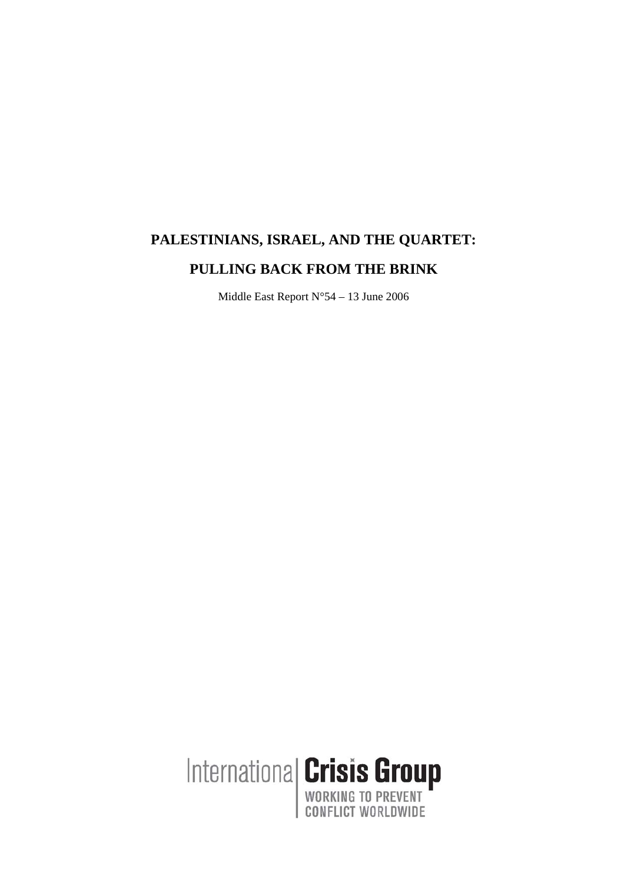# **PALESTINIANS, ISRAEL, AND THE QUARTET: PULLING BACK FROM THE BRINK**

Middle East Report N°54 – 13 June 2006

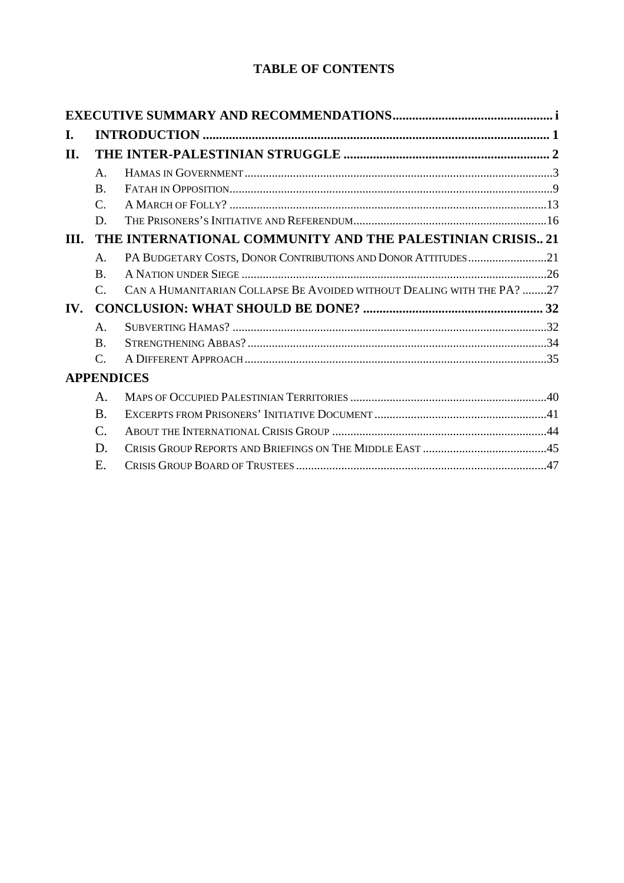# **TABLE OF CONTENTS**

| I.                    |                                                           |                                                                        |  |  |
|-----------------------|-----------------------------------------------------------|------------------------------------------------------------------------|--|--|
| Н.                    |                                                           |                                                                        |  |  |
|                       | $\mathsf{A}$ .                                            |                                                                        |  |  |
|                       | $\mathbf{B}$                                              |                                                                        |  |  |
|                       | $\mathsf{C}$ .                                            |                                                                        |  |  |
|                       | D.                                                        |                                                                        |  |  |
| III.                  | THE INTERNATIONAL COMMUNITY AND THE PALESTINIAN CRISIS 21 |                                                                        |  |  |
|                       | $\mathsf{A}$ .                                            | PA BUDGETARY COSTS, DONOR CONTRIBUTIONS AND DONOR ATTITUDES21          |  |  |
|                       | $\mathbf{B}$                                              |                                                                        |  |  |
|                       | $\mathcal{C}$ .                                           | CAN A HUMANITARIAN COLLAPSE BE AVOIDED WITHOUT DEALING WITH THE PA? 27 |  |  |
| $\mathbf{IV}_{\cdot}$ |                                                           |                                                                        |  |  |
|                       | $\mathsf{A}$ .                                            |                                                                        |  |  |
|                       | $\mathbf{B}$ .                                            |                                                                        |  |  |
|                       | $\mathcal{C}$ .                                           |                                                                        |  |  |
| <b>APPENDICES</b>     |                                                           |                                                                        |  |  |
|                       | A.                                                        |                                                                        |  |  |
|                       | $\bf{B}$                                                  |                                                                        |  |  |
|                       | $\mathcal{C}$ .                                           |                                                                        |  |  |
|                       | D.                                                        |                                                                        |  |  |
|                       | Ε.                                                        |                                                                        |  |  |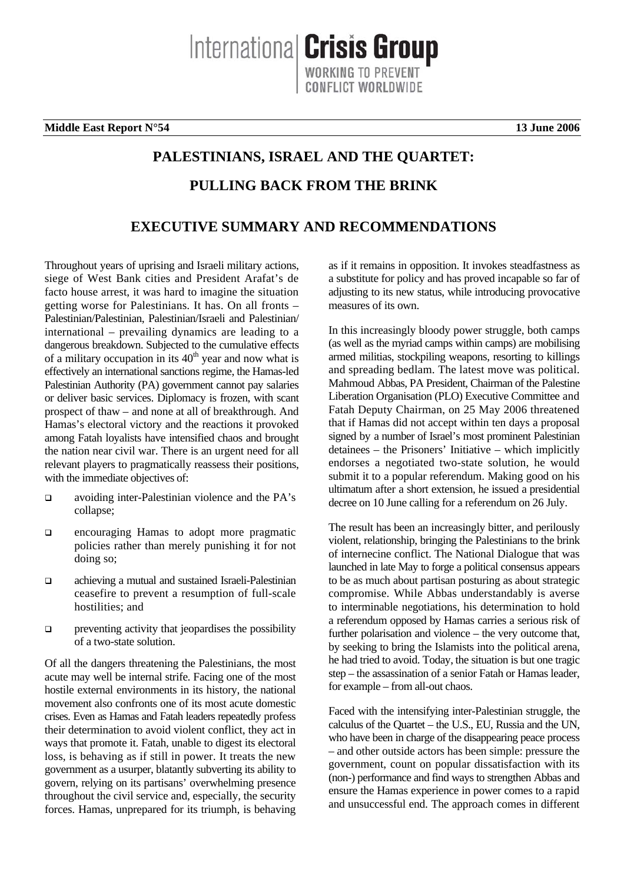**Middle East Report N°54 13 June 2006**

# **PALESTINIANS, ISRAEL AND THE QUARTET: PULLING BACK FROM THE BRINK**

Internationa **Crisis Group** 

**ONFLICT WORLDWIDE** 

# **EXECUTIVE SUMMARY AND RECOMMENDATIONS**

Throughout years of uprising and Israeli military actions, siege of West Bank cities and President Arafat's de facto house arrest, it was hard to imagine the situation getting worse for Palestinians. It has. On all fronts – Palestinian/Palestinian, Palestinian/Israeli and Palestinian/ international – prevailing dynamics are leading to a dangerous breakdown. Subjected to the cumulative effects of a military occupation in its  $40<sup>th</sup>$  year and now what is effectively an international sanctions regime, the Hamas-led Palestinian Authority (PA) government cannot pay salaries or deliver basic services. Diplomacy is frozen, with scant prospect of thaw – and none at all of breakthrough. And Hamas's electoral victory and the reactions it provoked among Fatah loyalists have intensified chaos and brought the nation near civil war. There is an urgent need for all relevant players to pragmatically reassess their positions, with the immediate objectives of:

- avoiding inter-Palestinian violence and the PA's collapse;
- encouraging Hamas to adopt more pragmatic policies rather than merely punishing it for not doing so;
- achieving a mutual and sustained Israeli-Palestinian ceasefire to prevent a resumption of full-scale hostilities; and
- $\Box$  preventing activity that jeopardises the possibility of a two-state solution.

Of all the dangers threatening the Palestinians, the most acute may well be internal strife. Facing one of the most hostile external environments in its history, the national movement also confronts one of its most acute domestic crises. Even as Hamas and Fatah leaders repeatedly profess their determination to avoid violent conflict, they act in ways that promote it. Fatah, unable to digest its electoral loss, is behaving as if still in power. It treats the new government as a usurper, blatantly subverting its ability to govern, relying on its partisans' overwhelming presence throughout the civil service and, especially, the security forces. Hamas, unprepared for its triumph, is behaving

as if it remains in opposition. It invokes steadfastness as a substitute for policy and has proved incapable so far of adjusting to its new status, while introducing provocative measures of its own.

In this increasingly bloody power struggle, both camps (as well as the myriad camps within camps) are mobilising armed militias, stockpiling weapons, resorting to killings and spreading bedlam. The latest move was political. Mahmoud Abbas, PA President, Chairman of the Palestine Liberation Organisation (PLO) Executive Committee and Fatah Deputy Chairman, on 25 May 2006 threatened that if Hamas did not accept within ten days a proposal signed by a number of Israel's most prominent Palestinian detainees – the Prisoners' Initiative – which implicitly endorses a negotiated two-state solution, he would submit it to a popular referendum. Making good on his ultimatum after a short extension, he issued a presidential decree on 10 June calling for a referendum on 26 July.

The result has been an increasingly bitter, and perilously violent, relationship, bringing the Palestinians to the brink of internecine conflict. The National Dialogue that was launched in late May to forge a political consensus appears to be as much about partisan posturing as about strategic compromise. While Abbas understandably is averse to interminable negotiations, his determination to hold a referendum opposed by Hamas carries a serious risk of further polarisation and violence – the very outcome that, by seeking to bring the Islamists into the political arena, he had tried to avoid. Today, the situation is but one tragic step – the assassination of a senior Fatah or Hamas leader, for example – from all-out chaos.

Faced with the intensifying inter-Palestinian struggle, the calculus of the Quartet – the U.S., EU, Russia and the UN, who have been in charge of the disappearing peace process – and other outside actors has been simple: pressure the government, count on popular dissatisfaction with its (non-) performance and find ways to strengthen Abbas and ensure the Hamas experience in power comes to a rapid and unsuccessful end. The approach comes in different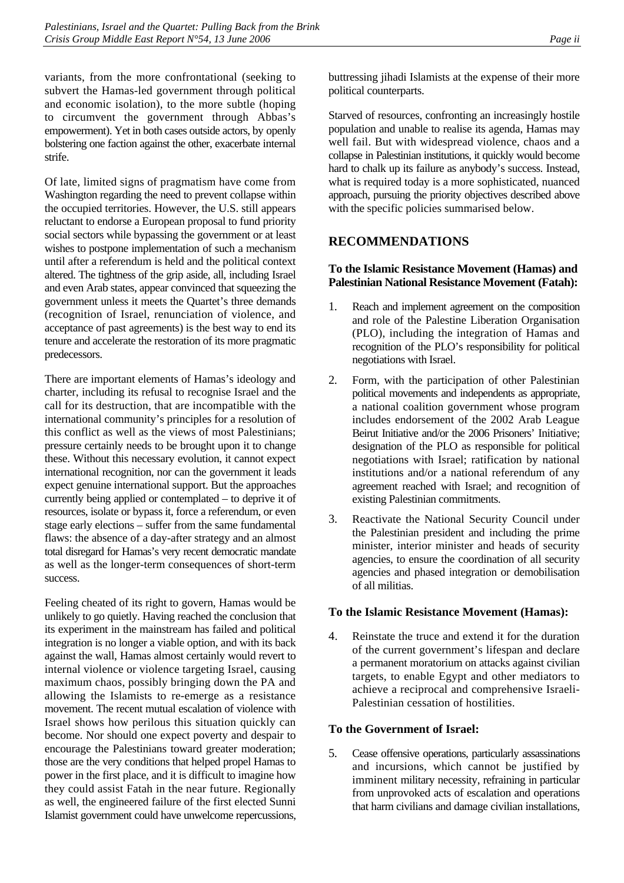variants, from the more confrontational (seeking to subvert the Hamas-led government through political and economic isolation), to the more subtle (hoping to circumvent the government through Abbas's empowerment). Yet in both cases outside actors, by openly bolstering one faction against the other, exacerbate internal strife.

Of late, limited signs of pragmatism have come from Washington regarding the need to prevent collapse within the occupied territories. However, the U.S. still appears reluctant to endorse a European proposal to fund priority social sectors while bypassing the government or at least wishes to postpone implementation of such a mechanism until after a referendum is held and the political context altered. The tightness of the grip aside, all, including Israel and even Arab states, appear convinced that squeezing the government unless it meets the Quartet's three demands (recognition of Israel, renunciation of violence, and acceptance of past agreements) is the best way to end its tenure and accelerate the restoration of its more pragmatic predecessors.

There are important elements of Hamas's ideology and charter, including its refusal to recognise Israel and the call for its destruction, that are incompatible with the international community's principles for a resolution of this conflict as well as the views of most Palestinians; pressure certainly needs to be brought upon it to change these. Without this necessary evolution, it cannot expect international recognition, nor can the government it leads expect genuine international support. But the approaches currently being applied or contemplated – to deprive it of resources, isolate or bypass it, force a referendum, or even stage early elections – suffer from the same fundamental flaws: the absence of a day-after strategy and an almost total disregard for Hamas's very recent democratic mandate as well as the longer-term consequences of short-term success.

Feeling cheated of its right to govern, Hamas would be unlikely to go quietly. Having reached the conclusion that its experiment in the mainstream has failed and political integration is no longer a viable option, and with its back against the wall, Hamas almost certainly would revert to internal violence or violence targeting Israel, causing maximum chaos, possibly bringing down the PA and allowing the Islamists to re-emerge as a resistance movement. The recent mutual escalation of violence with Israel shows how perilous this situation quickly can become. Nor should one expect poverty and despair to encourage the Palestinians toward greater moderation; those are the very conditions that helped propel Hamas to power in the first place, and it is difficult to imagine how they could assist Fatah in the near future. Regionally as well, the engineered failure of the first elected Sunni Islamist government could have unwelcome repercussions,

buttressing jihadi Islamists at the expense of their more political counterparts.

Starved of resources, confronting an increasingly hostile population and unable to realise its agenda, Hamas may well fail. But with widespread violence, chaos and a collapse in Palestinian institutions, it quickly would become hard to chalk up its failure as anybody's success. Instead, what is required today is a more sophisticated, nuanced approach, pursuing the priority objectives described above with the specific policies summarised below.

#### **RECOMMENDATIONS**

#### **To the Islamic Resistance Movement (Hamas) and Palestinian National Resistance Movement (Fatah):**

- 1. Reach and implement agreement on the composition and role of the Palestine Liberation Organisation (PLO), including the integration of Hamas and recognition of the PLO's responsibility for political negotiations with Israel.
- 2. Form, with the participation of other Palestinian political movements and independents as appropriate, a national coalition government whose program includes endorsement of the 2002 Arab League Beirut Initiative and/or the 2006 Prisoners' Initiative; designation of the PLO as responsible for political negotiations with Israel; ratification by national institutions and/or a national referendum of any agreement reached with Israel; and recognition of existing Palestinian commitments.
- 3. Reactivate the National Security Council under the Palestinian president and including the prime minister, interior minister and heads of security agencies, to ensure the coordination of all security agencies and phased integration or demobilisation of all militias.

#### **To the Islamic Resistance Movement (Hamas):**

4. Reinstate the truce and extend it for the duration of the current government's lifespan and declare a permanent moratorium on attacks against civilian targets, to enable Egypt and other mediators to achieve a reciprocal and comprehensive Israeli-Palestinian cessation of hostilities.

#### **To the Government of Israel:**

5. Cease offensive operations, particularly assassinations and incursions, which cannot be justified by imminent military necessity, refraining in particular from unprovoked acts of escalation and operations that harm civilians and damage civilian installations,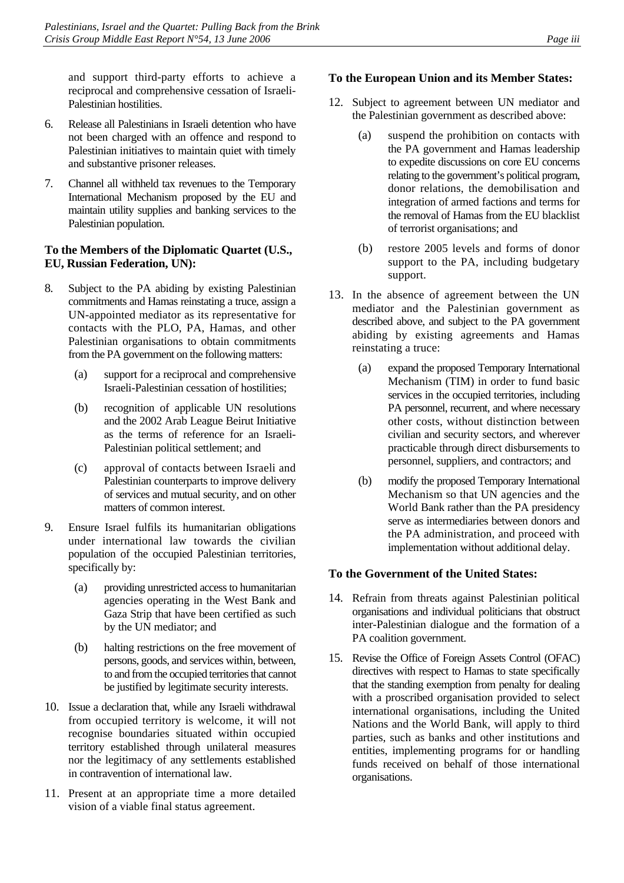and support third-party efforts to achieve a reciprocal and comprehensive cessation of Israeli-Palestinian hostilities.

- 6. Release all Palestinians in Israeli detention who have not been charged with an offence and respond to Palestinian initiatives to maintain quiet with timely and substantive prisoner releases.
- 7. Channel all withheld tax revenues to the Temporary International Mechanism proposed by the EU and maintain utility supplies and banking services to the Palestinian population.

#### **To the Members of the Diplomatic Quartet (U.S., EU, Russian Federation, UN):**

- 8. Subject to the PA abiding by existing Palestinian commitments and Hamas reinstating a truce, assign a UN-appointed mediator as its representative for contacts with the PLO, PA, Hamas, and other Palestinian organisations to obtain commitments from the PA government on the following matters:
	- (a) support for a reciprocal and comprehensive Israeli-Palestinian cessation of hostilities;
	- (b) recognition of applicable UN resolutions and the 2002 Arab League Beirut Initiative as the terms of reference for an Israeli-Palestinian political settlement; and
	- (c) approval of contacts between Israeli and Palestinian counterparts to improve delivery of services and mutual security, and on other matters of common interest.
- 9. Ensure Israel fulfils its humanitarian obligations under international law towards the civilian population of the occupied Palestinian territories, specifically by:
	- (a) providing unrestricted access to humanitarian agencies operating in the West Bank and Gaza Strip that have been certified as such by the UN mediator; and
	- (b) halting restrictions on the free movement of persons, goods, and services within, between, to and from the occupied territories that cannot be justified by legitimate security interests.
- 10. Issue a declaration that, while any Israeli withdrawal from occupied territory is welcome, it will not recognise boundaries situated within occupied territory established through unilateral measures nor the legitimacy of any settlements established in contravention of international law.
- 11. Present at an appropriate time a more detailed vision of a viable final status agreement.

#### **To the European Union and its Member States:**

- 12. Subject to agreement between UN mediator and the Palestinian government as described above:
	- (a) suspend the prohibition on contacts with the PA government and Hamas leadership to expedite discussions on core EU concerns relating to the government's political program, donor relations, the demobilisation and integration of armed factions and terms for the removal of Hamas from the EU blacklist of terrorist organisations; and
	- (b) restore 2005 levels and forms of donor support to the PA, including budgetary support.
- 13. In the absence of agreement between the UN mediator and the Palestinian government as described above, and subject to the PA government abiding by existing agreements and Hamas reinstating a truce:
	- (a) expand the proposed Temporary International Mechanism (TIM) in order to fund basic services in the occupied territories, including PA personnel, recurrent, and where necessary other costs, without distinction between civilian and security sectors, and wherever practicable through direct disbursements to personnel, suppliers, and contractors; and
	- (b) modify the proposed Temporary International Mechanism so that UN agencies and the World Bank rather than the PA presidency serve as intermediaries between donors and the PA administration, and proceed with implementation without additional delay.

# **To the Government of the United States:**

- 14. Refrain from threats against Palestinian political organisations and individual politicians that obstruct inter-Palestinian dialogue and the formation of a PA coalition government.
- 15. Revise the Office of Foreign Assets Control (OFAC) directives with respect to Hamas to state specifically that the standing exemption from penalty for dealing with a proscribed organisation provided to select international organisations, including the United Nations and the World Bank, will apply to third parties, such as banks and other institutions and entities, implementing programs for or handling funds received on behalf of those international organisations.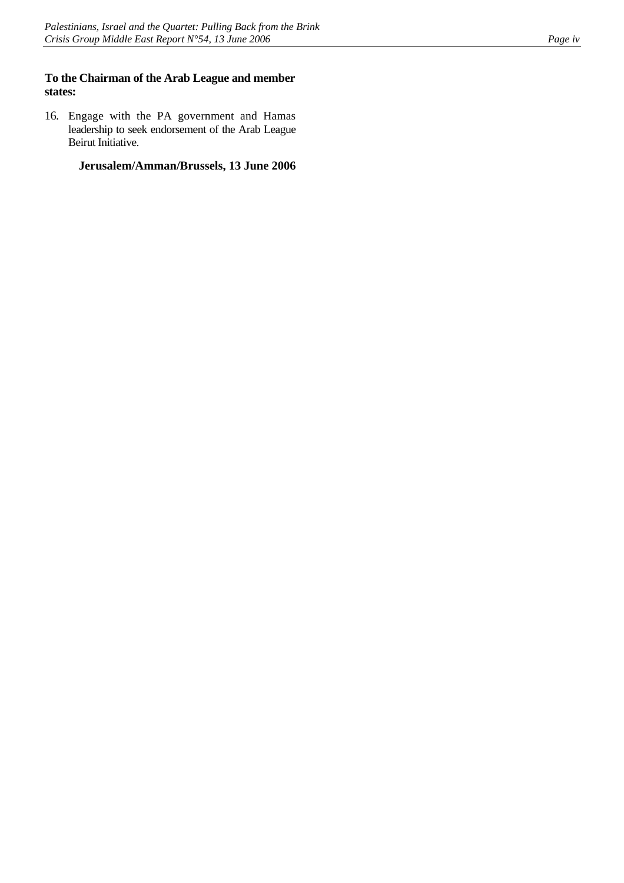#### **To the Chairman of the Arab League and member states:**

16. Engage with the PA government and Hamas leadership to seek endorsement of the Arab League Beirut Initiative.

**Jerusalem/Amman/Brussels, 13 June 2006**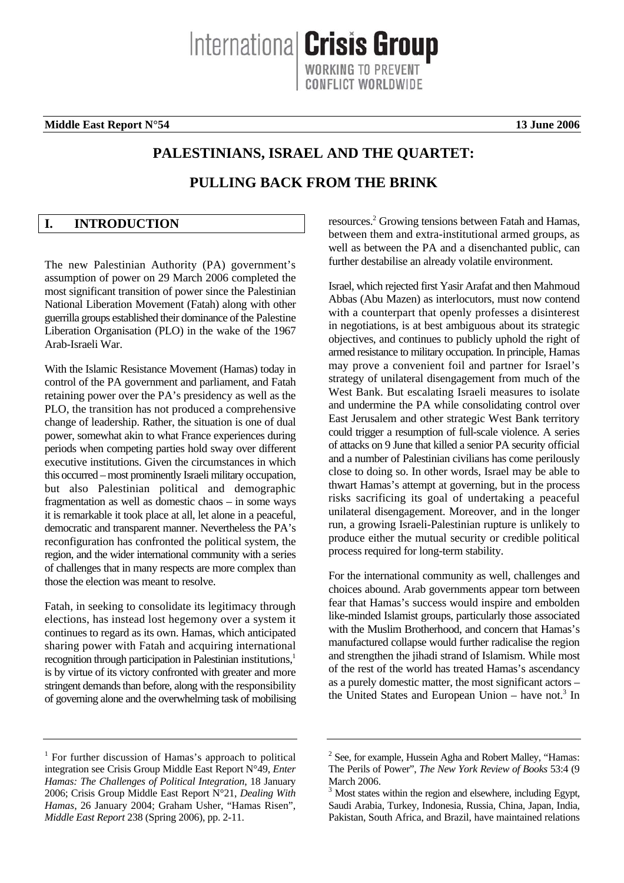**Middle East Report N°54** 13 June 2006

# **PALESTINIANS, ISRAEL AND THE QUARTET:**

Internationa **Crisis Group** 

# **PULLING BACK FROM THE BRINK**

# <span id="page-6-0"></span>**I. INTRODUCTION**

The new Palestinian Authority (PA) government's assumption of power on 29 March 2006 completed the most significant transition of power since the Palestinian National Liberation Movement (Fatah) along with other guerrilla groups established their dominance of the Palestine Liberation Organisation (PLO) in the wake of the 1967 Arab-Israeli War.

With the Islamic Resistance Movement (Hamas) today in control of the PA government and parliament, and Fatah retaining power over the PA's presidency as well as the PLO, the transition has not produced a comprehensive change of leadership. Rather, the situation is one of dual power, somewhat akin to what France experiences during periods when competing parties hold sway over different executive institutions. Given the circumstances in which this occurred – most prominently Israeli military occupation, but also Palestinian political and demographic fragmentation as well as domestic chaos – in some ways it is remarkable it took place at all, let alone in a peaceful, democratic and transparent manner. Nevertheless the PA's reconfiguration has confronted the political system, the region, and the wider international community with a series of challenges that in many respects are more complex than those the election was meant to resolve.

Fatah, in seeking to consolidate its legitimacy through elections, has instead lost hegemony over a system it continues to regard as its own. Hamas, which anticipated sharing power with Fatah and acquiring international recognition through participation in Palestinian institutions,<sup>1</sup> is by virtue of its victory confronted with greater and more stringent demands than before, along with the responsibility of governing alone and the overwhelming task of mobilising

resources.<sup>[2](#page-6-2)</sup> Growing tensions between Fatah and Hamas, between them and extra-institutional armed groups, as well as between the PA and a disenchanted public, can further destabilise an already volatile environment.

Israel, which rejected first Yasir Arafat and then Mahmoud Abbas (Abu Mazen) as interlocutors, must now contend with a counterpart that openly professes a disinterest in negotiations, is at best ambiguous about its strategic objectives, and continues to publicly uphold the right of armed resistance to military occupation. In principle, Hamas may prove a convenient foil and partner for Israel's strategy of unilateral disengagement from much of the West Bank. But escalating Israeli measures to isolate and undermine the PA while consolidating control over East Jerusalem and other strategic West Bank territory could trigger a resumption of full-scale violence. A series of attacks on 9 June that killed a senior PA security official and a number of Palestinian civilians has come perilously close to doing so. In other words, Israel may be able to thwart Hamas's attempt at governing, but in the process risks sacrificing its goal of undertaking a peaceful unilateral disengagement. Moreover, and in the longer run, a growing Israeli-Palestinian rupture is unlikely to produce either the mutual security or credible political process required for long-term stability.

For the international community as well, challenges and choices abound. Arab governments appear torn between fear that Hamas's success would inspire and embolden like-minded Islamist groups, particularly those associated with the Muslim Brotherhood, and concern that Hamas's manufactured collapse would further radicalise the region and strengthen the jihadi strand of Islamism. While most of the rest of the world has treated Hamas's ascendancy as a purely domestic matter, the most significant actors – the United States and European Union  $-$  have not.<sup>[3](#page-6-3)</sup> In

<span id="page-6-1"></span><sup>&</sup>lt;sup>1</sup> For further discussion of Hamas's approach to political integration see Crisis Group Middle East Report N°49, *Enter Hamas: The Challenges of Political Integration*, 18 January 2006; Crisis Group Middle East Report N°21, *Dealing With Hamas*, 26 January 2004; Graham Usher, "Hamas Risen", *Middle East Report* 238 (Spring 2006), pp. 2-11.

<span id="page-6-2"></span> $2$  See, for example, Hussein Agha and Robert Malley, "Hamas: The Perils of Power", *The New York Review of Books* 53:4 (9 March 2006.

<span id="page-6-3"></span><sup>3</sup> Most states within the region and elsewhere, including Egypt, Saudi Arabia, Turkey, Indonesia, Russia, China, Japan, India, Pakistan, South Africa, and Brazil, have maintained relations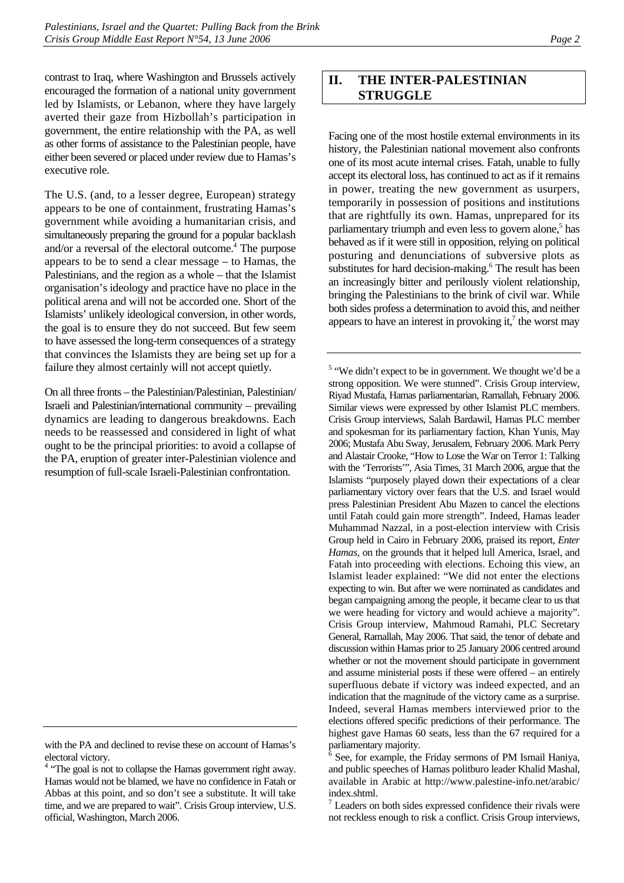contrast to Iraq, where Washington and Brussels actively encouraged the formation of a national unity government led by Islamists, or Lebanon, where they have largely averted their gaze from Hizbollah's participation in government, the entire relationship with the PA, as well as other forms of assistance to the Palestinian people, have either been severed or placed under review due to Hamas's executive role.

The U.S. (and, to a lesser degree, European) strategy appears to be one of containment, frustrating Hamas's government while avoiding a humanitarian crisis, and simultaneously preparing the ground for a popular backlash and/or a reversal of the electoral outcome.<sup>[4](#page-7-1)</sup> The purpose appears to be to send a clear message – to Hamas, the Palestinians, and the region as a whole – that the Islamist organisation's ideology and practice have no place in the political arena and will not be accorded one. Short of the Islamists' unlikely ideological conversion, in other words, the goal is to ensure they do not succeed. But few seem to have assessed the long-term consequences of a strategy that convinces the Islamists they are being set up for a failure they almost certainly will not accept quietly.

On all three fronts – the Palestinian/Palestinian, Palestinian/ Israeli and Palestinian/international community – prevailing dynamics are leading to dangerous breakdowns. Each needs to be reassessed and considered in light of what ought to be the principal priorities: to avoid a collapse of the PA, eruption of greater inter-Palestinian violence and resumption of full-scale Israeli-Palestinian confrontation.

# <span id="page-7-0"></span>**II. THE INTER-PALESTINIAN STRUGGLE**

Facing one of the most hostile external environments in its history, the Palestinian national movement also confronts one of its most acute internal crises. Fatah, unable to fully accept its electoral loss, has continued to act as if it remains in power, treating the new government as usurpers, temporarily in possession of positions and institutions that are rightfully its own. Hamas, unprepared for its parliamentary triumph and even less to govern alone,<sup>5</sup> has behaved as if it were still in opposition, relying on political posturing and denunciations of subversive plots as substitutes for hard decision-making.<sup>[6](#page-7-3)</sup> The result has been an increasingly bitter and perilously violent relationship, bringing the Palestinians to the brink of civil war. While both sides profess a determination to avoid this, and neither appears [t](#page-7-4)o have an interest in provoking it, $\lambda$  the worst may

<span id="page-7-2"></span> $<sup>5</sup>$  "We didn't expect to be in government. We thought we'd be a</sup> strong opposition. We were stunned". Crisis Group interview, Riyad Mustafa, Hamas parliamentarian, Ramallah, February 2006. Similar views were expressed by other Islamist PLC members. Crisis Group interviews, Salah Bardawil, Hamas PLC member and spokesman for its parliamentary faction, Khan Yunis, May 2006; Mustafa Abu Sway, Jerusalem, February 2006. Mark Perry and Alastair Crooke, "How to Lose the War on Terror 1: Talking with the 'Terrorists'", Asia Times, 31 March 2006, argue that the Islamists "purposely played down their expectations of a clear parliamentary victory over fears that the U.S. and Israel would press Palestinian President Abu Mazen to cancel the elections until Fatah could gain more strength". Indeed, Hamas leader Muhammad Nazzal, in a post-election interview with Crisis Group held in Cairo in February 2006, praised its report, *Enter Hamas*, on the grounds that it helped lull America, Israel, and Fatah into proceeding with elections. Echoing this view, an Islamist leader explained: "We did not enter the elections expecting to win. But after we were nominated as candidates and began campaigning among the people, it became clear to us that we were heading for victory and would achieve a majority". Crisis Group interview, Mahmoud Ramahi, PLC Secretary General, Ramallah, May 2006. That said, the tenor of debate and discussion within Hamas prior to 25 January 2006 centred around whether or not the movement should participate in government and assume ministerial posts if these were offered – an entirely superfluous debate if victory was indeed expected, and an indication that the magnitude of the victory came as a surprise. Indeed, several Hamas members interviewed prior to the elections offered specific predictions of their performance. The highest gave Hamas 60 seats, less than the 67 required for a parliamentary majority.

<span id="page-7-4"></span> $7$  Leaders on both sides expressed confidence their rivals were not reckless enough to risk a conflict. Crisis Group interviews,

with the PA and declined to revise these on account of Hamas's electoral victory.

<span id="page-7-1"></span><sup>&</sup>lt;sup>4</sup> "The goal is not to collapse the Hamas government right away. Hamas would not be blamed, we have no confidence in Fatah or Abbas at this point, and so don't see a substitute. It will take time, and we are prepared to wait". Crisis Group interview, U.S. official, Washington, March 2006.

<span id="page-7-3"></span><sup>6</sup> See, for example, the Friday sermons of PM Ismail Haniya, and public speeches of Hamas politburo leader Khalid Mashal, available in Arabic at http://www.palestine-info.net/arabic/ index.shtml.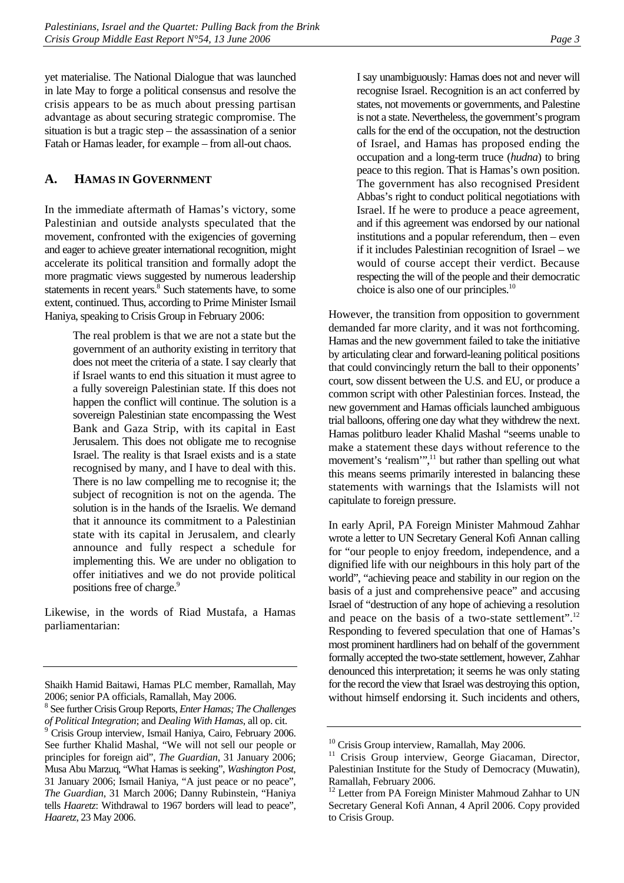yet materialise. The National Dialogue that was launched in late May to forge a political consensus and resolve the crisis appears to be as much about pressing partisan advantage as about securing strategic compromise. The situation is but a tragic step – the assassination of a senior Fatah or Hamas leader, for example – from all-out chaos.

# <span id="page-8-0"></span>**A. HAMAS IN GOVERNMENT**

In the immediate aftermath of Hamas's victory, some Palestinian and outside analysts speculated that the movement, confronted with the exigencies of governing and eager to achieve greater international recognition, might accelerate its political transition and formally adopt the more pragmatic views suggested by numerous leadership statements in recent years.<sup>8</sup> [S](#page-8-1)uch statements have, to some extent, continued. Thus, according to Prime Minister Ismail Haniya, speaking to Crisis Group in February 2006:

> The real problem is that we are not a state but the government of an authority existing in territory that does not meet the criteria of a state. I say clearly that if Israel wants to end this situation it must agree to a fully sovereign Palestinian state. If this does not happen the conflict will continue. The solution is a sovereign Palestinian state encompassing the West Bank and Gaza Strip, with its capital in East Jerusalem. This does not obligate me to recognise Israel. The reality is that Israel exists and is a state recognised by many, and I have to deal with this. There is no law compelling me to recognise it; the subject of recognition is not on the agenda. The solution is in the hands of the Israelis. We demand that it announce its commitment to a Palestinian state with its capital in Jerusalem, and clearly announce and fully respect a schedule for implementing this. We are under no obligation to offer initiatives and we do not provide political positions free of charge.<sup>[9](#page-8-2)</sup>

Likewise, in the words of Riad Mustafa, a Hamas parliamentarian:

I say unambiguously: Hamas does not and never will recognise Israel. Recognition is an act conferred by states, not movements or governments, and Palestine is not a state. Nevertheless, the government's program calls for the end of the occupation, not the destruction of Israel, and Hamas has proposed ending the occupation and a long-term truce (*hudna*) to bring peace to this region. That is Hamas's own position. The government has also recognised President Abbas's right to conduct political negotiations with Israel. If he were to produce a peace agreement, and if this agreement was endorsed by our national institutions and a popular referendum, then – even if it includes Palestinian recognition of Israel – we would of course accept their verdict. Because respecting the will of the people and their democratic choice is also one of our principles.<sup>10</sup>

However, the transition from opposition to government demanded far more clarity, and it was not forthcoming. Hamas and the new government failed to take the initiative by articulating clear and forward-leaning political positions that could convincingly return the ball to their opponents' court, sow dissent between the U.S. and EU, or produce a common script with other Palestinian forces. Instead, the new government and Hamas officials launched ambiguous trial balloons, offering one day what they withdrew the next. Hamas politburo leader Khalid Mashal "seems unable to make a statement these days without reference to the movement's 'realism'",<sup>11</sup> but rather than spelling out what this means seems primarily interested in balancing these statements with warnings that the Islamists will not capitulate to foreign pressure.

In early April, PA Foreign Minister Mahmoud Zahhar wrote a letter to UN Secretary General Kofi Annan calling for "our people to enjoy freedom, independence, and a dignified life with our neighbours in this holy part of the world", "achieving peace and stability in our region on the basis of a just and comprehensive peace" and accusing Israel of "destruction of any hope of achieving a resolution and peace on the basis of a two-state settlement".<sup>12</sup> Responding to fevered speculation that one of Hamas's most prominent hardliners had on behalf of the government formally accepted the two-state settlement, however, Zahhar denounced this interpretation; it seems he was only stating for the record the view that Israel was destroying this option, without himself endorsing it. Such incidents and others,

Shaikh Hamid Baitawi, Hamas PLC member, Ramallah, May 2006; senior PA officials, Ramallah, May 2006.

<span id="page-8-1"></span><sup>8</sup> See further Crisis Group Reports, *Enter Hamas; The Challenges of Political Integration*; and *Dealing With Hamas*, all op. cit. 9

<span id="page-8-2"></span><sup>&</sup>lt;sup>9</sup> Crisis Group interview, Ismail Haniya, Cairo, February 2006. See further Khalid Mashal, "We will not sell our people or principles for foreign aid", *The Guardian*, 31 January 2006; Musa Abu Marzuq, "What Hamas is seeking", *Washington Post*, 31 January 2006; Ismail Haniya, "A just peace or no peace", *The Guardian*, 31 March 2006; Danny Rubinstein, "Haniya tells *Haaretz*: Withdrawal to 1967 borders will lead to peace", *Haaretz*, 23 May 2006.

<span id="page-8-3"></span><sup>&</sup>lt;sup>10</sup> Crisis Group interview, Ramallah, May 2006.

<span id="page-8-4"></span>Crisis Group interview, George Giacaman, Director, Palestinian Institute for the Study of Democracy (Muwatin), Ramallah, February 2006.

<span id="page-8-5"></span><sup>&</sup>lt;sup>12</sup> Letter from PA Foreign Minister Mahmoud Zahhar to UN Secretary General Kofi Annan, 4 April 2006. Copy provided to Crisis Group.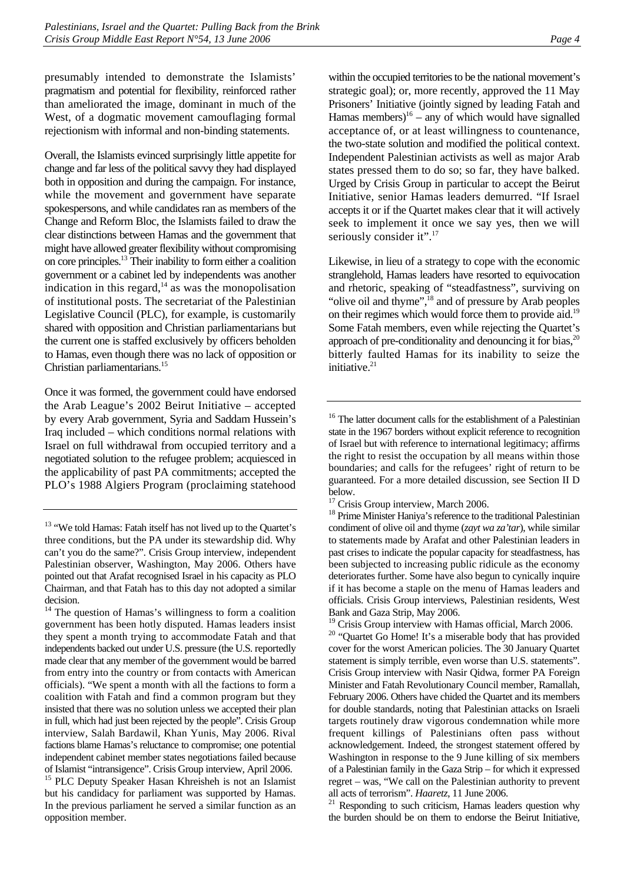presumably intended to demonstrate the Islamists' pragmatism and potential for flexibility, reinforced rather than ameliorated the image, dominant in much of the West, of a dogmatic movement camouflaging formal rejectionism with informal and non-binding statements.

Overall, the Islamists evinced surprisingly little appetite for change and far less of the political savvy they had displayed both in opposition and during the campaign. For instance, while the movement and government have separate spokespersons, and while candidates ran as members of the Change and Reform Bloc, the Islamists failed to draw the clear distinctions between Hamas and the government that might have allowed greater flexibility without compromising on core principles.[13 T](#page-9-0)heir inability to form either a coalition government or a cabinet led by independents was another indication in this regard, $14$  as was the monopolisation of institutional posts. The secretariat of the Palestinian Legislative Council (PLC), for example, is customarily shared with opposition and Christian parliamentarians but the current one is staffed exclusively by officers beholden to Hamas, even though there was no lack of opposition or Christian parliamentarians.[15](#page-9-2) 

Once it was formed, the government could have endorsed the Arab League's 2002 Beirut Initiative – accepted by every Arab government, Syria and Saddam Hussein's Iraq included – which conditions normal relations with Israel on full withdrawal from occupied territory and a negotiated solution to the refugee problem; acquiesced in the applicability of past PA commitments; accepted the PLO's 1988 Algiers Program (proclaiming statehood

<span id="page-9-2"></span>of Islamist "intransigence". Crisis Group interview, April 2006. 15 PLC Deputy Speaker Hasan Khreisheh is not an Islamist but his candidacy for parliament was supported by Hamas. In the previous parliament he served a similar function as an opposition member.

within the occupied territories to be the national movement's strategic goal); or, more recently, approved the 11 May Prisoners' Initiative (jointly signed by leading Fatah and Hamas members) $16 -$  any of which would have signalled acceptance of, or at least willingness to countenance, the two-state solution and modified the political context. Independent Palestinian activists as well as major Arab states pressed them to do so; so far, they have balked. Urged by Crisis Group in particular to accept the Beirut Initiative, senior Hamas leaders demurred. "If Israel accepts it or if the Quartet makes clear that it will actively seek to implement it once we say yes, then we will seriously consider it".<sup>17</sup>

Likewise, in lieu of a strategy to cope with the economic stranglehold, Hamas leaders have resorted to equivocation and rhetoric, speaking of "steadfastness", surviving on "olive oil and thyme",<sup>18</sup> and of pressure by Arab peoples on their regimes which would force them to provide aid[.19](#page-9-6) Some Fatah members, even while rejecting the Quartet's approach of pre-conditionality and denouncing it for bias, $20$ bitterly faulted Hamas for its inability to seize the initiative.<sup>21</sup>

<span id="page-9-7"></span><span id="page-9-6"></span><sup>19</sup> Crisis Group interview with Hamas official, March 2006. <sup>20</sup> "Quartet Go Home! It's a miserable body that has provided cover for the worst American policies. The 30 January Quartet statement is simply terrible, even worse than U.S. statements". Crisis Group interview with Nasir Qidwa, former PA Foreign Minister and Fatah Revolutionary Council member, Ramallah, February 2006. Others have chided the Quartet and its members for double standards, noting that Palestinian attacks on Israeli targets routinely draw vigorous condemnation while more frequent killings of Palestinians often pass without acknowledgement. Indeed, the strongest statement offered by Washington in response to the 9 June killing of six members of a Palestinian family in the Gaza Strip – for which it expressed regret – was, "We call on the Palestinian authority to prevent all acts of terrorism". *Haaretz*, 11 June 2006.<br><sup>21</sup> Responding to such criticism, Hamas leaders question why

<span id="page-9-8"></span>the burden should be on them to endorse the Beirut Initiative,

<span id="page-9-0"></span><sup>&</sup>lt;sup>13</sup> "We told Hamas: Fatah itself has not lived up to the Quartet's three conditions, but the PA under its stewardship did. Why can't you do the same?". Crisis Group interview, independent Palestinian observer, Washington, May 2006. Others have pointed out that Arafat recognised Israel in his capacity as PLO Chairman, and that Fatah has to this day not adopted a similar decision.

<span id="page-9-1"></span><sup>&</sup>lt;sup>14</sup> The question of Hamas's willingness to form a coalition government has been hotly disputed. Hamas leaders insist they spent a month trying to accommodate Fatah and that independents backed out under U.S. pressure (the U.S. reportedly made clear that any member of the government would be barred from entry into the country or from contacts with American officials). "We spent a month with all the factions to form a coalition with Fatah and find a common program but they insisted that there was no solution unless we accepted their plan in full, which had just been rejected by the people". Crisis Group interview, Salah Bardawil, Khan Yunis, May 2006. Rival factions blame Hamas's reluctance to compromise; one potential independent cabinet member states negotiations failed because

<span id="page-9-3"></span><sup>&</sup>lt;sup>16</sup> The latter document calls for the establishment of a Palestinian state in the 1967 borders without explicit reference to recognition of Israel but with reference to international legitimacy; affirms the right to resist the occupation by all means within those boundaries; and calls for the refugees' right of return to be guaranteed. For a more detailed discussion, see Section II D below.

<span id="page-9-4"></span><sup>&</sup>lt;sup>17</sup> Crisis Group interview, March 2006.

<span id="page-9-5"></span><sup>&</sup>lt;sup>18</sup> Prime Minister Haniya's reference to the traditional Palestinian condiment of olive oil and thyme (*zayt wa za'tar*), while similar to statements made by Arafat and other Palestinian leaders in past crises to indicate the popular capacity for steadfastness, has been subjected to increasing public ridicule as the economy deteriorates further. Some have also begun to cynically inquire if it has become a staple on the menu of Hamas leaders and officials. Crisis Group interviews, Palestinian residents, West Bank and Gaza Strip, May 2006.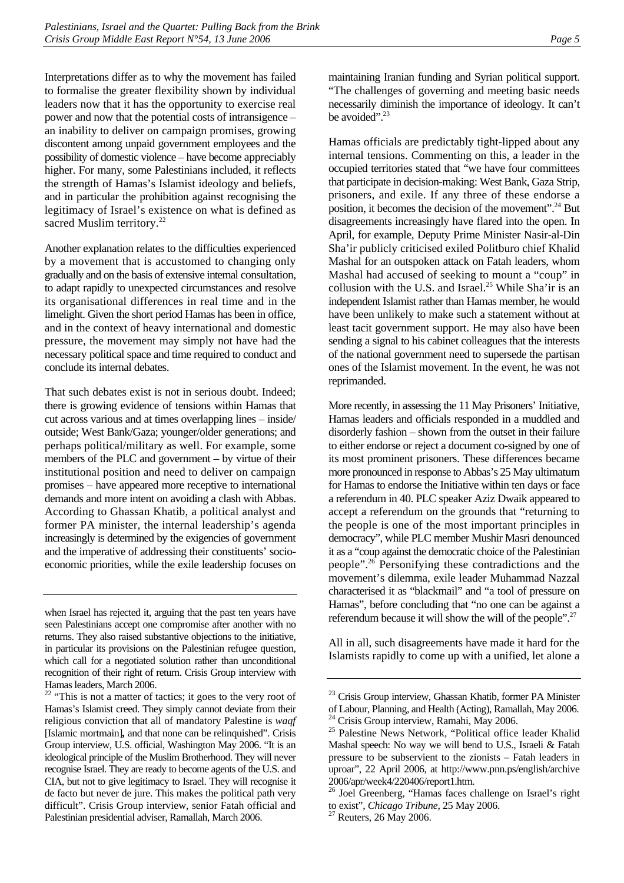Interpretations differ as to why the movement has failed to formalise the greater flexibility shown by individual leaders now that it has the opportunity to exercise real power and now that the potential costs of intransigence – an inability to deliver on campaign promises, growing discontent among unpaid government employees and the possibility of domestic violence – have become appreciably higher. For many, some Palestinians included, it reflects the strength of Hamas's Islamist ideology and beliefs, and in particular the prohibition against recognising the legitimacy of Israel's existence on what is defined as sacred Muslim territory.<sup>22</sup>

Another explanation relates to the difficulties experienced by a movement that is accustomed to changing only gradually and on the basis of extensive internal consultation, to adapt rapidly to unexpected circumstances and resolve its organisational differences in real time and in the limelight. Given the short period Hamas has been in office, and in the context of heavy international and domestic pressure, the movement may simply not have had the necessary political space and time required to conduct and conclude its internal debates.

That such debates exist is not in serious doubt. Indeed; there is growing evidence of tensions within Hamas that cut across various and at times overlapping lines – inside/ outside; West Bank/Gaza; younger/older generations; and perhaps political/military as well. For example, some members of the PLC and government – by virtue of their institutional position and need to deliver on campaign promises – have appeared more receptive to international demands and more intent on avoiding a clash with Abbas. According to Ghassan Khatib, a political analyst and former PA minister, the internal leadership's agenda increasingly is determined by the exigencies of government and the imperative of addressing their constituents' socioeconomic priorities, while the exile leadership focuses on maintaining Iranian funding and Syrian political support. "The challenges of governing and meeting basic needs necessarily diminish the importance of ideology. It can't be avoided". $^{23}$ 

Hamas officials are predictably tight-lipped about any internal tensions. Commenting on this, a leader in the occupied territories stated that "we have four committees that participate in decision-making: West Bank, Gaza Strip, prisoners, and exile. If any three of these endorse a position, it becomes the decision of the movement".[24 B](#page-10-2)ut disagreements increasingly have flared into the open. In April, for example, Deputy Prime Minister Nasir-al-Din Sha'ir publicly criticised exiled Politburo chief Khalid Mashal for an outspoken attack on Fatah leaders, whom Mashal had accused of seeking to mount a "coup" in collusion with the U.S. and Israel.<sup>25</sup> While Sha'ir is an independent Islamist rather than Hamas member, he would have been unlikely to make such a statement without at least tacit government support. He may also have been sending a signal to his cabinet colleagues that the interests of the national government need to supersede the partisan ones of the Islamist movement. In the event, he was not reprimanded.

More recently, in assessing the 11 May Prisoners' Initiative, Hamas leaders and officials responded in a muddled and disorderly fashion – shown from the outset in their failure to either endorse or reject a document co-signed by one of its most prominent prisoners. These differences became more pronounced in response to Abbas's 25 May ultimatum for Hamas to endorse the Initiative within ten days or face a referendum in 40. PLC speaker Aziz Dwaik appeared to accept a referendum on the grounds that "returning to the people is one of the most important principles in democracy", while PLC member Mushir Masri denounced it as a "coup against the democratic choice of the Palestinian people".[26](#page-10-4) Personifying these contradictions and the movement's dilemma, exile leader Muhammad Nazzal characterised it as "blackmail" and "a tool of pressure on Hamas", before concluding that "no one can be against a referendum because it will show the will of the people".<sup>27</sup>

All in all, such disagreements have made it hard for the Islamists rapidly to come up with a unified, let alone a

when Israel has rejected it, arguing that the past ten years have seen Palestinians accept one compromise after another with no returns. They also raised substantive objections to the initiative, in particular its provisions on the Palestinian refugee question, which call for a negotiated solution rather than unconditional recognition of their right of return. Crisis Group interview with Hamas leaders, March 2006.

<span id="page-10-0"></span> $22$  "This is not a matter of tactics; it goes to the very root of Hamas's Islamist creed. They simply cannot deviate from their religious conviction that all of mandatory Palestine is *waqf*  [Islamic mortmain]*,* and that none can be relinquished". Crisis Group interview, U.S. official, Washington May 2006. "It is an ideological principle of the Muslim Brotherhood. They will never recognise Israel. They are ready to become agents of the U.S. and CIA, but not to give legitimacy to Israel. They will recognise it de facto but never de jure. This makes the political path very difficult". Crisis Group interview, senior Fatah official and Palestinian presidential adviser, Ramallah, March 2006.

<span id="page-10-1"></span><sup>&</sup>lt;sup>23</sup> Crisis Group interview, Ghassan Khatib, former PA Minister of Labour, Planning, and Health (Acting), Ramallah, May 2006.  $24$  Crisis Group interview, Ramahi, May 2006.

<span id="page-10-2"></span>

<span id="page-10-3"></span><sup>&</sup>lt;sup>25</sup> Palestine News Network, "Political office leader Khalid Mashal speech: No way we will bend to U.S., Israeli & Fatah pressure to be subservient to the zionists – Fatah leaders in uproar", 22 April 2006, at http://www.pnn.ps/english/archive 2006/apr/week4/220406/report1.htm.

<span id="page-10-4"></span><sup>26</sup> Joel Greenberg, "Hamas faces challenge on Israel's right to exist", *Chicago Tribune*, 25 May 2006.<sup>27</sup> Reuters, 26 May 2006.

<span id="page-10-5"></span>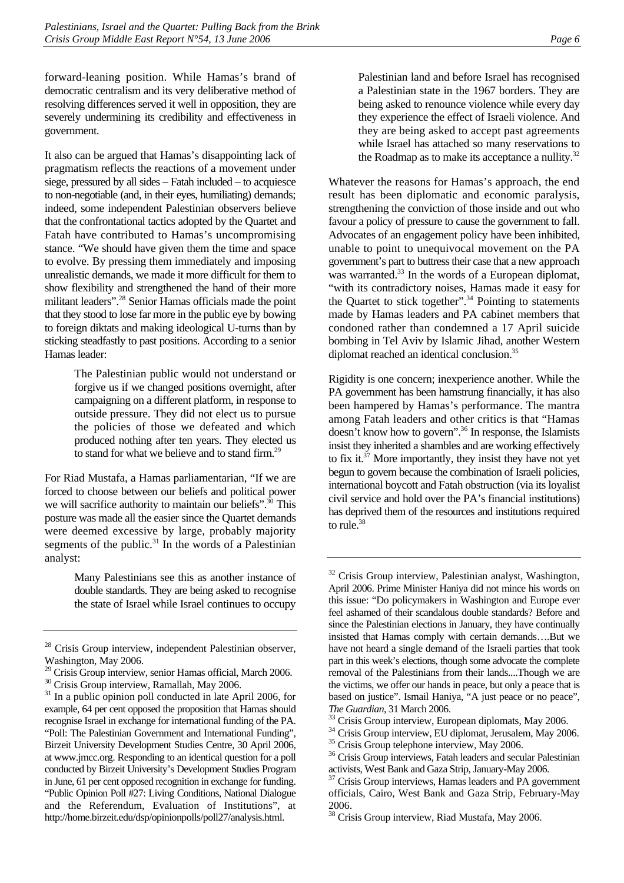forward-leaning position. While Hamas's brand of democratic centralism and its very deliberative method of resolving differences served it well in opposition, they are severely undermining its credibility and effectiveness in government.

It also can be argued that Hamas's disappointing lack of pragmatism reflects the reactions of a movement under siege, pressured by all sides – Fatah included – to acquiesce to non-negotiable (and, in their eyes, humiliating) demands; indeed, some independent Palestinian observers believe that the confrontational tactics adopted by the Quartet and Fatah have contributed to Hamas's uncompromising stance. "We should have given them the time and space to evolve. By pressing them immediately and imposing unrealistic demands, we made it more difficult for them to show flexibility and strengthened the hand of their more militant leaders"[.28 S](#page-11-0)enior Hamas officials made the point that they stood to lose far more in the public eye by bowing to foreign diktats and making ideological U-turns than by sticking steadfastly to past positions. According to a senior Hamas leader:

> The Palestinian public would not understand or forgive us if we changed positions overnight, after campaigning on a different platform, in response to outside pressure. They did not elect us to pursue the policies of those we defeated and which produced nothing after ten years. They elected us to stand for what we believe and to stand firm.<sup>29</sup>

For Riad Mustafa, a Hamas parliamentarian, "If we are forced to choose between our beliefs and political power we will sacrifice authority to maintain our beliefs".<sup>30</sup> This posture was made all the easier since the Quartet demands were deemed excessive by large, probably majority segments of the public. $31$  In the words of a Palestinian analyst:

> Many Palestinians see this as another instance of double standards. They are being asked to recognise the state of Israel while Israel continues to occupy

Palestinian land and before Israel has recognised a Palestinian state in the 1967 borders. They are being asked to renounce violence while every day they experience the effect of Israeli violence. And they are being asked to accept past agreements while Israel has attached so many reservations to the Roadmap as to make its acceptance a nullity. $32$ 

Whatever the reasons for Hamas's approach, the end result has been diplomatic and economic paralysis, strengthening the conviction of those inside and out who favour a policy of pressure to cause the government to fall. Advocates of an engagement policy have been inhibited, unable to point to unequivocal movement on the PA government's part to buttress their case that a new approach was warranted.<sup>33</sup> In the words of a European diplomat, "with its contradictory noises, Hamas made it easy for the Quartet to stick together".<sup>34</sup> Pointing to statements made by Hamas leaders and PA cabinet members that condoned rather than condemned a 17 April suicide bombing in Tel Aviv by Islamic Jihad, another Western diplomat reached an identical conclusion.<sup>35</sup>

Rigidity is one concern; inexperience another. While the PA government has been hamstrung financially, it has also been hampered by Hamas's performance. The mantra among Fatah leaders and other critics is that "Hamas doesn't know how to govern".[36 I](#page-11-8)n response, the Islamists insist they inherited a shambles and are working effectively to fix it.<sup>37</sup> More importantly, they insist they have not yet begun to govern because the combination of Israeli policies, international boycott and Fatah obstruction (via its loyalist civil service and hold over the PA's financial institutions) has deprived them of the resources and institutions required to rule.<sup>38</sup>

<span id="page-11-0"></span><sup>&</sup>lt;sup>28</sup> Crisis Group interview, independent Palestinian observer, Washington, May 2006.

<span id="page-11-1"></span><sup>&</sup>lt;sup>29</sup> Crisis Group interview, senior Hamas official, March 2006.

<span id="page-11-2"></span><sup>&</sup>lt;sup>30</sup> Crisis Group interview, Ramallah, May 2006.

<span id="page-11-3"></span><sup>&</sup>lt;sup>31</sup> In a public opinion poll conducted in late April 2006, for example, 64 per cent opposed the proposition that Hamas should recognise Israel in exchange for international funding of the PA. "Poll: The Palestinian Government and International Funding", Birzeit University Development Studies Centre, 30 April 2006, at www.jmcc.org. Responding to an identical question for a poll conducted by Birzeit University's Development Studies Program in June, 61 per cent opposed recognition in exchange for funding. "Public Opinion Poll #27: Living Conditions, National Dialogue and the Referendum, Evaluation of Institutions", at http://home.birzeit.edu/dsp/opinionpolls/poll27/analysis.html.

<span id="page-11-4"></span><sup>&</sup>lt;sup>32</sup> Crisis Group interview, Palestinian analyst, Washington, April 2006. Prime Minister Haniya did not mince his words on this issue: "Do policymakers in Washington and Europe ever feel ashamed of their scandalous double standards? Before and since the Palestinian elections in January, they have continually insisted that Hamas comply with certain demands….But we have not heard a single demand of the Israeli parties that took part in this week's elections, though some advocate the complete removal of the Palestinians from their lands....Though we are the victims, we offer our hands in peace, but only a peace that is based on justice". Ismail Haniya, "A just peace or no peace", *The Guardian*, 31 March 2006.<br><sup>33</sup> Crisis Group interview, European diplomats, May 2006.

<span id="page-11-5"></span>

<span id="page-11-6"></span><sup>&</sup>lt;sup>34</sup> Crisis Group interview, EU diplomat, Jerusalem, May 2006.

<span id="page-11-7"></span><sup>&</sup>lt;sup>35</sup> Crisis Group telephone interview, May 2006.

<span id="page-11-8"></span><sup>&</sup>lt;sup>36</sup> Crisis Group interviews, Fatah leaders and secular Palestinian activists, West Bank and Gaza Strip, January-May 2006.

<span id="page-11-9"></span>Crisis Group interviews, Hamas leaders and PA government officials, Cairo, West Bank and Gaza Strip, February-May 2006.

<span id="page-11-10"></span><sup>38</sup> Crisis Group interview, Riad Mustafa, May 2006.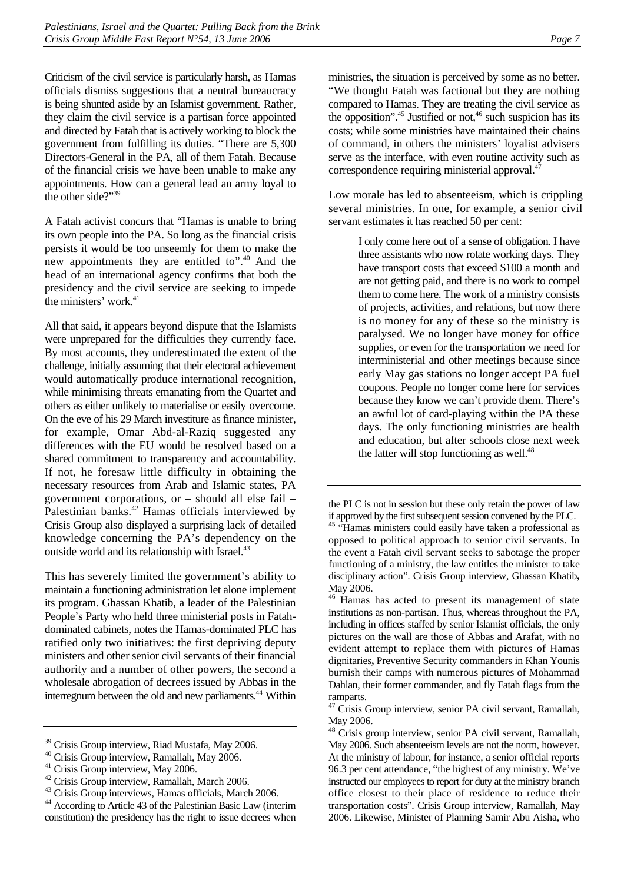Criticism of the civil service is particularly harsh, as Hamas officials dismiss suggestions that a neutral bureaucracy is being shunted aside by an Islamist government. Rather, they claim the civil service is a partisan force appointed and directed by Fatah that is actively working to block the government from fulfilling its duties. "There are 5,300 Directors-General in the PA, all of them Fatah. Because of the financial crisis we have been unable to make any appointments. How can a general lead an army loyal to the other side?"[39](#page-12-0) 

A Fatah activist concurs that "Hamas is unable to bring its own people into the PA. So long as the financial crisis persists it would be too unseemly for them to make the new appointments they are entitled to".[40](#page-12-1) And the head of an international agency confirms that both the presidency and the civil service are seeking to impede the ministers' work.<sup>41</sup>

All that said, it appears beyond dispute that the Islamists were unprepared for the difficulties they currently face. By most accounts, they underestimated the extent of the challenge, initially assuming that their electoral achievement would automatically produce international recognition, while minimising threats emanating from the Quartet and others as either unlikely to materialise or easily overcome. On the eve of his 29 March investiture as finance minister, for example, Omar Abd-al-Raziq suggested any differences with the EU would be resolved based on a shared commitment to transparency and accountability. If not, he foresaw little difficulty in obtaining the necessary resources from Arab and Islamic states, PA government corporations, or – should all else fail – Palestinian banks.<sup>42</sup> Hamas officials interviewed by Crisis Group also displayed a surprising lack of detailed knowledge concerning the PA's dependency on the outside world and its relationship with Israel.<sup>43</sup>

This has severely limited the government's ability to maintain a functioning administration let alone implement its program. Ghassan Khatib, a leader of the Palestinian People's Party who held three ministerial posts in Fatahdominated cabinets, notes the Hamas-dominated PLC has ratified only two initiatives: the first depriving deputy ministers and other senior civil servants of their financial authority and a number of other powers, the second a wholesale abrogation of decrees issued by Abbas in the interregnum between the old and new parliaments.<sup>44</sup> Within

ministries, the situation is perceived by some as no better. "We thought Fatah was factional but they are nothing compared to Hamas. They are treating the civil service as the opposition".<sup>45</sup> Justified or not,<sup>46</sup> such suspicion has its costs; while some ministries have maintained their chains of command, in others the ministers' loyalist advisers serve as the interface, with even routine activity such as correspondence requiring ministerial approval.<sup>47</sup>

Low morale has led to absenteeism, which is crippling several ministries. In one, for example, a senior civil servant estimates it has reached 50 per cent:

> I only come here out of a sense of obligation. I have three assistants who now rotate working days. They have transport costs that exceed \$100 a month and are not getting paid, and there is no work to compel them to come here. The work of a ministry consists of projects, activities, and relations, but now there is no money for any of these so the ministry is paralysed. We no longer have money for office supplies, or even for the transportation we need for interministerial and other meetings because since early May gas stations no longer accept PA fuel coupons. People no longer come here for services because they know we can't provide them. There's an awful lot of card-playing within the PA these days. The only functioning ministries are health and education, but after schools close next week the latter will stop functioning as well. $48$

<span id="page-12-0"></span><sup>&</sup>lt;sup>39</sup> Crisis Group interview, Riad Mustafa, May 2006.

<span id="page-12-1"></span><sup>40</sup> Crisis Group interview, Ramallah, May 2006.

<span id="page-12-2"></span><sup>&</sup>lt;sup>41</sup> Crisis Group interview, May 2006.

<span id="page-12-3"></span><sup>42</sup> Crisis Group interview, Ramallah, March 2006.

<span id="page-12-4"></span><sup>&</sup>lt;sup>43</sup> Crisis Group interviews, Hamas officials, March 2006.

<span id="page-12-5"></span><sup>44</sup> According to Article 43 of the Palestinian Basic Law (interim constitution) the presidency has the right to issue decrees when

the PLC is not in session but these only retain the power of law

<span id="page-12-6"></span>if approved by the first subsequent session convened by the PLC. 45 "Hamas ministers could easily have taken a professional as opposed to political approach to senior civil servants. In the event a Fatah civil servant seeks to sabotage the proper functioning of a ministry, the law entitles the minister to take disciplinary action". Crisis Group interview, Ghassan Khatib**,**  May 2006.

<span id="page-12-7"></span><sup>&</sup>lt;sup>46</sup> Hamas has acted to present its management of state institutions as non-partisan. Thus, whereas throughout the PA, including in offices staffed by senior Islamist officials, the only pictures on the wall are those of Abbas and Arafat, with no evident attempt to replace them with pictures of Hamas dignitaries**,** Preventive Security commanders in Khan Younis burnish their camps with numerous pictures of Mohammad Dahlan, their former commander, and fly Fatah flags from the ramparts.

<span id="page-12-8"></span><sup>&</sup>lt;sup>47</sup> Crisis Group interview, senior PA civil servant, Ramallah, May 2006.

<span id="page-12-9"></span><sup>&</sup>lt;sup>48</sup> Crisis group interview, senior PA civil servant, Ramallah, May 2006. Such absenteeism levels are not the norm, however. At the ministry of labour, for instance, a senior official reports 96.3 per cent attendance, "the highest of any ministry. We've instructed our employees to report for duty at the ministry branch office closest to their place of residence to reduce their transportation costs". Crisis Group interview, Ramallah, May 2006. Likewise, Minister of Planning Samir Abu Aisha, who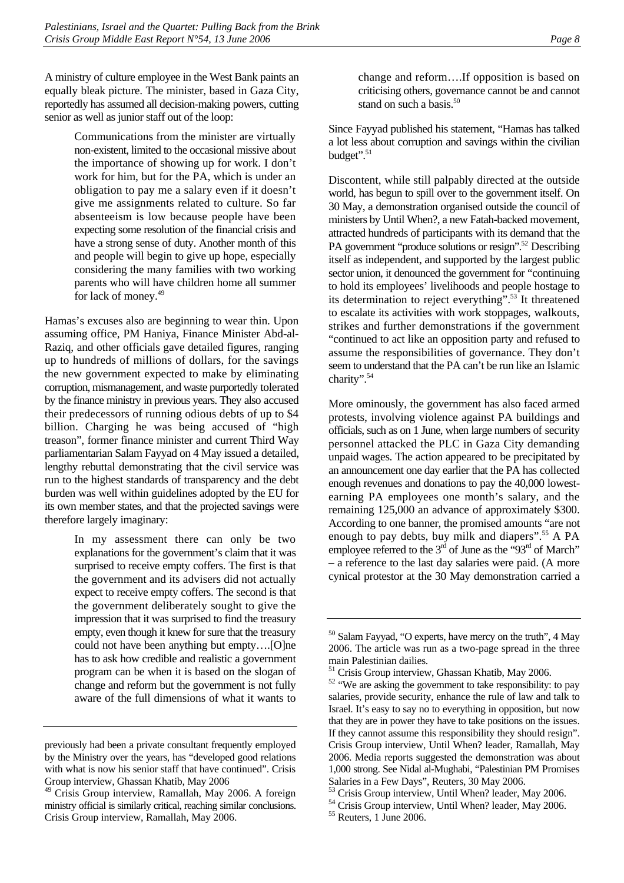A ministry of culture employee in the West Bank paints an equally bleak picture. The minister, based in Gaza City, reportedly has assumed all decision-making powers, cutting senior as well as junior staff out of the loop:

> Communications from the minister are virtually non-existent, limited to the occasional missive about the importance of showing up for work. I don't work for him, but for the PA, which is under an obligation to pay me a salary even if it doesn't give me assignments related to culture. So far absenteeism is low because people have been expecting some resolution of the financial crisis and have a strong sense of duty. Another month of this and people will begin to give up hope, especially considering the many families with two working parents who will have children home all summer for lack of money.[49](#page-13-0)

Hamas's excuses also are beginning to wear thin. Upon assuming office, PM Haniya, Finance Minister Abd-al-Raziq, and other officials gave detailed figures, ranging up to hundreds of millions of dollars, for the savings the new government expected to make by eliminating corruption, mismanagement, and waste purportedly tolerated by the finance ministry in previous years. They also accused their predecessors of running odious debts of up to \$4 billion. Charging he was being accused of "high treason", former finance minister and current Third Way parliamentarian Salam Fayyad on 4 May issued a detailed, lengthy rebuttal demonstrating that the civil service was run to the highest standards of transparency and the debt burden was well within guidelines adopted by the EU for its own member states, and that the projected savings were therefore largely imaginary:

> In my assessment there can only be two explanations for the government's claim that it was surprised to receive empty coffers. The first is that the government and its advisers did not actually expect to receive empty coffers. The second is that the government deliberately sought to give the impression that it was surprised to find the treasury empty, even though it knew for sure that the treasury could not have been anything but empty….[O]ne has to ask how credible and realistic a government program can be when it is based on the slogan of change and reform but the government is not fully aware of the full dimensions of what it wants to

change and reform….If opposition is based on criticising others, governance cannot be and cannot stand on such a basis. $50$ 

Since Fayyad published his statement, "Hamas has talked a lot less about corruption and savings within the civilian budget".<sup>51</sup>

Discontent, while still palpably directed at the outside world, has begun to spill over to the government itself. On 30 May, a demonstration organised outside the council of ministers by Until When?, a new Fatah-backed movement, attracted hundreds of participants with its demand that the PA government "produce solutions or resign".<sup>52</sup> Describing itself as independent, and supported by the largest public sector union, it denounced the government for "continuing to hold its employees' livelihoods and people hostage to its determination to reject everything".<sup>53</sup> It threatened to escalate its activities with work stoppages, walkouts, strikes and further demonstrations if the government "continued to act like an opposition party and refused to assume the responsibilities of governance. They don't seem to understand that the PA can't be run like an Islamic charity".[54](#page-13-5) 

More ominously, the government has also faced armed protests, involving violence against PA buildings and officials, such as on 1 June, when large numbers of security personnel attacked the PLC in Gaza City demanding unpaid wages. The action appeared to be precipitated by an announcement one day earlier that the PA has collected enough revenues and donations to pay the 40,000 lowestearning PA employees one month's salary, and the remaining 125,000 an advance of approximately \$300. According to one banner, the promised amounts "are not enough to pay debts, buy milk and diapers".<sup>55</sup> A PA employee referred to the  $3<sup>rd</sup>$  of June as the "93<sup>rd</sup> of March" – a reference to the last day salaries were paid. (A more cynical protestor at the 30 May demonstration carried a

previously had been a private consultant frequently employed by the Ministry over the years, has "developed good relations with what is now his senior staff that have continued". Crisis Group interview, Ghassan Khatib, May 2006

<span id="page-13-0"></span><sup>49</sup> Crisis Group interview, Ramallah, May 2006. A foreign ministry official is similarly critical, reaching similar conclusions. Crisis Group interview, Ramallah, May 2006.

<span id="page-13-1"></span><sup>50</sup> Salam Fayyad, "O experts, have mercy on the truth", 4 May 2006. The article was run as a two-page spread in the three main Palestinian dailies.

<span id="page-13-2"></span><sup>&</sup>lt;sup>51</sup> Crisis Group interview, Ghassan Khatib, May 2006.

<span id="page-13-3"></span><sup>&</sup>lt;sup>52</sup> "We are asking the government to take responsibility: to pay salaries, provide security, enhance the rule of law and talk to Israel. It's easy to say no to everything in opposition, but now that they are in power they have to take positions on the issues. If they cannot assume this responsibility they should resign". Crisis Group interview, Until When? leader, Ramallah, May 2006. Media reports suggested the demonstration was about 1,000 strong. See Nidal al-Mughabi, "Palestinian PM Promises Salaries in a Few Days", Reuters, 30 May 2006.

<span id="page-13-4"></span><sup>53</sup> Crisis Group interview, Until When? leader, May 2006.

<span id="page-13-5"></span><sup>&</sup>lt;sup>54</sup> Crisis Group interview, Until When? leader, May 2006.

<span id="page-13-6"></span><sup>55</sup> Reuters, 1 June 2006.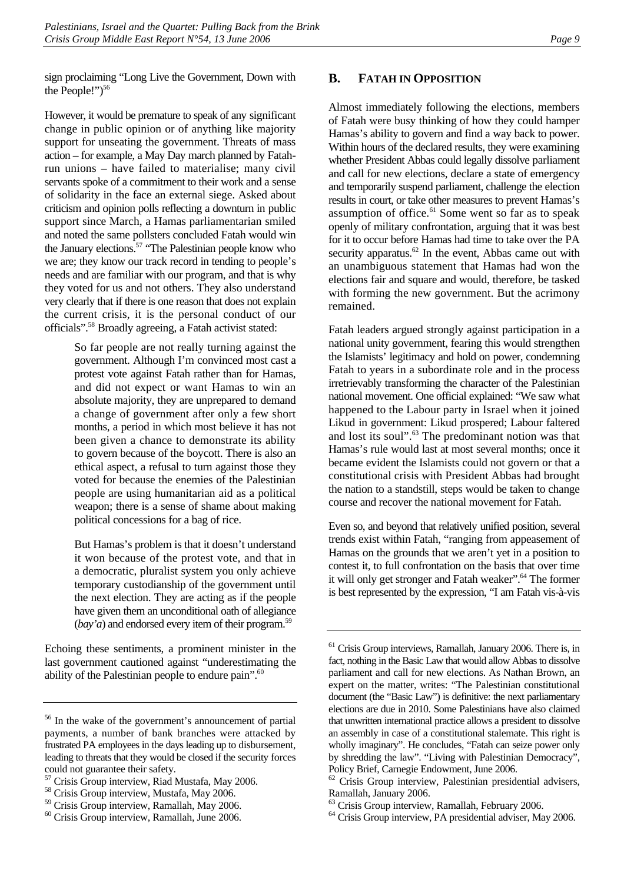sign proclaiming "Long Live the Government, Down with the People!" $5^{56}$ 

However, it would be premature to speak of any significant change in public opinion or of anything like majority support for unseating the government. Threats of mass action – for example, a May Day march planned by Fatahrun unions – have failed to materialise; many civil servants spoke of a commitment to their work and a sense of solidarity in the face an external siege. Asked about criticism and opinion polls reflecting a downturn in public support since March, a Hamas parliamentarian smiled and noted the same pollsters concluded Fatah would win the January elections.<sup>57</sup> "The Palestinian people know who we are; they know our track record in tending to people's needs and are familiar with our program, and that is why they voted for us and not others. They also understand very clearly that if there is one reason that does not explain the current crisis, it is the personal conduct of our officials"[.58 B](#page-14-3)roadly agreeing, a Fatah activist stated:

> So far people are not really turning against the government. Although I'm convinced most cast a protest vote against Fatah rather than for Hamas, and did not expect or want Hamas to win an absolute majority, they are unprepared to demand a change of government after only a few short months, a period in which most believe it has not been given a chance to demonstrate its ability to govern because of the boycott. There is also an ethical aspect, a refusal to turn against those they voted for because the enemies of the Palestinian people are using humanitarian aid as a political weapon; there is a sense of shame about making political concessions for a bag of rice.

> But Hamas's problem is that it doesn't understand it won because of the protest vote, and that in a democratic, pluralist system you only achieve temporary custodianship of the government until the next election. They are acting as if the people have given them an unconditional oath of allegiance (*bay'a*) and endorsed every item of their program.<sup>59</sup>

Echoing these sentiments, a prominent minister in the last government cautioned against "underestimating the ability of the Palestinian people to endure pain".<sup>60</sup>

#### <span id="page-14-0"></span>**B. FATAH IN OPPOSITION**

Almost immediately following the elections, members of Fatah were busy thinking of how they could hamper Hamas's ability to govern and find a way back to power. Within hours of the declared results, they were examining whether President Abbas could legally dissolve parliament and call for new elections, declare a state of emergency and temporarily suspend parliament, challenge the election results in court, or take other measures to prevent Hamas's assumption of office. $61$  Some went so far as to speak openly of military confrontation, arguing that it was best for it to occur before Hamas had time to take over the PA security apparatus. $62$  In the event, Abbas came out with an unambiguous statement that Hamas had won the elections fair and square and would, therefore, be tasked with forming the new government. But the acrimony remained.

Fatah leaders argued strongly against participation in a national unity government, fearing this would strengthen the Islamists' legitimacy and hold on power, condemning Fatah to years in a subordinate role and in the process irretrievably transforming the character of the Palestinian national movement. One official explained: "We saw what happened to the Labour party in Israel when it joined Likud in government: Likud prospered; Labour faltered and lost its soul".<sup>63</sup> The predominant notion was that Hamas's rule would last at most several months; once it became evident the Islamists could not govern or that a constitutional crisis with President Abbas had brought the nation to a standstill, steps would be taken to change course and recover the national movement for Fatah.

Even so, and beyond that relatively unified position, several trends exist within Fatah, "ranging from appeasement of Hamas on the grounds that we aren't yet in a position to contest it, to full confrontation on the basis that over time it will only get stronger and Fatah weaker".<sup>64</sup> The former is best represented by the expression, "I am Fatah vis-à-vis

<span id="page-14-1"></span><sup>56</sup> In the wake of the government's announcement of partial payments, a number of bank branches were attacked by frustrated PA employees in the days leading up to disbursement, leading to threats that they would be closed if the security forces could not guarantee their safety.

<span id="page-14-2"></span><sup>57</sup> Crisis Group interview, Riad Mustafa, May 2006.

<span id="page-14-3"></span><sup>58</sup> Crisis Group interview, Mustafa, May 2006.

<span id="page-14-4"></span><sup>59</sup> Crisis Group interview, Ramallah, May 2006.

<span id="page-14-5"></span><sup>60</sup> Crisis Group interview, Ramallah, June 2006.

<span id="page-14-6"></span><sup>61</sup> Crisis Group interviews, Ramallah, January 2006. There is, in fact, nothing in the Basic Law that would allow Abbas to dissolve parliament and call for new elections. As Nathan Brown, an expert on the matter, writes: "The Palestinian constitutional document (the "Basic Law") is definitive: the next parliamentary elections are due in 2010. Some Palestinians have also claimed that unwritten international practice allows a president to dissolve an assembly in case of a constitutional stalemate. This right is wholly imaginary". He concludes, "Fatah can seize power only by shredding the law". "Living with Palestinian Democracy", Policy Brief, Carnegie Endowment, June 2006.

<span id="page-14-7"></span> $62$  Crisis Group interview, Palestinian presidential advisers, Ramallah, January 2006.

<span id="page-14-8"></span><sup>63</sup> Crisis Group interview, Ramallah, February 2006.

<span id="page-14-9"></span><sup>&</sup>lt;sup>64</sup> Crisis Group interview, PA presidential adviser, May 2006.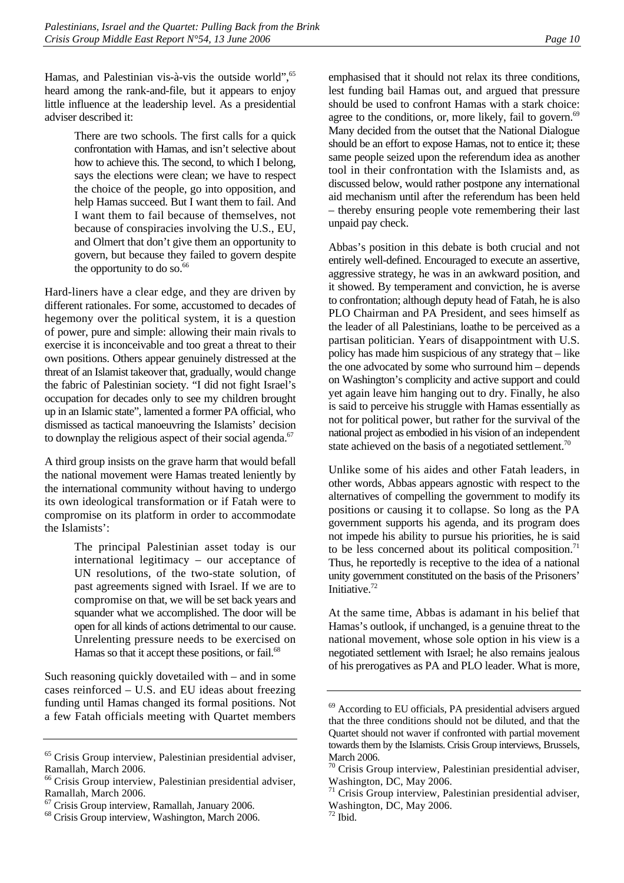Hamas, and Palestinian vis-à-vis the outside world".<sup>65</sup> heard among the rank-and-file, but it appears to enjoy little influence at the leadership level. As a presidential adviser described it:

> There are two schools. The first calls for a quick confrontation with Hamas, and isn't selective about how to achieve this. The second, to which I belong, says the elections were clean; we have to respect the choice of the people, go into opposition, and help Hamas succeed. But I want them to fail. And I want them to fail because of themselves, not because of conspiracies involving the U.S., EU, and Olmert that don't give them an opportunity to govern, but because they failed to govern despite the opportunity to do so. $66$

Hard-liners have a clear edge, and they are driven by different rationales. For some, accustomed to decades of hegemony over the political system, it is a question of power, pure and simple: allowing their main rivals to exercise it is inconceivable and too great a threat to their own positions. Others appear genuinely distressed at the threat of an Islamist takeover that, gradually, would change the fabric of Palestinian society. "I did not fight Israel's occupation for decades only to see my children brought up in an Islamic state", lamented a former PA official, who dismissed as tactical manoeuvring the Islamists' decision to downplay the religious aspect of their social agenda.<sup>[67](#page-15-2)</sup>

A third group insists on the grave harm that would befall the national movement were Hamas treated leniently by the international community without having to undergo its own ideological transformation or if Fatah were to compromise on its platform in order to accommodate the Islamists':

> The principal Palestinian asset today is our international legitimacy – our acceptance of UN resolutions, of the two-state solution, of past agreements signed with Israel. If we are to compromise on that, we will be set back years and squander what we accomplished. The door will be open for all kinds of actions detrimental to our cause. Unrelenting pressure needs to be exercised on Hamas so that it accept these positions, or fail.<sup>68</sup>

Such reasoning quickly dovetailed with – and in some cases reinforced – U.S. and EU ideas about freezing funding until Hamas changed its formal positions. Not a few Fatah officials meeting with Quartet members

emphasised that it should not relax its three conditions, lest funding bail Hamas out, and argued that pressure should be used to confront Hamas with a stark choice: agree to the conditions, or, more likely, fail to govern.<sup>69</sup> Many decided from the outset that the National Dialogue should be an effort to expose Hamas, not to entice it; these same people seized upon the referendum idea as another tool in their confrontation with the Islamists and, as discussed below, would rather postpone any international aid mechanism until after the referendum has been held – thereby ensuring people vote remembering their last unpaid pay check.

Abbas's position in this debate is both crucial and not entirely well-defined. Encouraged to execute an assertive, aggressive strategy, he was in an awkward position, and it showed. By temperament and conviction, he is averse to confrontation; although deputy head of Fatah, he is also PLO Chairman and PA President, and sees himself as the leader of all Palestinians, loathe to be perceived as a partisan politician. Years of disappointment with U.S. policy has made him suspicious of any strategy that – like the one advocated by some who surround him – depends on Washington's complicity and active support and could yet again leave him hanging out to dry. Finally, he also is said to perceive his struggle with Hamas essentially as not for political power, but rather for the survival of the national project as embodied in his vision of an independent state achieved on the basis of a negotiated settlement.<sup>70</sup>

Unlike some of his aides and other Fatah leaders, in other words, Abbas appears agnostic with respect to the alternatives of compelling the government to modify its positions or causing it to collapse. So long as the PA government supports his agenda, and its program does not impede his ability to pursue his priorities, he is said to be less concerned about its political composition.<sup>71</sup> Thus, he reportedly is receptive to the idea of a national unity government constituted on the basis of the Prisoners' Initiative.<sup>72</sup>

At the same time, Abbas is adamant in his belief that Hamas's outlook, if unchanged, is a genuine threat to the national movement, whose sole option in his view is a negotiated settlement with Israel; he also remains jealous of his prerogatives as PA and PLO leader. What is more,

<span id="page-15-0"></span><sup>65</sup> Crisis Group interview, Palestinian presidential adviser, Ramallah, March 2006.

<span id="page-15-1"></span><sup>66</sup> Crisis Group interview, Palestinian presidential adviser, Ramallah, March 2006.

<span id="page-15-2"></span><sup>67</sup> Crisis Group interview, Ramallah, January 2006.

<span id="page-15-3"></span><sup>68</sup> Crisis Group interview, Washington, March 2006.

<span id="page-15-4"></span><sup>69</sup> According to EU officials, PA presidential advisers argued that the three conditions should not be diluted, and that the Quartet should not waver if confronted with partial movement towards them by the Islamists. Crisis Group interviews, Brussels, March 2006.

<span id="page-15-5"></span> $70$  Crisis Group interview, Palestinian presidential adviser, Washington, DC, May 2006.

<span id="page-15-6"></span><sup>&</sup>lt;sup>71</sup> Crisis Group interview, Palestinian presidential adviser, Washington, DC, May 2006.

<span id="page-15-7"></span> $72$  Ibid.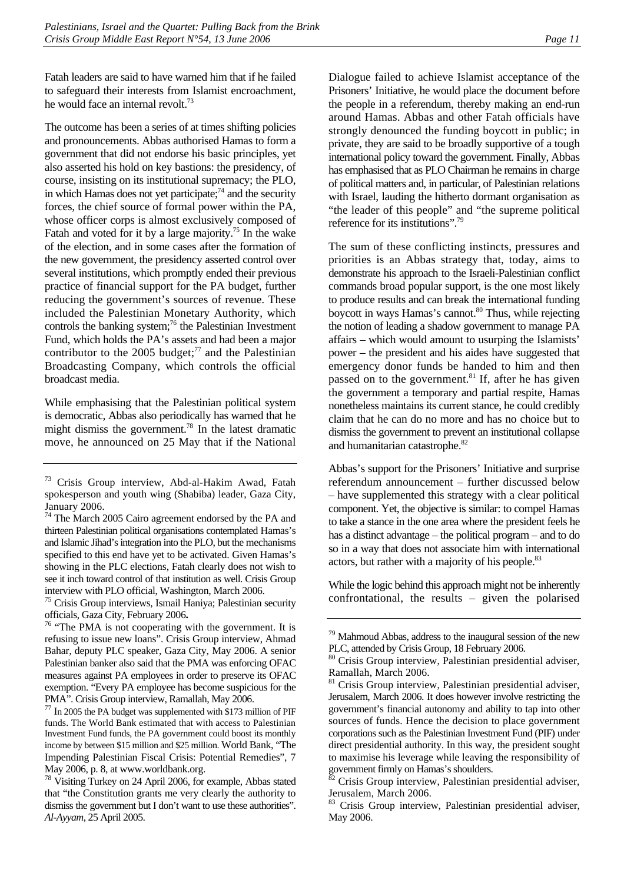Fatah leaders are said to have warned him that if he failed to safeguard their interests from Islamist encroachment, he would face an internal revolt.<sup>73</sup>

The outcome has been a series of at times shifting policies and pronouncements. Abbas authorised Hamas to form a government that did not endorse his basic principles, yet also asserted his hold on key bastions: the presidency, of course, insisting on its institutional supremacy; the PLO, in which Hamas does not yet participate; $7<sup>4</sup>$  and the security forces, the chief source of formal power within the PA, whose officer corps is almost exclusively composed of Fatah and voted for it by a large majority.<sup>75</sup> In the wake of the election, and in some cases after the formation of the new government, the presidency asserted control over several institutions, which promptly ended their previous practice of financial support for the PA budget, further reducing the government's sources of revenue. These included the Palestinian Monetary Authority, which controls the banking system;<sup>76</sup> the Palestinian Investment Fund, which holds the PA's assets and had been a major contributor to the 2005 budget; $^{77}$  and the Palestinian Broadcasting Company, which controls the official broadcast media.

While emphasising that the Palestinian political system is democratic, Abbas also periodically has warned that he might dismiss the government.<sup>78</sup> In the latest dramatic move, he announced on 25 May that if the National

<span id="page-16-2"></span><sup>75</sup> Crisis Group interviews, Ismail Haniya; Palestinian security

<span id="page-16-3"></span>officials, Gaza City, February 2006**.** 76 "The PMA is not cooperating with the government. It is refusing to issue new loans". Crisis Group interview, Ahmad Bahar, deputy PLC speaker, Gaza City, May 2006. A senior Palestinian banker also said that the PMA was enforcing OFAC measures against PA employees in order to preserve its OFAC exemption. "Every PA employee has become suspicious for the PMA". Crisis Group interview, Ramallah, May 2006.

Dialogue failed to achieve Islamist acceptance of the Prisoners' Initiative, he would place the document before the people in a referendum, thereby making an end-run around Hamas. Abbas and other Fatah officials have strongly denounced the funding boycott in public; in private, they are said to be broadly supportive of a tough international policy toward the government. Finally, Abbas has emphasised that as PLO Chairman he remains in charge of political matters and, in particular, of Palestinian relations with Israel, lauding the hitherto dormant organisation as "the leader of this people" and "the supreme political reference for its institutions".[79](#page-16-6)

The sum of these conflicting instincts, pressures and priorities is an Abbas strategy that, today, aims to demonstrate his approach to the Israeli-Palestinian conflict commands broad popular support, is the one most likely to produce results and can break the international funding boycott in ways Hamas's cannot.<sup>80</sup> Thus, while rejecting the notion of leading a shadow government to manage PA affairs – which would amount to usurping the Islamists' power – the president and his aides have suggested that emergency donor funds be handed to him and then passed on to the government. $81$  If, after he has given the government a temporary and partial respite, Hamas nonetheless maintains its current stance, he could credibly claim that he can do no more and has no choice but to dismiss the government to prevent an institutional collapse and humanitarian catastrophe.<sup>82</sup>

Abbas's support for the Prisoners' Initiative and surprise referendum announcement – further discussed below – have supplemented this strategy with a clear political component. Yet, the objective is similar: to compel Hamas to take a stance in the one area where the president feels he has a distinct advantage – the political program – and to do so in a way that does not associate him with international actors, but rather with a majority of his people.<sup>83</sup>

While the logic behind this approach might not be inherently confrontational, the results – given the polarised

<span id="page-16-0"></span><sup>73</sup> Crisis Group interview, Abd-al-Hakim Awad, Fatah spokesperson and youth wing (Shabiba) leader, Gaza City, January 2006.

<span id="page-16-1"></span><sup>&</sup>lt;sup>74</sup> The March 2005 Cairo agreement endorsed by the PA and thirteen Palestinian political organisations contemplated Hamas's and Islamic Jihad's integration into the PLO, but the mechanisms specified to this end have yet to be activated. Given Hamas's showing in the PLC elections, Fatah clearly does not wish to see it inch toward control of that institution as well. Crisis Group interview with PLO official, Washington, March 2006.

<span id="page-16-4"></span><sup>77</sup> In 2005 the PA budget was supplemented with \$173 million of PIF funds. The World Bank estimated that with access to Palestinian Investment Fund funds, the PA government could boost its monthly income by between \$15 million and \$25 million. World Bank, "The Impending Palestinian Fiscal Crisis: Potential Remedies", 7 May 2006, p. 8, at www.worldbank.org.

<span id="page-16-5"></span><sup>78</sup> Visiting Turkey on 24 April 2006, for example, Abbas stated that "the Constitution grants me very clearly the authority to dismiss the government but I don't want to use these authorities". *Al-Ayyam*, 25 April 2005.

<span id="page-16-6"></span> $79$  Mahmoud Abbas, address to the inaugural session of the new PLC, attended by Crisis Group, 18 February 2006.

<span id="page-16-7"></span><sup>&</sup>lt;sup>80</sup> Crisis Group interview, Palestinian presidential adviser, Ramallah, March 2006.

<span id="page-16-8"></span> $81$  Crisis Group interview, Palestinian presidential adviser, Jerusalem, March 2006. It does however involve restricting the government's financial autonomy and ability to tap into other sources of funds. Hence the decision to place government corporations such as the Palestinian Investment Fund (PIF) under direct presidential authority. In this way, the president sought to maximise his leverage while leaving the responsibility of government firmly on Hamas's shoulders.

<span id="page-16-9"></span>Crisis Group interview, Palestinian presidential adviser, Jerusalem, March 2006.

<span id="page-16-10"></span><sup>83</sup> Crisis Group interview, Palestinian presidential adviser, May 2006.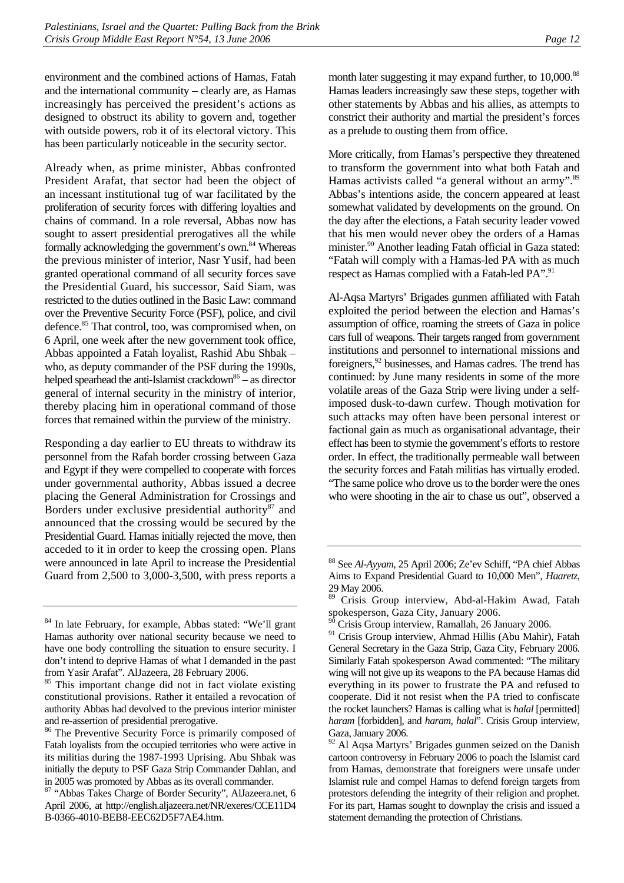environment and the combined actions of Hamas, Fatah and the international community – clearly are, as Hamas increasingly has perceived the president's actions as designed to obstruct its ability to govern and, together with outside powers, rob it of its electoral victory. This has been particularly noticeable in the security sector.

Already when, as prime minister, Abbas confronted President Arafat, that sector had been the object of an incessant institutional tug of war facilitated by the proliferation of security forces with differing loyalties and chains of command. In a role reversal, Abbas now has sought to assert presidential prerogatives all the while formally acknowledging the government's own.<sup>84</sup> Whereas the previous minister of interior, Nasr Yusif, had been granted operational command of all security forces save the Presidential Guard, his successor, Said Siam, was restricted to the duties outlined in the Basic Law: command over the Preventive Security Force (PSF), police, and civil defence.<sup>85</sup> That control, too, was compromised when, on 6 April, one week after the new government took office, Abbas appointed a Fatah loyalist, Rashid Abu Shbak – who, as deputy commander of the PSF during the 1990s, helped spearhead the anti-Islamist crackdown<sup>86</sup> – as director general of internal security in the ministry of interior, thereby placing him in operational command of those forces that remained within the purview of the ministry.

Responding a day earlier to EU threats to withdraw its personnel from the Rafah border crossing between Gaza and Egypt if they were compelled to cooperate with forces under governmental authority, Abbas issued a decree placing the General Administration for Crossings and Borders under exclusive presidential authority<sup>87</sup> and announced that the crossing would be secured by the Presidential Guard. Hamas initially rejected the move, then acceded to it in order to keep the crossing open. Plans were announced in late April to increase the Presidential Guard from 2,500 to 3,000-3,500, with press reports a month later suggesting it may expand further, to 10,000.<sup>88</sup> Hamas leaders increasingly saw these steps, together with other statements by Abbas and his allies, as attempts to constrict their authority and martial the president's forces as a prelude to ousting them from office.

More critically, from Hamas's perspective they threatened to transform the government into what both Fatah and Hamas activists called "a general without an army".<sup>89</sup> Abbas's intentions aside, the concern appeared at least somewhat validated by developments on the ground. On the day after the elections, a Fatah security leader vowed that his men would never obey the orders of a Hamas minister.<sup>90</sup> Another leading Fatah official in Gaza stated: "Fatah will comply with a Hamas-led PA with as much respect as Hamas complied with a Fatah-led PA".<sup>91</sup>

Al-Aqsa Martyrs' Brigades gunmen affiliated with Fatah exploited the period between the election and Hamas's assumption of office, roaming the streets of Gaza in police cars full of weapons. Their targets ranged from government institutions and personnel to international missions and foreigners,<sup>92</sup> businesses, and Hamas cadres. The trend has continued: by June many residents in some of the more volatile areas of the Gaza Strip were living under a selfimposed dusk-to-dawn curfew. Though motivation for such attacks may often have been personal interest or factional gain as much as organisational advantage, their effect has been to stymie the government's efforts to restore order. In effect, the traditionally permeable wall between the security forces and Fatah militias has virtually eroded. "The same police who drove us to the border were the ones who were shooting in the air to chase us out", observed a

<span id="page-17-0"></span><sup>84</sup> In late February, for example, Abbas stated: "We'll grant Hamas authority over national security because we need to have one body controlling the situation to ensure security. I don't intend to deprive Hamas of what I demanded in the past from Yasir Arafat". AlJazeera, 28 February 2006.

<span id="page-17-1"></span><sup>&</sup>lt;sup>85</sup> This important change did not in fact violate existing constitutional provisions. Rather it entailed a revocation of authority Abbas had devolved to the previous interior minister and re-assertion of presidential prerogative.

<span id="page-17-2"></span><sup>86</sup> The Preventive Security Force is primarily composed of Fatah loyalists from the occupied territories who were active in its militias during the 1987-1993 Uprising. Abu Shbak was initially the deputy to PSF Gaza Strip Commander Dahlan, and in 2005 was promoted by Abbas as its overall commander.

<span id="page-17-3"></span><sup>87 &</sup>quot;Abbas Takes Charge of Border Security", AlJazeera.net, 6 April 2006, at http://english.aljazeera.net/NR/exeres/CCE11D4 B-0366-4010-BEB8-EEC62D5F7AE4.htm.

<span id="page-17-4"></span><sup>88</sup> See *Al-Ayyam*, 25 April 2006; Ze'ev Schiff, "PA chief Abbas Aims to Expand Presidential Guard to 10,000 Men", *Haaretz*, 29 May 2006.

<span id="page-17-5"></span><sup>89</sup> Crisis Group interview, Abd-al-Hakim Awad, Fatah spokesperson, Gaza City, January 2006.

<span id="page-17-6"></span>Crisis Group interview, Ramallah, 26 January 2006.

<span id="page-17-7"></span><sup>&</sup>lt;sup>91</sup> Crisis Group interview, Ahmad Hillis (Abu Mahir), Fatah General Secretary in the Gaza Strip, Gaza City, February 2006. Similarly Fatah spokesperson Awad commented: "The military wing will not give up its weapons to the PA because Hamas did everything in its power to frustrate the PA and refused to cooperate. Did it not resist when the PA tried to confiscate the rocket launchers? Hamas is calling what is *halal* [permitted] *haram* [forbidden], and *haram, halal*". Crisis Group interview, Gaza, January 2006.

<span id="page-17-8"></span><sup>&</sup>lt;sup>92</sup> Al Aqsa Martyrs' Brigades gunmen seized on the Danish cartoon controversy in February 2006 to poach the Islamist card from Hamas, demonstrate that foreigners were unsafe under Islamist rule and compel Hamas to defend foreign targets from protestors defending the integrity of their religion and prophet. For its part, Hamas sought to downplay the crisis and issued a statement demanding the protection of Christians.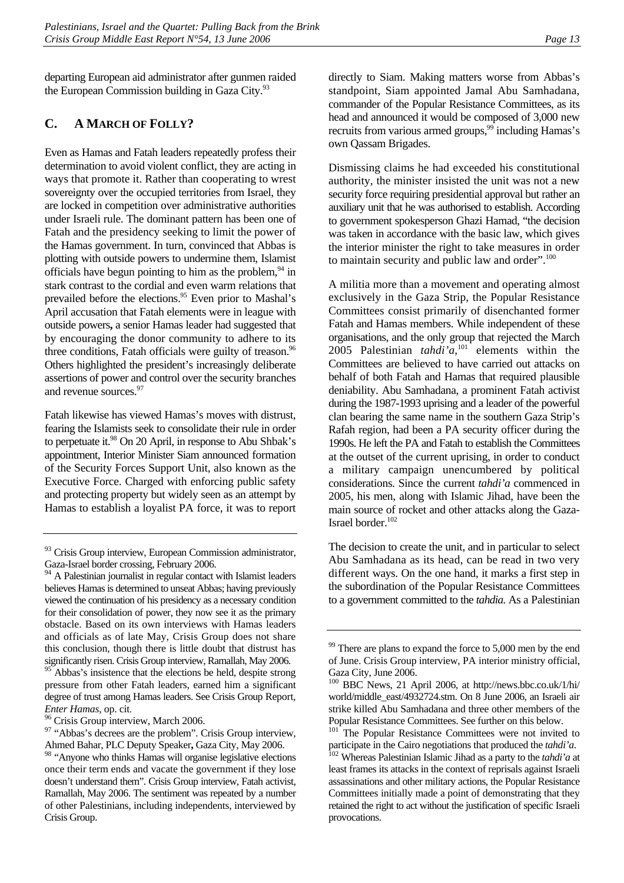departing European aid administrator after gunmen raided the European Commission building in Gaza City.<sup>93</sup>

#### <span id="page-18-0"></span>**C. A MARCH OF FOLLY?**

Even as Hamas and Fatah leaders repeatedly profess their determination to avoid violent conflict, they are acting in ways that promote it. Rather than cooperating to wrest sovereignty over the occupied territories from Israel, they are locked in competition over administrative authorities under Israeli rule. The dominant pattern has been one of Fatah and the presidency seeking to limit the power of the Hamas government. In turn, convinced that Abbas is plotting with outside powers to undermine them, Islamist officials have begun pointing to him as the problem, $94$  in stark contrast to the cordial and even warm relations that prevailed before the elections.<sup>95</sup> Even prior to Mashal's April accusation that Fatah elements were in league with outside powers**,** a senior Hamas leader had suggested that by encouraging the donor community to adhere to its three conditions, Fatah officials were guilty of treason.<sup>96</sup> Others highlighted the president's increasingly deliberate assertions of power and control over the security branches and revenue sources.<sup>[97](#page-18-5)</sup>

Fatah likewise has viewed Hamas's moves with distrust, fearing the Islamists seek to consolidate their rule in order to perpetuate it.<sup>98</sup> On 20 April, in response to Abu Shbak's appointment, Interior Minister Siam announced formation of the Security Forces Support Unit, also known as the Executive Force. Charged with enforcing public safety and protecting property but widely seen as an attempt by Hamas to establish a loyalist PA force, it was to report

<span id="page-18-3"></span>Abbas's insistence that the elections be held, despite strong pressure from other Fatah leaders, earned him a significant degree of trust among Hamas leaders. See Crisis Group Report,

<span id="page-18-4"></span>*Enter Hamas*, op. cit. 96 Crisis Group interview, March 2006.

directly to Siam. Making matters worse from Abbas's standpoint, Siam appointed Jamal Abu Samhadana, commander of the Popular Resistance Committees, as its head and announced it would be composed of 3,000 new recruits from various armed groups,<sup>99</sup> including Hamas's own Qassam Brigades.

Dismissing claims he had exceeded his constitutional authority, the minister insisted the unit was not a new security force requiring presidential approval but rather an auxiliary unit that he was authorised to establish. According to government spokesperson Ghazi Hamad, "the decision was taken in accordance with the basic law, which gives the interior minister the right to take measures in order to maintain security and public law and order".<sup>[100](#page-18-8)</sup>

A militia more than a movement and operating almost exclusively in the Gaza Strip, the Popular Resistance Committees consist primarily of disenchanted former Fatah and Hamas members. While independent of these organisations, and the only group that rejected the March 2005 Palestinian *tahdi'a*, [101](#page-18-9) elements within the Committees are believed to have carried out attacks on behalf of both Fatah and Hamas that required plausible deniability. Abu Samhadana, a prominent Fatah activist during the 1987-1993 uprising and a leader of the powerful clan bearing the same name in the southern Gaza Strip's Rafah region, had been a PA security officer during the 1990s. He left the PA and Fatah to establish the Committees at the outset of the current uprising, in order to conduct a military campaign unencumbered by political considerations. Since the current *tahdi'a* commenced in 2005, his men, along with Islamic Jihad, have been the main source of rocket and other attacks along the Gaza-Israel border.<sup>102</sup>

The decision to create the unit, and in particular to select Abu Samhadana as its head, can be read in two very different ways. On the one hand, it marks a first step in the subordination of the Popular Resistance Committees to a government committed to the *tahdia.* As a Palestinian

<span id="page-18-1"></span><sup>&</sup>lt;sup>93</sup> Crisis Group interview, European Commission administrator, Gaza-Israel border crossing, February 2006.

<span id="page-18-2"></span><sup>&</sup>lt;sup>94</sup> A Palestinian journalist in regular contact with Islamist leaders believes Hamas is determined to unseat Abbas; having previously viewed the continuation of his presidency as a necessary condition for their consolidation of power, they now see it as the primary obstacle. Based on its own interviews with Hamas leaders and officials as of late May, Crisis Group does not share this conclusion, though there is little doubt that distrust has significantly risen. Crisis Group interview, Ramallah, May 2006.

<span id="page-18-5"></span><sup>&</sup>lt;sup>97</sup> "Abbas's decrees are the problem". Crisis Group interview, Ahmed Bahar, PLC Deputy Speaker**,** Gaza City, May 2006.

<span id="page-18-6"></span><sup>&</sup>lt;sup>98</sup> "Anyone who thinks Hamas will organise legislative elections once their term ends and vacate the government if they lose doesn't understand them". Crisis Group interview, Fatah activist, Ramallah, May 2006. The sentiment was repeated by a number of other Palestinians, including independents, interviewed by Crisis Group.

<span id="page-18-7"></span> $99$  There are plans to expand the force to 5,000 men by the end of June. Crisis Group interview, PA interior ministry official, Gaza City, June 2006.

<span id="page-18-8"></span><sup>100</sup> BBC News, 21 April 2006, at http://news.bbc.co.uk/1/hi/ world/middle\_east/4932724.stm. On 8 June 2006, an Israeli air strike killed Abu Samhadana and three other members of the Popular Resistance Committees. See further on this below.

<span id="page-18-9"></span>The Popular Resistance Committees were not invited to participate in the Cairo negotiations that produced the *tahdi'a*. <sup>102</sup> Whereas Palestinian Islamic Jihad as a party to the *tahdi'a* at

<span id="page-18-10"></span>least frames its attacks in the context of reprisals against Israeli assassinations and other military actions, the Popular Resistance Committees initially made a point of demonstrating that they retained the right to act without the justification of specific Israeli provocations.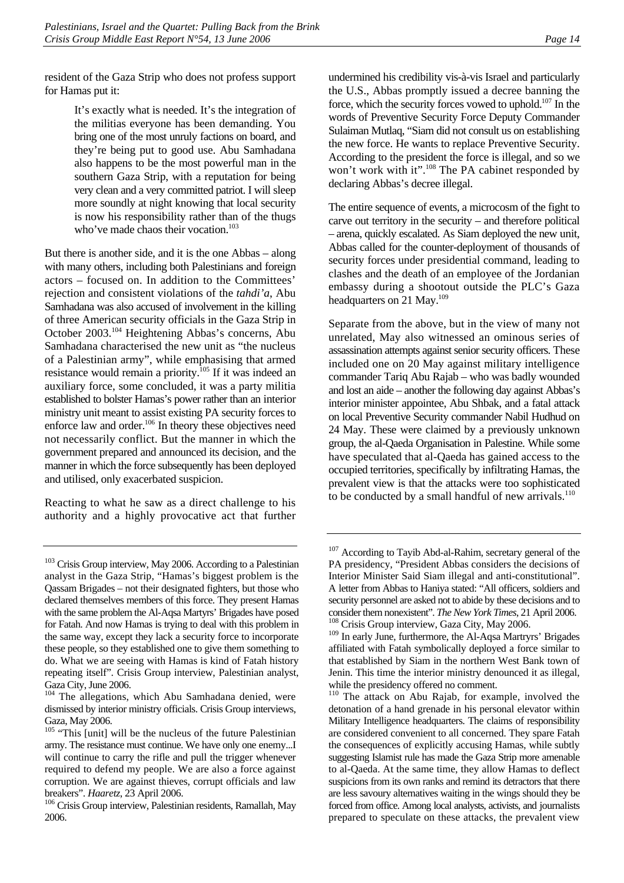resident of the Gaza Strip who does not profess support for Hamas put it:

> It's exactly what is needed. It's the integration of the militias everyone has been demanding. You bring one of the most unruly factions on board, and they're being put to good use. Abu Samhadana also happens to be the most powerful man in the southern Gaza Strip, with a reputation for being very clean and a very committed patriot. I will sleep more soundly at night knowing that local security is now his responsibility rather than of the thugs who've made chaos their vocation.<sup>103</sup>

But there is another side, and it is the one Abbas – along with many others, including both Palestinians and foreign actors – focused on. In addition to the Committees' rejection and consistent violations of the *tahdi'a*, Abu Samhadana was also accused of involvement in the killing of three American security officials in the Gaza Strip in October 2003.[104 H](#page-19-1)eightening Abbas's concerns, Abu Samhadana characterised the new unit as "the nucleus of a Palestinian army", while emphasising that armed resistance would remain a priority.<sup>105</sup> If it was indeed an auxiliary force, some concluded, it was a party militia established to bolster Hamas's power rather than an interior ministry unit meant to assist existing PA security forces to enforce law and order.<sup>106</sup> In theory these objectives need not necessarily conflict. But the manner in which the government prepared and announced its decision, and the manner in which the force subsequently has been deployed and utilised, only exacerbated suspicion.

Reacting to what he saw as a direct challenge to his authority and a highly provocative act that further undermined his credibility vis-à-vis Israel and particularly the U.S., Abbas promptly issued a decree banning the force, which the security forces vowed to uphold.<sup>107</sup> In the words of Preventive Security Force Deputy Commander Sulaiman Mutlaq, "Siam did not consult us on establishing the new force. He wants to replace Preventive Security. According to the president the force is illegal, and so we won't work with it".<sup>108</sup> The PA cabinet responded by declaring Abbas's decree illegal.

The entire sequence of events, a microcosm of the fight to carve out territory in the security – and therefore political – arena, quickly escalated. As Siam deployed the new unit, Abbas called for the counter-deployment of thousands of security forces under presidential command, leading to clashes and the death of an employee of the Jordanian embassy during a shootout outside the PLC's Gaza headquarters on 21 May.<sup>[109](#page-19-6)</sup>

Separate from the above, but in the view of many not unrelated, May also witnessed an ominous series of assassination attempts against senior security officers. These included one on 20 May against military intelligence commander Tariq Abu Rajab – who was badly wounded and lost an aide – another the following day against Abbas's interior minister appointee, Abu Shbak, and a fatal attack on local Preventive Security commander Nabil Hudhud on 24 May. These were claimed by a previously unknown group, the al-Qaeda Organisation in Palestine. While some have speculated that al-Qaeda has gained access to the occupied territories, specifically by infiltrating Hamas, the prevalent view is that the attacks were too sophisticated to be conducted by a small handful of new arrivals. $110$ 

<span id="page-19-0"></span><sup>&</sup>lt;sup>103</sup> Crisis Group interview, May 2006. According to a Palestinian analyst in the Gaza Strip, "Hamas's biggest problem is the Qassam Brigades – not their designated fighters, but those who declared themselves members of this force. They present Hamas with the same problem the Al-Aqsa Martyrs' Brigades have posed for Fatah. And now Hamas is trying to deal with this problem in the same way, except they lack a security force to incorporate these people, so they established one to give them something to do. What we are seeing with Hamas is kind of Fatah history repeating itself". Crisis Group interview, Palestinian analyst, Gaza City, June 2006.

<span id="page-19-1"></span><sup>&</sup>lt;sup>104</sup> The allegations, which Abu Samhadana denied, were dismissed by interior ministry officials. Crisis Group interviews, Gaza, May 2006.

<span id="page-19-2"></span><sup>&</sup>lt;sup>105</sup> "This [unit] will be the nucleus of the future Palestinian army. The resistance must continue. We have only one enemy...I will continue to carry the rifle and pull the trigger whenever required to defend my people. We are also a force against corruption. We are against thieves, corrupt officials and law

<span id="page-19-3"></span>breakers". *Haaretz*, 23 April 2006.<br><sup>106</sup> Crisis Group interview, Palestinian residents, Ramallah, May 2006.

<span id="page-19-4"></span><sup>&</sup>lt;sup>107</sup> According to Tayib Abd-al-Rahim, secretary general of the PA presidency, "President Abbas considers the decisions of Interior Minister Said Siam illegal and anti-constitutional". A letter from Abbas to Haniya stated: "All officers, soldiers and security personnel are asked not to abide by these decisions and to consider them nonexistent". *The New York Times*, 21 April 2006. 108 Crisis Group interview, Gaza City, May 2006.

<span id="page-19-6"></span><span id="page-19-5"></span><sup>&</sup>lt;sup>109</sup> In early June, furthermore, the Al-Aqsa Martryrs' Brigades affiliated with Fatah symbolically deployed a force similar to that established by Siam in the northern West Bank town of Jenin. This time the interior ministry denounced it as illegal, while the presidency offered no comment.

<span id="page-19-7"></span><sup>&</sup>lt;sup>110</sup> The attack on Abu Rajab, for example, involved the detonation of a hand grenade in his personal elevator within Military Intelligence headquarters. The claims of responsibility are considered convenient to all concerned. They spare Fatah the consequences of explicitly accusing Hamas, while subtly suggesting Islamist rule has made the Gaza Strip more amenable to al-Qaeda. At the same time, they allow Hamas to deflect suspicions from its own ranks and remind its detractors that there are less savoury alternatives waiting in the wings should they be forced from office. Among local analysts, activists, and journalists prepared to speculate on these attacks, the prevalent view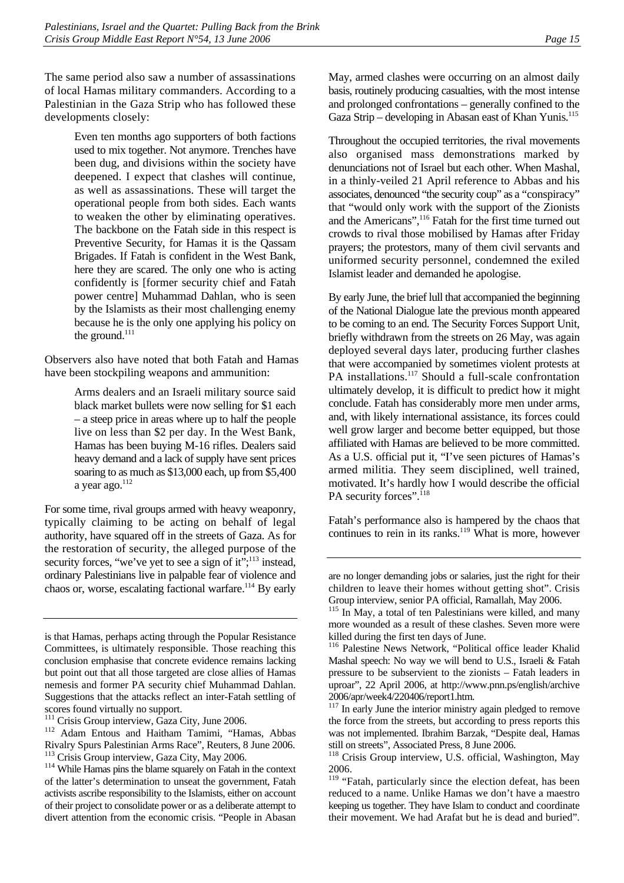The same period also saw a number of assassinations of local Hamas military commanders. According to a Palestinian in the Gaza Strip who has followed these developments closely:

> Even ten months ago supporters of both factions used to mix together. Not anymore. Trenches have been dug, and divisions within the society have deepened. I expect that clashes will continue, as well as assassinations. These will target the operational people from both sides. Each wants to weaken the other by eliminating operatives. The backbone on the Fatah side in this respect is Preventive Security, for Hamas it is the Qassam Brigades. If Fatah is confident in the West Bank, here they are scared. The only one who is acting confidently is [former security chief and Fatah power centre] Muhammad Dahlan, who is seen by the Islamists as their most challenging enemy because he is the only one applying his policy on the ground.<sup>111</sup>

Observers also have noted that both Fatah and Hamas have been stockpiling weapons and ammunition:

> Arms dealers and an Israeli military source said black market bullets were now selling for \$1 each – a steep price in areas where up to half the people live on less than \$2 per day. In the West Bank, Hamas has been buying M-16 rifles. Dealers said heavy demand and a lack of supply have sent prices soaring to as much as \$13,000 each, up from \$5,400 a year ago. $112$

For some time, rival groups armed with heavy weaponry, typically claiming to be acting on behalf of legal authority, have squared off in the streets of Gaza. As for the restoration of security, the alleged purpose of the security forces, "we've yet to see a sign of it";<sup>113</sup> instead, ordinary Palestinians live in palpable fear of violence and chaos or, worse, escalating factional warfare.<sup>114</sup> By early May, armed clashes were occurring on an almost daily basis, routinely producing casualties, with the most intense and prolonged confrontations – generally confined to the Gaza Strip – developing in Abasan east of Khan Yunis[.115](#page-20-4) 

Throughout the occupied territories, the rival movements also organised mass demonstrations marked by denunciations not of Israel but each other. When Mashal, in a thinly-veiled 21 April reference to Abbas and his associates, denounced "the security coup" as a "conspiracy" that "would only work with the support of the Zionists and the Americans",<sup>116</sup> Fatah for the first time turned out crowds to rival those mobilised by Hamas after Friday prayers; the protestors, many of them civil servants and uniformed security personnel, condemned the exiled Islamist leader and demanded he apologise.

By early June, the brief lull that accompanied the beginning of the National Dialogue late the previous month appeared to be coming to an end. The Security Forces Support Unit, briefly withdrawn from the streets on 26 May, was again deployed several days later, producing further clashes that were accompanied by sometimes violent protests at PA installations.<sup>117</sup> Should a full-scale confrontation ultimately develop, it is difficult to predict how it might conclude. Fatah has considerably more men under arms, and, with likely international assistance, its forces could well grow larger and become better equipped, but those affiliated with Hamas are believed to be more committed. As a U.S. official put it, "I've seen pictures of Hamas's armed militia. They seem disciplined, well trained, motivated. It's hardly how I would describe the official PA security forces".<sup>118</sup>

Fatah's performance also is hampered by the chaos that continues to rein in its ranks.<sup>119</sup> What is more, however

is that Hamas, perhaps acting through the Popular Resistance Committees, is ultimately responsible. Those reaching this conclusion emphasise that concrete evidence remains lacking but point out that all those targeted are close allies of Hamas nemesis and former PA security chief Muhammad Dahlan. Suggestions that the attacks reflect an inter-Fatah settling of scores found virtually no support.

<span id="page-20-1"></span><span id="page-20-0"></span>

<sup>&</sup>lt;sup>111</sup> Crisis Group interview, Gaza City, June 2006.<br><sup>112</sup> Adam Entous and Haitham Tamimi, "Hamas, Abbas Rivalry Spurs Palestinian Arms Race", Reuters, 8 June 2006.

<span id="page-20-3"></span><span id="page-20-2"></span><sup>&</sup>lt;sup>114</sup> While Hamas pins the blame squarely on Fatah in the context of the latter's determination to unseat the government, Fatah activists ascribe responsibility to the Islamists, either on account of their project to consolidate power or as a deliberate attempt to divert attention from the economic crisis. "People in Abasan

are no longer demanding jobs or salaries, just the right for their children to leave their homes without getting shot". Crisis Group interview, senior PA official, Ramallah, May 2006.

<span id="page-20-4"></span><sup>&</sup>lt;sup>115</sup> In May, a total of ten Palestinians were killed, and many more wounded as a result of these clashes. Seven more were killed during the first ten days of June.

<span id="page-20-5"></span><sup>116</sup> Palestine News Network, "Political office leader Khalid Mashal speech: No way we will bend to U.S., Israeli & Fatah pressure to be subservient to the zionists – Fatah leaders in uproar", 22 April 2006, at http://www.pnn.ps/english/archive 2006/apr/week4/220406/report1.htm.

<span id="page-20-6"></span><sup>&</sup>lt;sup>117</sup> In early June the interior ministry again pledged to remove the force from the streets, but according to press reports this was not implemented. Ibrahim Barzak, "Despite deal, Hamas still on streets", Associated Press, 8 June 2006.

<span id="page-20-7"></span><sup>&</sup>lt;sup>118</sup> Crisis Group interview, U.S. official, Washington, May 2006.

<span id="page-20-8"></span><sup>&</sup>lt;sup>119</sup> "Fatah, particularly since the election defeat, has been reduced to a name. Unlike Hamas we don't have a maestro keeping us together. They have Islam to conduct and coordinate their movement. We had Arafat but he is dead and buried".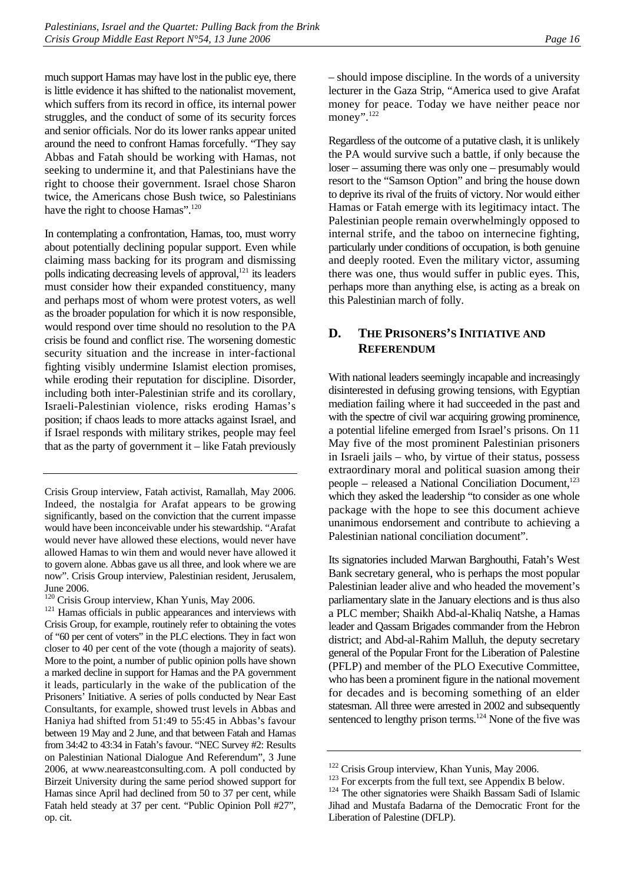much support Hamas may have lost in the public eye, there is little evidence it has shifted to the nationalist movement, which suffers from its record in office, its internal power struggles, and the conduct of some of its security forces and senior officials. Nor do its lower ranks appear united around the need to confront Hamas forcefully. "They say Abbas and Fatah should be working with Hamas, not seeking to undermine it, and that Palestinians have the right to choose their government. Israel chose Sharon twice, the Americans chose Bush twice, so Palestinians have the right to choose Hamas".<sup>120</sup>

In contemplating a confrontation, Hamas, too, must worry about potentially declining popular support. Even while claiming mass backing for its program and dismissing polls indicating decreasing levels of approval, $^{121}$  its leaders must consider how their expanded constituency, many and perhaps most of whom were protest voters, as well as the broader population for which it is now responsible, would respond over time should no resolution to the PA crisis be found and conflict rise. The worsening domestic security situation and the increase in inter-factional fighting visibly undermine Islamist election promises, while eroding their reputation for discipline. Disorder, including both inter-Palestinian strife and its corollary, Israeli-Palestinian violence, risks eroding Hamas's position; if chaos leads to more attacks against Israel, and if Israel responds with military strikes, people may feel that as the party of government it  $-$  like Fatah previously

<span id="page-21-1"></span>June 2006.<br><sup>120</sup> Crisis Group interview, Khan Yunis, May 2006.

– should impose discipline. In the words of a university lecturer in the Gaza Strip, "America used to give Arafat money for peace. Today we have neither peace nor money".<sup>122</sup>

Regardless of the outcome of a putative clash, it is unlikely the PA would survive such a battle, if only because the loser – assuming there was only one – presumably would resort to the "Samson Option" and bring the house down to deprive its rival of the fruits of victory. Nor would either Hamas or Fatah emerge with its legitimacy intact. The Palestinian people remain overwhelmingly opposed to internal strife, and the taboo on internecine fighting, particularly under conditions of occupation, is both genuine and deeply rooted. Even the military victor, assuming there was one, thus would suffer in public eyes. This, perhaps more than anything else, is acting as a break on this Palestinian march of folly.

# <span id="page-21-0"></span>**D. THE PRISONERS'S INITIATIVE AND REFERENDUM**

With national leaders seemingly incapable and increasingly disinterested in defusing growing tensions, with Egyptian mediation failing where it had succeeded in the past and with the spectre of civil war acquiring growing prominence, a potential lifeline emerged from Israel's prisons. On 11 May five of the most prominent Palestinian prisoners in Israeli jails – who, by virtue of their status, possess extraordinary moral and political suasion among their people – released a National Conciliation Document,<sup>123</sup> which they asked the leadership "to consider as one whole package with the hope to see this document achieve unanimous endorsement and contribute to achieving a Palestinian national conciliation document".

Its signatories included Marwan Barghouthi, Fatah's West Bank secretary general, who is perhaps the most popular Palestinian leader alive and who headed the movement's parliamentary slate in the January elections and is thus also a PLC member; Shaikh Abd-al-Khaliq Natshe, a Hamas leader and Qassam Brigades commander from the Hebron district; and Abd-al-Rahim Malluh, the deputy secretary general of the Popular Front for the Liberation of Palestine (PFLP) and member of the PLO Executive Committee, who has been a prominent figure in the national movement for decades and is becoming something of an elder statesman. All three were arrested in 2002 and subsequently sentenced to lengthy prison terms.<sup>124</sup> None of the five was

Crisis Group interview, Fatah activist, Ramallah, May 2006. Indeed, the nostalgia for Arafat appears to be growing significantly, based on the conviction that the current impasse would have been inconceivable under his stewardship. "Arafat would never have allowed these elections, would never have allowed Hamas to win them and would never have allowed it to govern alone. Abbas gave us all three, and look where we are now". Crisis Group interview, Palestinian resident, Jerusalem,

<span id="page-21-2"></span> $121$  Hamas officials in public appearances and interviews with Crisis Group, for example, routinely refer to obtaining the votes of "60 per cent of voters" in the PLC elections. They in fact won closer to 40 per cent of the vote (though a majority of seats). More to the point, a number of public opinion polls have shown a marked decline in support for Hamas and the PA government it leads, particularly in the wake of the publication of the Prisoners' Initiative. A series of polls conducted by Near East Consultants, for example, showed trust levels in Abbas and Haniya had shifted from 51:49 to 55:45 in Abbas's favour between 19 May and 2 June, and that between Fatah and Hamas from 34:42 to 43:34 in Fatah's favour. "NEC Survey #2: Results on Palestinian National Dialogue And Referendum", 3 June 2006, at www.neareastconsulting.com. A poll conducted by Birzeit University during the same period showed support for Hamas since April had declined from 50 to 37 per cent, while Fatah held steady at 37 per cent. "Public Opinion Poll #27", op. cit.

<span id="page-21-3"></span>

<span id="page-21-5"></span><span id="page-21-4"></span>

<sup>&</sup>lt;sup>122</sup> Crisis Group interview, Khan Yunis, May 2006.<br><sup>123</sup> For excerpts from the full text, see Appendix B below.<br><sup>124</sup> The other signatories were Shaikh Bassam Sadi of Islamic Jihad and Mustafa Badarna of the Democratic Front for the Liberation of Palestine (DFLP).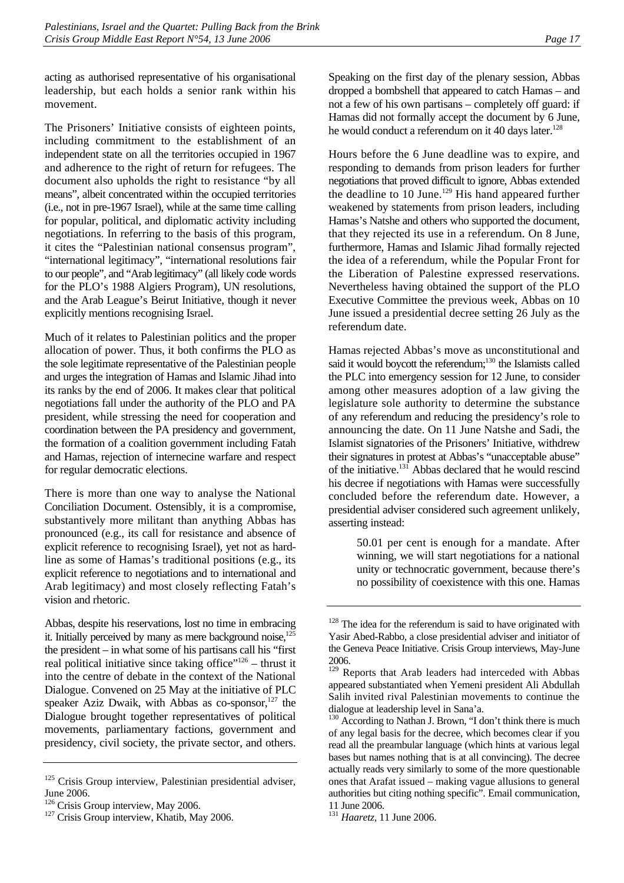acting as authorised representative of his organisational leadership, but each holds a senior rank within his movement.

The Prisoners' Initiative consists of eighteen points, including commitment to the establishment of an independent state on all the territories occupied in 1967 and adherence to the right of return for refugees. The document also upholds the right to resistance "by all means", albeit concentrated within the occupied territories (i.e., not in pre-1967 Israel), while at the same time calling for popular, political, and diplomatic activity including negotiations. In referring to the basis of this program, it cites the "Palestinian national consensus program", "international legitimacy", "international resolutions fair to our people", and "Arab legitimacy" (all likely code words for the PLO's 1988 Algiers Program), UN resolutions, and the Arab League's Beirut Initiative, though it never explicitly mentions recognising Israel.

Much of it relates to Palestinian politics and the proper allocation of power. Thus, it both confirms the PLO as the sole legitimate representative of the Palestinian people and urges the integration of Hamas and Islamic Jihad into its ranks by the end of 2006. It makes clear that political negotiations fall under the authority of the PLO and PA president, while stressing the need for cooperation and coordination between the PA presidency and government, the formation of a coalition government including Fatah and Hamas, rejection of internecine warfare and respect for regular democratic elections.

There is more than one way to analyse the National Conciliation Document. Ostensibly, it is a compromise, substantively more militant than anything Abbas has pronounced (e.g., its call for resistance and absence of explicit reference to recognising Israel), yet not as hardline as some of Hamas's traditional positions (e.g., its explicit reference to negotiations and to international and Arab legitimacy) and most closely reflecting Fatah's vision and rhetoric.

Abbas, despite his reservations, lost no time in embracing it. Initially perceived by many as mere background noise, $125$ the president – in what some of his partisans call his "first real political initiative since taking office"<sup>126</sup> – thrust it into the centre of debate in the context of the National Dialogue. Convened on 25 May at the initiative of PLC speaker Aziz Dwaik, with Abbas as  $\cos$ -sponsor,<sup>127</sup> the Dialogue brought together representatives of political movements, parliamentary factions, government and presidency, civil society, the private sector, and others. Speaking on the first day of the plenary session, Abbas dropped a bombshell that appeared to catch Hamas – and not a few of his own partisans – completely off guard: if Hamas did not formally accept the document by 6 June, he would conduct a referendum on it 40 days later.<sup>128</sup>

Hours before the 6 June deadline was to expire, and responding to demands from prison leaders for further negotiations that proved difficult to ignore, Abbas extended the deadline to 10 June.<sup>129</sup> His hand appeared further weakened by statements from prison leaders, including Hamas's Natshe and others who supported the document, that they rejected its use in a referendum. On 8 June, furthermore, Hamas and Islamic Jihad formally rejected the idea of a referendum, while the Popular Front for the Liberation of Palestine expressed reservations. Nevertheless having obtained the support of the PLO Executive Committee the previous week, Abbas on 10 June issued a presidential decree setting 26 July as the referendum date.

Hamas rejected Abbas's move as unconstitutional and said it would boycott the referendum;<sup>130</sup> the Islamists called the PLC into emergency session for 12 June, to consider among other measures adoption of a law giving the legislature sole authority to determine the substance of any referendum and reducing the presidency's role to announcing the date. On 11 June Natshe and Sadi, the Islamist signatories of the Prisoners' Initiative, withdrew their signatures in protest at Abbas's "unacceptable abuse" of the initiative.<sup>131</sup> Abbas declared that he would rescind his decree if negotiations with Hamas were successfully concluded before the referendum date. However, a presidential adviser considered such agreement unlikely, asserting instead:

> 50.01 per cent is enough for a mandate. After winning, we will start negotiations for a national unity or technocratic government, because there's no possibility of coexistence with this one. Hamas

<span id="page-22-0"></span><sup>&</sup>lt;sup>125</sup> Crisis Group interview, Palestinian presidential adviser, June 2006.<br><sup>126</sup> Crisis Group interview, May 2006.

<span id="page-22-1"></span>

<span id="page-22-2"></span> $127$  Crisis Group interview, Khatib, May 2006.

<span id="page-22-3"></span><sup>&</sup>lt;sup>128</sup> The idea for the referendum is said to have originated with Yasir Abed-Rabbo, a close presidential adviser and initiator of the Geneva Peace Initiative. Crisis Group interviews, May-June 2006.

<span id="page-22-4"></span><sup>&</sup>lt;sup>129</sup> Reports that Arab leaders had interceded with Abbas appeared substantiated when Yemeni president Ali Abdullah Salih invited rival Palestinian movements to continue the dialogue at leadership level in Sana'a.

<span id="page-22-5"></span><sup>&</sup>lt;sup>130</sup> According to Nathan J. Brown, "I don't think there is much of any legal basis for the decree, which becomes clear if you read all the preambular language (which hints at various legal bases but names nothing that is at all convincing). The decree actually reads very similarly to some of the more questionable ones that Arafat issued – making vague allusions to general authorities but citing nothing specific". Email communication, 11 June 2006.

<span id="page-22-6"></span><sup>131</sup> *Haaretz*, 11 June 2006.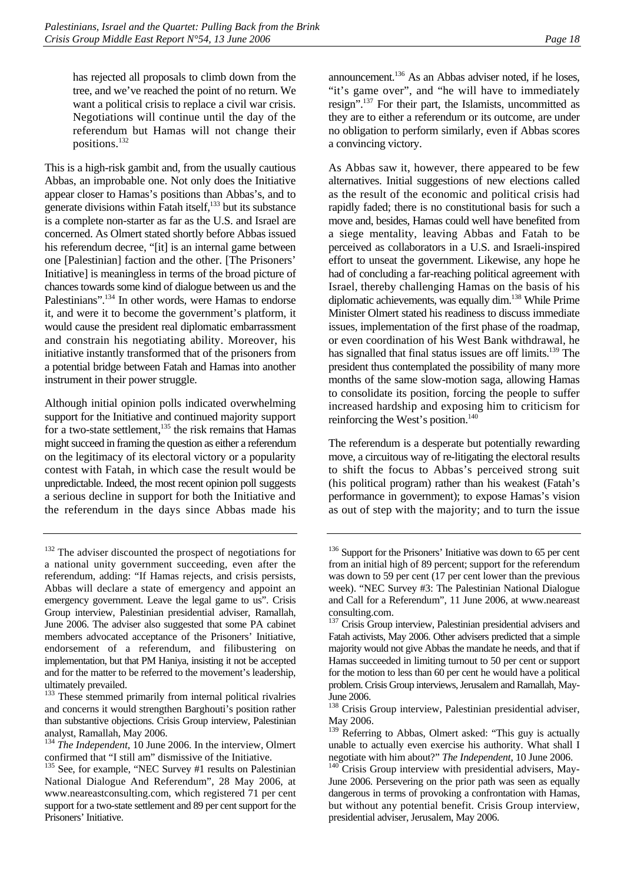has rejected all proposals to climb down from the tree, and we've reached the point of no return. We want a political crisis to replace a civil war crisis. Negotiations will continue until the day of the referendum but Hamas will not change their positions.[132](#page-23-0)

This is a high-risk gambit and, from the usually cautious Abbas, an improbable one. Not only does the Initiative appear closer to Hamas's positions than Abbas's, and to generate divisions within Fatah itself, $^{133}$  but its substance is a complete non-starter as far as the U.S. and Israel are concerned. As Olmert stated shortly before Abbas issued his referendum decree, "[it] is an internal game between one [Palestinian] faction and the other. [The Prisoners' Initiative] is meaningless in terms of the broad picture of chances towards some kind of dialogue between us and the Palestinians".<sup>134</sup> In other words, were Hamas to endorse it, and were it to become the government's platform, it would cause the president real diplomatic embarrassment and constrain his negotiating ability. Moreover, his initiative instantly transformed that of the prisoners from a potential bridge between Fatah and Hamas into another instrument in their power struggle.

Although initial opinion polls indicated overwhelming support for the Initiative and continued majority support for a two-state settlement, $135$  the risk remains that Hamas might succeed in framing the question as either a referendum on the legitimacy of its electoral victory or a popularity contest with Fatah, in which case the result would be unpredictable. Indeed, the most recent opinion poll suggests a serious decline in support for both the Initiative and the referendum in the days since Abbas made his

<span id="page-23-1"></span><sup>133</sup> These stemmed primarily from internal political rivalries and concerns it would strengthen Barghouti's position rather than substantive objections. Crisis Group interview, Palestinian analyst, Ramallah, May 2006.

<span id="page-23-2"></span><sup>134</sup> *The Independent*, 10 June 2006. In the interview, Olmert confirmed that "I still am" dismissive of the Initiative.

announcement.[136 A](#page-23-4)s an Abbas adviser noted, if he loses, "it's game over", and "he will have to immediately resign".[137 F](#page-23-5)or their part, the Islamists, uncommitted as they are to either a referendum or its outcome, are under no obligation to perform similarly, even if Abbas scores a convincing victory.

As Abbas saw it, however, there appeared to be few alternatives. Initial suggestions of new elections called as the result of the economic and political crisis had rapidly faded; there is no constitutional basis for such a move and, besides, Hamas could well have benefited from a siege mentality, leaving Abbas and Fatah to be perceived as collaborators in a U.S. and Israeli-inspired effort to unseat the government. Likewise, any hope he had of concluding a far-reaching political agreement with Israel, thereby challenging Hamas on the basis of his diplomatic achievements, was equally dim.[138 W](#page-23-6)hile Prime Minister Olmert stated his readiness to discuss immediate issues, implementation of the first phase of the roadmap, or even coordination of his West Bank withdrawal, he has signalled that final status issues are off limits.<sup>139</sup> The president thus contemplated the possibility of many more months of the same slow-motion saga, allowing Hamas to consolidate its position, forcing the people to suffer increased hardship and exposing him to criticism for reinforcing the West's position.<sup>140</sup>

The referendum is a desperate but potentially rewarding move, a circuitous way of re-litigating the electoral results to shift the focus to Abbas's perceived strong suit (his political program) rather than his weakest (Fatah's performance in government); to expose Hamas's vision as out of step with the majority; and to turn the issue

<span id="page-23-0"></span><sup>&</sup>lt;sup>132</sup> The adviser discounted the prospect of negotiations for a national unity government succeeding, even after the referendum, adding: "If Hamas rejects, and crisis persists, Abbas will declare a state of emergency and appoint an emergency government. Leave the legal game to us". Crisis Group interview, Palestinian presidential adviser, Ramallah, June 2006. The adviser also suggested that some PA cabinet members advocated acceptance of the Prisoners' Initiative, endorsement of a referendum, and filibustering on implementation, but that PM Haniya, insisting it not be accepted and for the matter to be referred to the movement's leadership, ultimately prevailed.

<span id="page-23-3"></span><sup>&</sup>lt;sup>135</sup> See, for example, "NEC Survey #1 results on Palestinian National Dialogue And Referendum", 28 May 2006, at www.neareastconsulting.com, which registered 71 per cent support for a two-state settlement and 89 per cent support for the Prisoners' Initiative.

<span id="page-23-4"></span><sup>&</sup>lt;sup>136</sup> Support for the Prisoners' Initiative was down to 65 per cent from an initial high of 89 percent; support for the referendum was down to 59 per cent (17 per cent lower than the previous week). "NEC Survey #3: The Palestinian National Dialogue and Call for a Referendum", 11 June 2006, at www.neareast consulting.com.

<span id="page-23-5"></span><sup>&</sup>lt;sup>137</sup> Crisis Group interview, Palestinian presidential advisers and Fatah activists, May 2006. Other advisers predicted that a simple majority would not give Abbas the mandate he needs, and that if Hamas succeeded in limiting turnout to 50 per cent or support for the motion to less than 60 per cent he would have a political problem. Crisis Group interviews, Jerusalem and Ramallah, May-June 2006.

<span id="page-23-6"></span><sup>&</sup>lt;sup>138</sup> Crisis Group interview, Palestinian presidential adviser, May 2006.

<span id="page-23-7"></span><sup>&</sup>lt;sup>139</sup> Referring to Abbas, Olmert asked: "This guy is actually unable to actually even exercise his authority. What shall I negotiate with him about?" *The Independent*, 10 June 2006.<br><sup>140</sup> Crisis Group interview with presidential advisers, May-

<span id="page-23-8"></span>June 2006. Persevering on the prior path was seen as equally dangerous in terms of provoking a confrontation with Hamas, but without any potential benefit. Crisis Group interview, presidential adviser, Jerusalem, May 2006.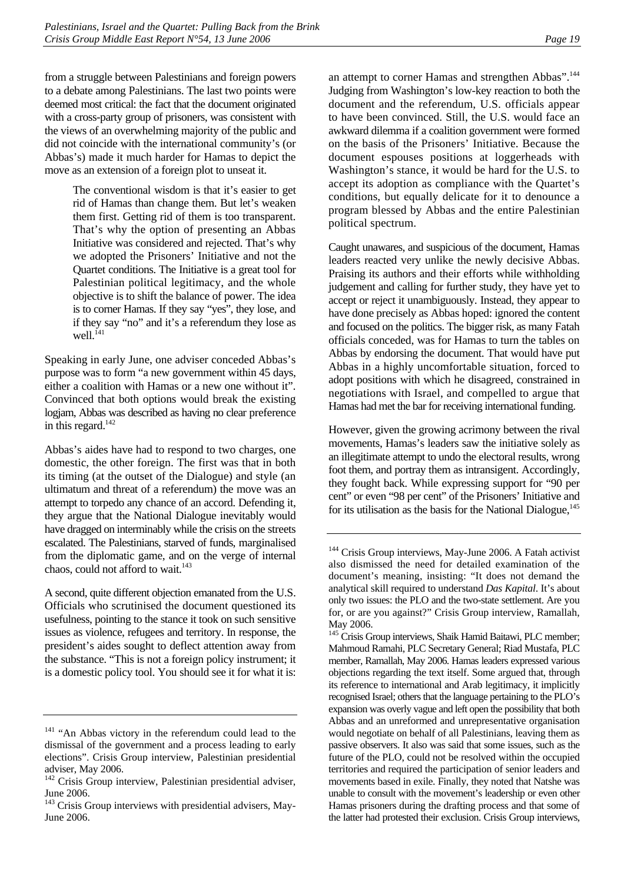from a struggle between Palestinians and foreign powers to a debate among Palestinians. The last two points were deemed most critical: the fact that the document originated with a cross-party group of prisoners, was consistent with the views of an overwhelming majority of the public and did not coincide with the international community's (or

Abbas's) made it much harder for Hamas to depict the move as an extension of a foreign plot to unseat it.

> The conventional wisdom is that it's easier to get rid of Hamas than change them. But let's weaken them first. Getting rid of them is too transparent. That's why the option of presenting an Abbas Initiative was considered and rejected. That's why we adopted the Prisoners' Initiative and not the Quartet conditions. The Initiative is a great tool for Palestinian political legitimacy, and the whole objective is to shift the balance of power. The idea is to corner Hamas. If they say "yes", they lose, and if they say "no" and it's a referendum they lose as well.<sup>141</sup>

Speaking in early June, one adviser conceded Abbas's purpose was to form "a new government within 45 days, either a coalition with Hamas or a new one without it". Convinced that both options would break the existing logjam, Abbas was described as having no clear preference in this regard.<sup>[142](#page-24-1)</sup>

Abbas's aides have had to respond to two charges, one domestic, the other foreign. The first was that in both its timing (at the outset of the Dialogue) and style (an ultimatum and threat of a referendum) the move was an attempt to torpedo any chance of an accord. Defending it, they argue that the National Dialogue inevitably would have dragged on interminably while the crisis on the streets escalated. The Palestinians, starved of funds, marginalised from the diplomatic game, and on the verge of internal chaos, could not afford to wait.<sup>143</sup>

A second, quite different objection emanated from the U.S. Officials who scrutinised the document questioned its usefulness, pointing to the stance it took on such sensitive issues as violence, refugees and territory. In response, the president's aides sought to deflect attention away from the substance. "This is not a foreign policy instrument; it is a domestic policy tool. You should see it for what it is:

an attempt to corner Hamas and strengthen Abbas".<sup>144</sup> Judging from Washington's low-key reaction to both the document and the referendum, U.S. officials appear to have been convinced. Still, the U.S. would face an awkward dilemma if a coalition government were formed on the basis of the Prisoners' Initiative. Because the document espouses positions at loggerheads with Washington's stance, it would be hard for the U.S. to accept its adoption as compliance with the Quartet's conditions, but equally delicate for it to denounce a program blessed by Abbas and the entire Palestinian political spectrum.

Caught unawares, and suspicious of the document, Hamas leaders reacted very unlike the newly decisive Abbas. Praising its authors and their efforts while withholding judgement and calling for further study, they have yet to accept or reject it unambiguously. Instead, they appear to have done precisely as Abbas hoped: ignored the content and focused on the politics. The bigger risk, as many Fatah officials conceded, was for Hamas to turn the tables on Abbas by endorsing the document. That would have put Abbas in a highly uncomfortable situation, forced to adopt positions with which he disagreed, constrained in negotiations with Israel, and compelled to argue that Hamas had met the bar for receiving international funding.

However, given the growing acrimony between the rival movements, Hamas's leaders saw the initiative solely as an illegitimate attempt to undo the electoral results, wrong foot them, and portray them as intransigent. Accordingly, they fought back. While expressing support for "90 per cent" or even "98 per cent" of the Prisoners' Initiative and for its utilisation as the basis for the National Dialogue, $145$ 

<span id="page-24-0"></span><sup>&</sup>lt;sup>141</sup> "An Abbas victory in the referendum could lead to the dismissal of the government and a process leading to early elections". Crisis Group interview, Palestinian presidential adviser, May 2006.

<span id="page-24-1"></span><sup>&</sup>lt;sup>142</sup> Crisis Group interview, Palestinian presidential adviser, June 2006.

<span id="page-24-2"></span><sup>&</sup>lt;sup>143</sup> Crisis Group interviews with presidential advisers, May-June 2006.

<span id="page-24-3"></span><sup>&</sup>lt;sup>144</sup> Crisis Group interviews, May-June 2006. A Fatah activist also dismissed the need for detailed examination of the document's meaning, insisting: "It does not demand the analytical skill required to understand *Das Kapital*. It's about only two issues: the PLO and the two-state settlement. Are you for, or are you against?" Crisis Group interview, Ramallah, May 2006.

<span id="page-24-4"></span><sup>&</sup>lt;sup>145</sup> Crisis Group interviews, Shaik Hamid Baitawi, PLC member; Mahmoud Ramahi, PLC Secretary General; Riad Mustafa, PLC member, Ramallah, May 2006. Hamas leaders expressed various objections regarding the text itself. Some argued that, through its reference to international and Arab legitimacy, it implicitly recognised Israel; others that the language pertaining to the PLO's expansion was overly vague and left open the possibility that both Abbas and an unreformed and unrepresentative organisation would negotiate on behalf of all Palestinians, leaving them as passive observers. It also was said that some issues, such as the future of the PLO, could not be resolved within the occupied territories and required the participation of senior leaders and movements based in exile. Finally, they noted that Natshe was unable to consult with the movement's leadership or even other Hamas prisoners during the drafting process and that some of the latter had protested their exclusion. Crisis Group interviews,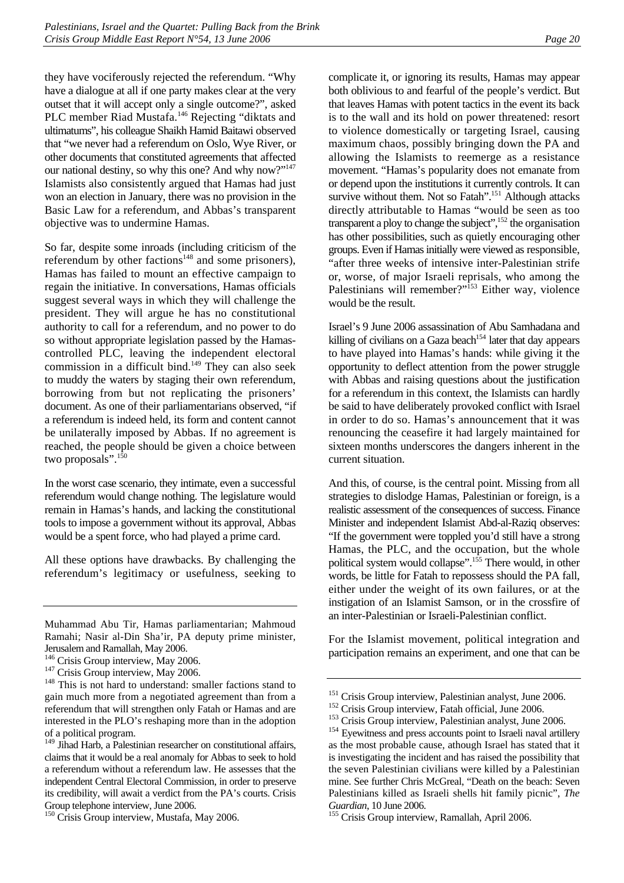they have vociferously rejected the referendum. "Why have a dialogue at all if one party makes clear at the very outset that it will accept only a single outcome?", asked PLC member Riad Mustafa.<sup>146</sup> Rejecting "diktats and ultimatums", his colleague Shaikh Hamid Baitawi observed that "we never had a referendum on Oslo, Wye River, or other documents that constituted agreements that affected our national destiny, so why this one? And why now?"<sup>147</sup> Islamists also consistently argued that Hamas had just won an election in January, there was no provision in the Basic Law for a referendum, and Abbas's transparent objective was to undermine Hamas.

So far, despite some inroads (including criticism of the referendum by other factions $148$  and some prisoners), Hamas has failed to mount an effective campaign to regain the initiative. In conversations, Hamas officials suggest several ways in which they will challenge the president. They will argue he has no constitutional authority to call for a referendum, and no power to do so without appropriate legislation passed by the Hamascontrolled PLC, leaving the independent electoral commission in a difficult bind.<sup>149</sup> They can also seek to muddy the waters by staging their own referendum, borrowing from but not replicating the prisoners' document. As one of their parliamentarians observed, "if a referendum is indeed held, its form and content cannot be unilaterally imposed by Abbas. If no agreement is reached, the people should be given a choice between two proposals". $150$ 

In the worst case scenario, they intimate, even a successful referendum would change nothing. The legislature would remain in Hamas's hands, and lacking the constitutional tools to impose a government without its approval, Abbas would be a spent force, who had played a prime card.

All these options have drawbacks. By challenging the referendum's legitimacy or usefulness, seeking to complicate it, or ignoring its results, Hamas may appear both oblivious to and fearful of the people's verdict. But that leaves Hamas with potent tactics in the event its back is to the wall and its hold on power threatened: resort to violence domestically or targeting Israel, causing maximum chaos, possibly bringing down the PA and allowing the Islamists to reemerge as a resistance movement. "Hamas's popularity does not emanate from or depend upon the institutions it currently controls. It can survive without them. Not so Fatah".<sup>151</sup> Although attacks directly attributable to Hamas "would be seen as too transparent a ploy to change the subject", $152$  the organisation has other possibilities, such as quietly encouraging other groups. Even if Hamas initially were viewed as responsible, "after three weeks of intensive inter-Palestinian strife or, worse, of major Israeli reprisals, who among the Palestinians will remember?"<sup>153</sup> Either way, violence would be the result.

Israel's 9 June 2006 assassination of Abu Samhadana and killing of civilians on a Gaza beach<sup>154</sup> later that day appears to have played into Hamas's hands: while giving it the opportunity to deflect attention from the power struggle with Abbas and raising questions about the justification for a referendum in this context, the Islamists can hardly be said to have deliberately provoked conflict with Israel in order to do so. Hamas's announcement that it was renouncing the ceasefire it had largely maintained for sixteen months underscores the dangers inherent in the current situation.

And this, of course, is the central point. Missing from all strategies to dislodge Hamas, Palestinian or foreign, is a realistic assessment of the consequences of success. Finance Minister and independent Islamist Abd-al-Raziq observes: "If the government were toppled you'd still have a strong Hamas, the PLC, and the occupation, but the whole political system would collapse".<sup>155</sup> There would, in other words, be little for Fatah to repossess should the PA fall, either under the weight of its own failures, or at the instigation of an Islamist Samson, or in the crossfire of an inter-Palestinian or Israeli-Palestinian conflict.

For the Islamist movement, political integration and participation remains an experiment, and one that can be

Muhammad Abu Tir, Hamas parliamentarian; Mahmoud Ramahi; Nasir al-Din Sha'ir, PA deputy prime minister, Jerusalem and Ramallah, May 2006.<br><sup>146</sup> Crisis Group interview, May 2006.

<span id="page-25-0"></span>

<span id="page-25-2"></span><span id="page-25-1"></span>

 $147$  Crisis Group interview, May 2006.  $148$  This is not hard to understand: smaller factions stand to gain much more from a negotiated agreement than from a referendum that will strengthen only Fatah or Hamas and are interested in the PLO's reshaping more than in the adoption of a political program.

<span id="page-25-3"></span><sup>&</sup>lt;sup>149</sup> Jihad Harb, a Palestinian researcher on constitutional affairs, claims that it would be a real anomaly for Abbas to seek to hold a referendum without a referendum law. He assesses that the independent Central Electoral Commission, in order to preserve its credibility, will await a verdict from the PA's courts. Crisis Group telephone interview, June 2006.

<span id="page-25-4"></span><sup>&</sup>lt;sup>150</sup> Crisis Group interview, Mustafa, May 2006.

<span id="page-25-5"></span>

<span id="page-25-6"></span>

<span id="page-25-8"></span><span id="page-25-7"></span>

<sup>&</sup>lt;sup>151</sup> Crisis Group interview, Palestinian analyst, June 2006.<br><sup>152</sup> Crisis Group interview, Fatah official, June 2006.<br><sup>153</sup> Crisis Group interview, Palestinian analyst, June 2006.<br><sup>154</sup> Evewitness and press accounts poin as the most probable cause, athough Israel has stated that it is investigating the incident and has raised the possibility that the seven Palestinian civilians were killed by a Palestinian mine. See further Chris McGreal, "Death on the beach: Seven Palestinians killed as Israeli shells hit family picnic", *The* 

<span id="page-25-9"></span>*Guardian*, 10 June 2006. 155 Crisis Group interview, Ramallah, April 2006.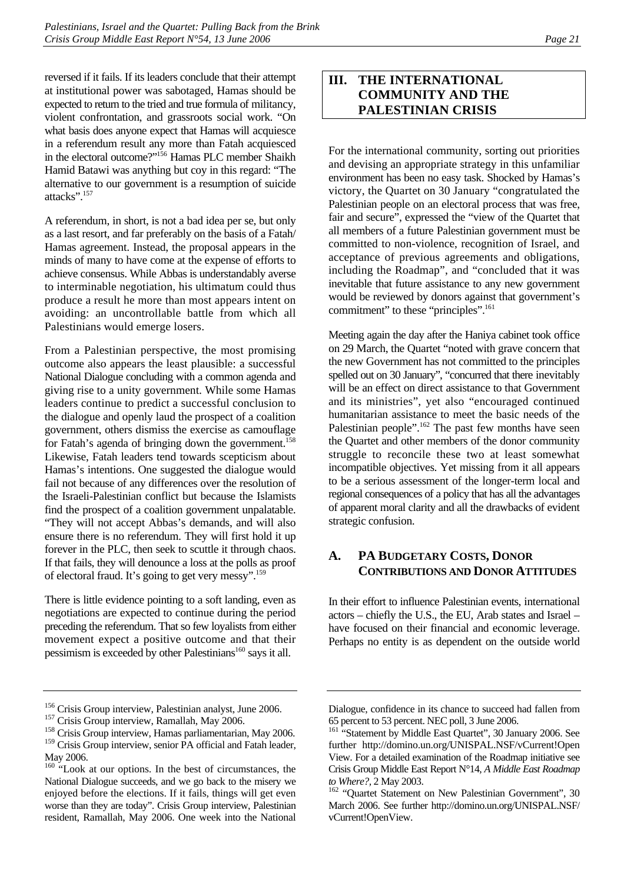reversed if it fails. If its leaders conclude that their attempt at institutional power was sabotaged, Hamas should be expected to return to the tried and true formula of militancy, violent confrontation, and grassroots social work. "On what basis does anyone expect that Hamas will acquiesce in a referendum result any more than Fatah acquiesced in the electoral outcome?["156 H](#page-26-2)amas PLC member Shaikh Hamid Batawi was anything but coy in this regard: "The alternative to our government is a resumption of suicide attacks".[157](#page-26-3) 

A referendum, in short, is not a bad idea per se, but only as a last resort, and far preferably on the basis of a Fatah/ Hamas agreement. Instead, the proposal appears in the minds of many to have come at the expense of efforts to achieve consensus. While Abbas is understandably averse to interminable negotiation, his ultimatum could thus produce a result he more than most appears intent on avoiding: an uncontrollable battle from which all Palestinians would emerge losers.

From a Palestinian perspective, the most promising outcome also appears the least plausible: a successful National Dialogue concluding with a common agenda and giving rise to a unity government. While some Hamas leaders continue to predict a successful conclusion to the dialogue and openly laud the prospect of a coalition government, others dismiss the exercise as camouflage for Fatah's agenda of bringing down the government.<sup>158</sup> Likewise, Fatah leaders tend towards scepticism about Hamas's intentions. One suggested the dialogue would fail not because of any differences over the resolution of the Israeli-Palestinian conflict but because the Islamists find the prospect of a coalition government unpalatable. "They will not accept Abbas's demands, and will also ensure there is no referendum. They will first hold it up forever in the PLC, then seek to scuttle it through chaos. If that fails, they will denounce a loss at the polls as proof of electoral fraud. It's going to get very messy".[159](#page-26-5) 

There is little evidence pointing to a soft landing, even as negotiations are expected to continue during the period preceding the referendum. That so few loyalists from either movement expect a positive outcome and that their pessimism is exceeded by other Palestinians<sup>160</sup> says it all.

# <span id="page-26-0"></span>**III. THE INTERNATIONAL COMMUNITY AND THE PALESTINIAN CRISIS**

For the international community, sorting out priorities and devising an appropriate strategy in this unfamiliar environment has been no easy task. Shocked by Hamas's victory, the Quartet on 30 January "congratulated the Palestinian people on an electoral process that was free, fair and secure", expressed the "view of the Quartet that all members of a future Palestinian government must be committed to non-violence, recognition of Israel, and acceptance of previous agreements and obligations, including the Roadmap", and "concluded that it was inevitable that future assistance to any new government would be reviewed by donors against that government's commitment" to these "principles".<sup>161</sup>

Meeting again the day after the Haniya cabinet took office on 29 March, the Quartet "noted with grave concern that the new Government has not committed to the principles spelled out on 30 January", "concurred that there inevitably will be an effect on direct assistance to that Government and its ministries", yet also "encouraged continued humanitarian assistance to meet the basic needs of the Palestinian people". $162$  The past few months have seen the Quartet and other members of the donor community struggle to reconcile these two at least somewhat incompatible objectives. Yet missing from it all appears to be a serious assessment of the longer-term local and regional consequences of a policy that has all the advantages of apparent moral clarity and all the drawbacks of evident strategic confusion.

# <span id="page-26-1"></span>**A. PA BUDGETARY COSTS, DONOR CONTRIBUTIONS AND DONOR ATTITUDES**

In their effort to influence Palestinian events, international actors – chiefly the U.S., the EU, Arab states and Israel – have focused on their financial and economic leverage. Perhaps no entity is as dependent on the outside world

<span id="page-26-2"></span><sup>&</sup>lt;sup>156</sup> Crisis Group interview, Palestinian analyst, June 2006.<br><sup>157</sup> Crisis Group interview, Ramallah, May 2006.<br><sup>158</sup> Crisis Group interview, Hamas parliamentarian, May 2006.

<span id="page-26-3"></span>

<span id="page-26-5"></span><span id="page-26-4"></span><sup>&</sup>lt;sup>159</sup> Crisis Group interview, senior PA official and Fatah leader, May 2006.

<span id="page-26-6"></span><sup>&</sup>lt;sup>160</sup> "Look at our options. In the best of circumstances, the National Dialogue succeeds, and we go back to the misery we enjoyed before the elections. If it fails, things will get even worse than they are today". Crisis Group interview, Palestinian resident, Ramallah, May 2006. One week into the National

Dialogue, confidence in its chance to succeed had fallen from 65 percent to 53 percent. NEC poll, 3 June 2006.

<span id="page-26-7"></span><sup>&</sup>lt;sup>161</sup> "Statement by Middle East Quartet", 30 January 2006. See further http://domino.un.org/UNISPAL.NSF/vCurrent!Open View. For a detailed examination of the Roadmap initiative see Crisis Group Middle East Report N°14, *A Middle East Roadmap* 

<span id="page-26-8"></span>to Where?, 2 May 2003.<br><sup>162</sup> "Quartet Statement on New Palestinian Government", 30 March 2006. See further http://domino.un.org/UNISPAL.NSF/ vCurrent!OpenView.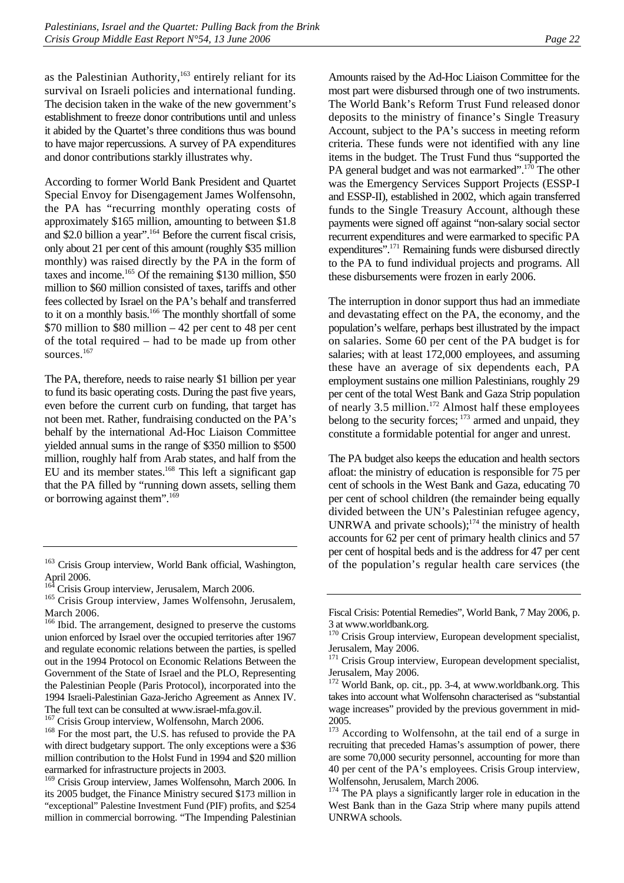as the Palestinian Authority, $163$  entirely reliant for its survival on Israeli policies and international funding. The decision taken in the wake of the new government's establishment to freeze donor contributions until and unless it abided by the Quartet's three conditions thus was bound to have major repercussions. A survey of PA expenditures and donor contributions starkly illustrates why.

According to former World Bank President and Quartet Special Envoy for Disengagement James Wolfensohn, the PA has "recurring monthly operating costs of approximately \$165 million, amounting to between \$1.8 and \$2.0 billion a year".[164 B](#page-27-1)efore the current fiscal crisis, only about 21 per cent of this amount (roughly \$35 million monthly) was raised directly by the PA in the form of taxes and income.<sup>165</sup> Of the remaining \$130 million, \$50 million to \$60 million consisted of taxes, tariffs and other fees collected by Israel on the PA's behalf and transferred to it on a monthly basis.<sup>166</sup> The monthly shortfall of some \$70 million to \$80 million – 42 per cent to 48 per cent of the total required – had to be made up from other sources.<sup>[167](#page-27-4)</sup>

The PA, therefore, needs to raise nearly \$1 billion per year to fund its basic operating costs. During the past five years, even before the current curb on funding, that target has not been met. Rather, fundraising conducted on the PA's behalf by the international Ad-Hoc Liaison Committee yielded annual sums in the range of \$350 million to \$500 million, roughly half from Arab states, and half from the EU and its member states.[168 T](#page-27-5)his left a significant gap that the PA filled by "running down assets, selling them or borrowing against them".<sup>169</sup>

<span id="page-27-4"></span>

Amounts raised by the Ad-Hoc Liaison Committee for the most part were disbursed through one of two instruments. The World Bank's Reform Trust Fund released donor deposits to the ministry of finance's Single Treasury Account, subject to the PA's success in meeting reform criteria. These funds were not identified with any line items in the budget. The Trust Fund thus "supported the PA general budget and was not earmarked".<sup>170</sup> The other was the Emergency Services Support Projects (ESSP-I and ESSP-II), established in 2002, which again transferred funds to the Single Treasury Account, although these payments were signed off against "non-salary social sector recurrent expenditures and were earmarked to specific PA expenditures".<sup>171</sup> Remaining funds were disbursed directly to the PA to fund individual projects and programs. All these disbursements were frozen in early 2006.

The interruption in donor support thus had an immediate and devastating effect on the PA, the economy, and the population's welfare, perhaps best illustrated by the impact on salaries. Some 60 per cent of the PA budget is for salaries; with at least 172,000 employees, and assuming these have an average of six dependents each, PA employment sustains one million Palestinians, roughly 29 per cent of the total West Bank and Gaza Strip population of nearly 3.5 million.<sup>172</sup> Almost half these employees belong to the security forces;  $173$  armed and unpaid, they constitute a formidable potential for anger and unrest.

The PA budget also keeps the education and health sectors afloat: the ministry of education is responsible for 75 per cent of schools in the West Bank and Gaza, educating 70 per cent of school children (the remainder being equally divided between the UN's Palestinian refugee agency, UNRWA and private schools); $174$  the ministry of health accounts for 62 per cent of primary health clinics and 57 per cent of hospital beds and is the address for 47 per cent of the population's regular health care services (the

<span id="page-27-0"></span><sup>&</sup>lt;sup>163</sup> Crisis Group interview, World Bank official, Washington, April 2006.

<span id="page-27-2"></span><span id="page-27-1"></span>

<sup>&</sup>lt;sup>164</sup> Crisis Group interview, Jerusalem, March 2006.<br><sup>165</sup> Crisis Group interview, James Wolfensohn, Jerusalem, March 2006.

<span id="page-27-3"></span><sup>&</sup>lt;sup>166</sup> Ibid. The arrangement, designed to preserve the customs union enforced by Israel over the occupied territories after 1967 and regulate economic relations between the parties, is spelled out in the 1994 Protocol on Economic Relations Between the Government of the State of Israel and the PLO, Representing the Palestinian People (Paris Protocol), incorporated into the 1994 Israeli-Palestinian Gaza-Jericho Agreement as Annex IV. The full text can be consulted at www.israel-mfa.gov.il.<br><sup>167</sup> Crisis Group interview, Wolfensohn, March 2006.<br><sup>168</sup> For the most part, the U.S. has refused to provide the PA

<span id="page-27-5"></span>with direct budgetary support. The only exceptions were a \$36 million contribution to the Holst Fund in 1994 and \$20 million earmarked for infrastructure projects in 2003.

<span id="page-27-6"></span><sup>169</sup> Crisis Group interview, James Wolfensohn, March 2006. In its 2005 budget, the Finance Ministry secured \$173 million in "exceptional" Palestine Investment Fund (PIF) profits, and \$254 million in commercial borrowing. "The Impending Palestinian

Fiscal Crisis: Potential Remedies", World Bank, 7 May 2006, p. 3 at www.worldbank.org.

<span id="page-27-7"></span><sup>&</sup>lt;sup>170</sup> Crisis Group interview, European development specialist, Jerusalem, May 2006.

<span id="page-27-8"></span><sup>&</sup>lt;sup>171</sup> Crisis Group interview, European development specialist, Jerusalem, May 2006.

<span id="page-27-9"></span><sup>172</sup> World Bank, op. cit., pp. 3-4, at www.worldbank.org. This takes into account what Wolfensohn characterised as "substantial wage increases" provided by the previous government in mid-2005.

<span id="page-27-10"></span><sup>&</sup>lt;sup>173</sup> According to Wolfensohn, at the tail end of a surge in recruiting that preceded Hamas's assumption of power, there are some 70,000 security personnel, accounting for more than 40 per cent of the PA's employees. Crisis Group interview, Wolfensohn, Jerusalem, March 2006.

<span id="page-27-11"></span>The PA plays a significantly larger role in education in the West Bank than in the Gaza Strip where many pupils attend UNRWA schools.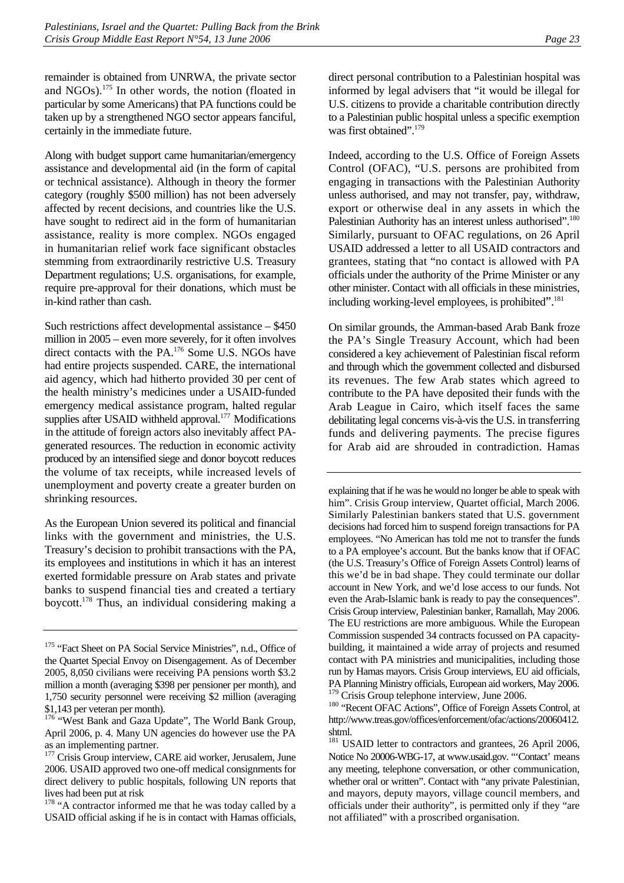remainder is obtained from UNRWA, the private sector and  $NGOs$ ).<sup>175</sup> In other words, the notion (floated in particular by some Americans) that PA functions could be taken up by a strengthened NGO sector appears fanciful, certainly in the immediate future.

Along with budget support came humanitarian/emergency assistance and developmental aid (in the form of capital or technical assistance). Although in theory the former category (roughly \$500 million) has not been adversely affected by recent decisions, and countries like the U.S. have sought to redirect aid in the form of humanitarian assistance, reality is more complex. NGOs engaged in humanitarian relief work face significant obstacles stemming from extraordinarily restrictive U.S. Treasury Department regulations; U.S. organisations, for example, require pre-approval for their donations, which must be in-kind rather than cash.

Such restrictions affect developmental assistance – \$450 million in 2005 – even more severely, for it often involves direct contacts with the PA.<sup>176</sup> Some U.S. NGOs have had entire projects suspended. CARE, the international aid agency, which had hitherto provided 30 per cent of the health ministry's medicines under a USAID-funded emergency medical assistance program, halted regular supplies after USAID withheld approval. $177$  Modifications in the attitude of foreign actors also inevitably affect PAgenerated resources. The reduction in economic activity produced by an intensified siege and donor boycott reduces the volume of tax receipts, while increased levels of unemployment and poverty create a greater burden on shrinking resources.

As the European Union severed its political and financial links with the government and ministries, the U.S. Treasury's decision to prohibit transactions with the PA, its employees and institutions in which it has an interest exerted formidable pressure on Arab states and private banks to suspend financial ties and created a tertiary boycott.[178](#page-28-3) Thus, an individual considering making a

direct personal contribution to a Palestinian hospital was informed by legal advisers that "it would be illegal for U.S. citizens to provide a charitable contribution directly to a Palestinian public hospital unless a specific exemption was first obtained".<sup>179</sup>

Indeed, according to the U.S. Office of Foreign Assets Control (OFAC), "U.S. persons are prohibited from engaging in transactions with the Palestinian Authority unless authorised, and may not transfer, pay, withdraw, export or otherwise deal in any assets in which the Palestinian Authority has an interest unless authorised".<sup>180</sup> Similarly, pursuant to OFAC regulations, on 26 April USAID addressed a letter to all USAID contractors and grantees, stating that "no contact is allowed with PA officials under the authority of the Prime Minister or any other minister. Contact with all officials in these ministries, including working-level employees, is prohibited".<sup>[181](#page-28-6)</sup>

On similar grounds, the Amman-based Arab Bank froze the PA's Single Treasury Account, which had been considered a key achievement of Palestinian fiscal reform and through which the government collected and disbursed its revenues. The few Arab states which agreed to contribute to the PA have deposited their funds with the Arab League in Cairo, which itself faces the same debilitating legal concerns vis-à-vis the U.S. in transferring funds and delivering payments. The precise figures for Arab aid are shrouded in contradiction. Hamas

explaining that if he was he would no longer be able to speak with him". Crisis Group interview, Quartet official, March 2006. Similarly Palestinian bankers stated that U.S. government decisions had forced him to suspend foreign transactions for PA employees. "No American has told me not to transfer the funds to a PA employee's account. But the banks know that if OFAC (the U.S. Treasury's Office of Foreign Assets Control) learns of this we'd be in bad shape. They could terminate our dollar account in New York, and we'd lose access to our funds. Not even the Arab-Islamic bank is ready to pay the consequences". Crisis Group interview, Palestinian banker, Ramallah, May 2006. The EU restrictions are more ambiguous. While the European Commission suspended 34 contracts focussed on PA capacitybuilding, it maintained a wide array of projects and resumed contact with PA ministries and municipalities, including those run by Hamas mayors. Crisis Group interviews, EU aid officials, PA Planning Ministry officials, European aid workers, May 2006.<br><sup>179</sup> Crisis Group telephone interview, June 2006.

<span id="page-28-0"></span><sup>&</sup>lt;sup>175</sup> "Fact Sheet on PA Social Service Ministries", n.d., Office of the Quartet Special Envoy on Disengagement. As of December 2005, 8,050 civilians were receiving PA pensions worth \$3.2 million a month (averaging \$398 per pensioner per month), and 1,750 security personnel were receiving \$2 million (averaging \$1,143 per veteran per month).

<span id="page-28-1"></span><sup>&</sup>lt;sup>176</sup> "West Bank and Gaza Update", The World Bank Group, April 2006, p. 4. Many UN agencies do however use the PA as an implementing partner.

<span id="page-28-2"></span><sup>&</sup>lt;sup>177</sup> Crisis Group interview, CARE aid worker, Jerusalem, June 2006. USAID approved two one-off medical consignments for direct delivery to public hospitals, following UN reports that lives had been put at risk

<span id="page-28-3"></span><sup>&</sup>lt;sup>178</sup> "A contractor informed me that he was today called by a USAID official asking if he is in contact with Hamas officials,

<span id="page-28-5"></span><span id="page-28-4"></span><sup>&</sup>lt;sup>180</sup> 'Recent OFAC Actions", Office of Foreign Assets Control, at http://www.treas.gov/offices/enforcement/ofac/actions/20060412. shtml.

<span id="page-28-6"></span><sup>&</sup>lt;sup>181</sup> USAID letter to contractors and grantees, 26 April 2006, Notice No 20006-WBG-17, at www.usaid.gov. "'Contact' means any meeting, telephone conversation, or other communication, whether oral or written". Contact with "any private Palestinian, and mayors, deputy mayors, village council members, and officials under their authority", is permitted only if they "are not affiliated" with a proscribed organisation.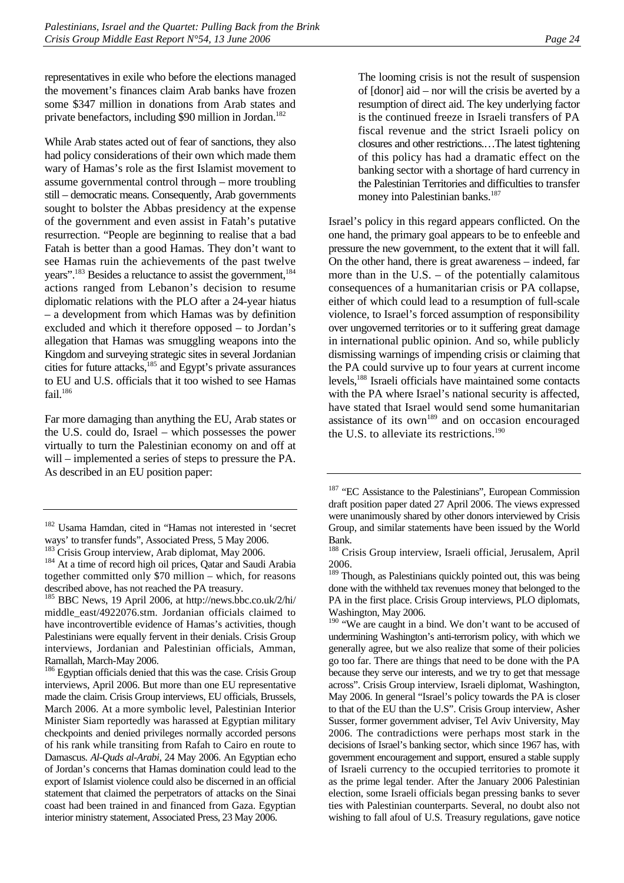representatives in exile who before the elections managed the movement's finances claim Arab banks have frozen some \$347 million in donations from Arab states and private benefactors, including \$90 million in Jordan.<sup>182</sup>

While Arab states acted out of fear of sanctions, they also had policy considerations of their own which made them wary of Hamas's role as the first Islamist movement to assume governmental control through – more troubling still – democratic means. Consequently, Arab governments sought to bolster the Abbas presidency at the expense of the government and even assist in Fatah's putative resurrection. "People are beginning to realise that a bad Fatah is better than a good Hamas. They don't want to see Hamas ruin the achievements of the past twelve years".<sup>183</sup> Besides a reluctance to assist the government,<sup>184</sup> actions ranged from Lebanon's decision to resume diplomatic relations with the PLO after a 24-year hiatus – a development from which Hamas was by definition excluded and which it therefore opposed – to Jordan's allegation that Hamas was smuggling weapons into the Kingdom and surveying strategic sites in several Jordanian cities for future attacks,<sup>185</sup> and Egypt's private assurances to EU and U.S. officials that it too wished to see Hamas fail. $186$ 

Far more damaging than anything the EU, Arab states or the U.S. could do, Israel – which possesses the power virtually to turn the Palestinian economy on and off at will – implemented a series of steps to pressure the PA. As described in an EU position paper:

<span id="page-29-4"></span><sup>186</sup> Egyptian officials denied that this was the case. Crisis Group interviews, April 2006. But more than one EU representative made the claim. Crisis Group interviews, EU officials, Brussels, March 2006. At a more symbolic level, Palestinian Interior Minister Siam reportedly was harassed at Egyptian military checkpoints and denied privileges normally accorded persons of his rank while transiting from Rafah to Cairo en route to Damascus. *Al-Quds al-Arabi*, 24 May 2006. An Egyptian echo of Jordan's concerns that Hamas domination could lead to the export of Islamist violence could also be discerned in an official statement that claimed the perpetrators of attacks on the Sinai coast had been trained in and financed from Gaza. Egyptian interior ministry statement, Associated Press, 23 May 2006.

The looming crisis is not the result of suspension of [donor] aid – nor will the crisis be averted by a resumption of direct aid. The key underlying factor is the continued freeze in Israeli transfers of PA fiscal revenue and the strict Israeli policy on closures and other restrictions.…The latest tightening of this policy has had a dramatic effect on the banking sector with a shortage of hard currency in the Palestinian Territories and difficulties to transfer money into Palestinian banks.<sup>187</sup>

Israel's policy in this regard appears conflicted. On the one hand, the primary goal appears to be to enfeeble and pressure the new government, to the extent that it will fall. On the other hand, there is great awareness – indeed, far more than in the U.S.  $-$  of the potentially calamitous consequences of a humanitarian crisis or PA collapse, either of which could lead to a resumption of full-scale violence, to Israel's forced assumption of responsibility over ungoverned territories or to it suffering great damage in international public opinion. And so, while publicly dismissing warnings of impending crisis or claiming that the PA could survive up to four years at current income levels,[188 I](#page-29-6)sraeli officials have maintained some contacts with the PA where Israel's national security is affected, have stated that Israel would send some humanitarian assistance of its  $own<sup>189</sup>$  and on occasion encouraged the U.S. to alleviate its restrictions.<sup>190</sup>

<span id="page-29-8"></span><sup>190</sup> "We are caught in a bind. We don't want to be accused of undermining Washington's anti-terrorism policy, with which we generally agree, but we also realize that some of their policies go too far. There are things that need to be done with the PA because they serve our interests, and we try to get that message across". Crisis Group interview, Israeli diplomat, Washington, May 2006. In general "Israel's policy towards the PA is closer to that of the EU than the U.S". Crisis Group interview, Asher Susser, former government adviser, Tel Aviv University, May 2006. The contradictions were perhaps most stark in the decisions of Israel's banking sector, which since 1967 has, with government encouragement and support, ensured a stable supply of Israeli currency to the occupied territories to promote it as the prime legal tender. After the January 2006 Palestinian election, some Israeli officials began pressing banks to sever ties with Palestinian counterparts. Several, no doubt also not wishing to fall afoul of U.S. Treasury regulations, gave notice

<span id="page-29-0"></span><sup>182</sup> Usama Hamdan, cited in "Hamas not interested in 'secret ways' to transfer funds", Associated Press, 5 May 2006.

<span id="page-29-1"></span>

<span id="page-29-2"></span><sup>&</sup>lt;sup>184</sup> At a time of record high oil prices, Qatar and Saudi Arabia together committed only \$70 million – which, for reasons described above, has not reached the PA treasury.

<span id="page-29-3"></span><sup>185</sup> BBC News, 19 April 2006, at http://news.bbc.co.uk/2/hi/ middle\_east/4922076.stm. Jordanian officials claimed to have incontrovertible evidence of Hamas's activities, though Palestinians were equally fervent in their denials. Crisis Group interviews, Jordanian and Palestinian officials, Amman, Ramallah, March-May 2006.

<span id="page-29-5"></span><sup>&</sup>lt;sup>187</sup> "EC Assistance to the Palestinians", European Commission draft position paper dated 27 April 2006. The views expressed were unanimously shared by other donors interviewed by Crisis Group, and similar statements have been issued by the World Bank.

<span id="page-29-6"></span><sup>188</sup> Crisis Group interview, Israeli official, Jerusalem, April 2006.

<span id="page-29-7"></span><sup>&</sup>lt;sup>189</sup> Though, as Palestinians quickly pointed out, this was being done with the withheld tax revenues money that belonged to the PA in the first place. Crisis Group interviews, PLO diplomats, Washington, May 2006.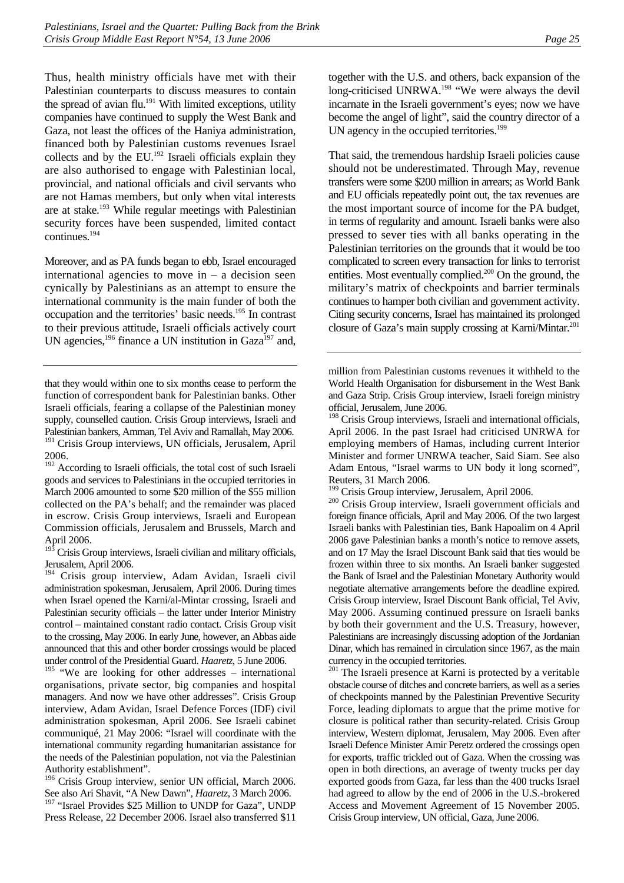Thus, health ministry officials have met with their Palestinian counterparts to discuss measures to contain the spread of avian  $flu.^{191}$  With limited exceptions, utility companies have continued to supply the West Bank and Gaza, not least the offices of the Haniya administration, financed both by Palestinian customs revenues Israel collects and by the  $EU^{192}$  Israeli officials explain they are also authorised to engage with Palestinian local, provincial, and national officials and civil servants who are not Hamas members, but only when vital interests are at stake.[193 W](#page-30-2)hile regular meetings with Palestinian security forces have been suspended, limited contact continues.[194](#page-30-3) 

Moreover, and as PA funds began to ebb, Israel encouraged international agencies to move in  $-$  a decision seen cynically by Palestinians as an attempt to ensure the international community is the main funder of both the occupation and the territories' basic needs[.195 I](#page-30-4)n contrast to their previous attitude, Israeli officials actively court UN agencies,<sup>196</sup> finance a UN institution in Gaza<sup>197</sup> and,

<span id="page-30-2"></span> $19\overline{3}$  Crisis Group interviews, Israeli civilian and military officials, Jerusalem, April 2006.

<span id="page-30-3"></span><sup>194</sup> Crisis group interview, Adam Avidan, Israeli civil administration spokesman, Jerusalem, April 2006. During times when Israel opened the Karni/al-Mintar crossing, Israeli and Palestinian security officials – the latter under Interior Ministry control – maintained constant radio contact. Crisis Group visit to the crossing, May 2006. In early June, however, an Abbas aide announced that this and other border crossings would be placed under control of the Presidential Guard. *Haaretz*, 5 June 2006.

<span id="page-30-4"></span> $195$  "We are looking for other addresses – international organisations, private sector, big companies and hospital managers. And now we have other addresses". Crisis Group interview, Adam Avidan, Israel Defence Forces (IDF) civil administration spokesman, April 2006. See Israeli cabinet communiqué, 21 May 2006: "Israel will coordinate with the international community regarding humanitarian assistance for the needs of the Palestinian population, not via the Palestinian Authority establishment".

<span id="page-30-6"></span><span id="page-30-5"></span><sup>196</sup> Crisis Group interview, senior UN official, March 2006. See also Ari Shavit, "A New Dawn", *Haaretz*, 3 March 2006. <sup>197</sup> "Israel Provides \$25 Million to UNDP for Gaza", UNDP Press Release, 22 December 2006. Israel also transferred \$11

together with the U.S. and others, back expansion of the long-criticised UNRWA.<sup>198</sup> "We were always the devil incarnate in the Israeli government's eyes; now we have become the angel of light", said the country director of a UN agency in the occupied territories.<sup>199</sup>

That said, the tremendous hardship Israeli policies cause should not be underestimated. Through May, revenue transfers were some \$200 million in arrears; as World Bank and EU officials repeatedly point out, the tax revenues are the most important source of income for the PA budget, in terms of regularity and amount. Israeli banks were also pressed to sever ties with all banks operating in the Palestinian territories on the grounds that it would be too complicated to screen every transaction for links to terrorist entities. Most eventually complied.<sup>200</sup> On the ground, the military's matrix of checkpoints and barrier terminals continues to hamper both civilian and government activity. Citing security concerns, Israel has maintained its prolonged closure of Gaza's main supply crossing at Karni/Mintar.<sup>201</sup>

million from Palestinian customs revenues it withheld to the World Health Organisation for disbursement in the West Bank and Gaza Strip. Crisis Group interview, Israeli foreign ministry official, Jerusalem, June 2006.

<span id="page-30-7"></span><sup>198</sup> Crisis Group interviews, Israeli and international officials, April 2006. In the past Israel had criticised UNRWA for employing members of Hamas, including current Interior Minister and former UNRWA teacher, Said Siam. See also Adam Entous, "Israel warms to UN body it long scorned",

Reuters, 31 March 2006.<br><sup>199</sup> Crisis Group interview, Jerusalem, April 2006.

<span id="page-30-9"></span><span id="page-30-8"></span><sup>200</sup> Crisis Group interview, Israeli government officials and foreign finance officials, April and May 2006. Of the two largest Israeli banks with Palestinian ties, Bank Hapoalim on 4 April 2006 gave Palestinian banks a month's notice to remove assets, and on 17 May the Israel Discount Bank said that ties would be frozen within three to six months. An Israeli banker suggested the Bank of Israel and the Palestinian Monetary Authority would negotiate alternative arrangements before the deadline expired. Crisis Group interview, Israel Discount Bank official, Tel Aviv, May 2006. Assuming continued pressure on Israeli banks by both their government and the U.S. Treasury, however, Palestinians are increasingly discussing adoption of the Jordanian Dinar, which has remained in circulation since 1967, as the main currency in the occupied territories.

<span id="page-30-10"></span><sup>201</sup> The Israeli presence at Karni is protected by a veritable obstacle course of ditches and concrete barriers, as well as a series of checkpoints manned by the Palestinian Preventive Security Force, leading diplomats to argue that the prime motive for closure is political rather than security-related. Crisis Group interview, Western diplomat, Jerusalem, May 2006. Even after Israeli Defence Minister Amir Peretz ordered the crossings open for exports, traffic trickled out of Gaza. When the crossing was open in both directions, an average of twenty trucks per day exported goods from Gaza, far less than the 400 trucks Israel had agreed to allow by the end of 2006 in the U.S.-brokered Access and Movement Agreement of 15 November 2005. Crisis Group interview, UN official, Gaza, June 2006.

that they would within one to six months cease to perform the function of correspondent bank for Palestinian banks. Other Israeli officials, fearing a collapse of the Palestinian money supply, counselled caution. Crisis Group interviews, Israeli and Palestinian bankers, Amman, Tel Aviv and Ramallah, May 2006. <sup>191</sup> Crisis Group interviews, UN officials, Jerusalem, April 2006.

<span id="page-30-1"></span><span id="page-30-0"></span><sup>&</sup>lt;sup>192</sup> According to Israeli officials, the total cost of such Israeli goods and services to Palestinians in the occupied territories in March 2006 amounted to some \$20 million of the \$55 million collected on the PA's behalf; and the remainder was placed in escrow. Crisis Group interviews, Israeli and European Commission officials, Jerusalem and Brussels, March and April 2006.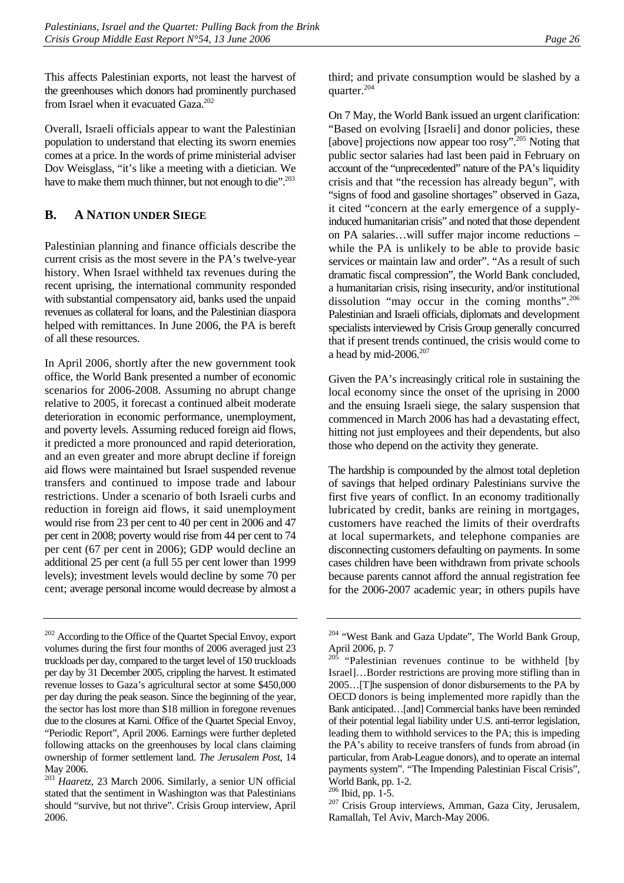This affects Palestinian exports, not least the harvest of the greenhouses which donors had prominently purchased from Israel when it evacuated Gaza. $202$ 

Overall, Israeli officials appear to want the Palestinian population to understand that electing its sworn enemies comes at a price. In the words of prime ministerial adviser Dov Weisglass, "it's like a meeting with a dietician. We have to make them much thinner, but not enough to die".<sup>203</sup>

# <span id="page-31-0"></span>**B. A NATION UNDER SIEGE**

Palestinian planning and finance officials describe the current crisis as the most severe in the PA's twelve-year history. When Israel withheld tax revenues during the recent uprising, the international community responded with substantial compensatory aid, banks used the unpaid revenues as collateral for loans, and the Palestinian diaspora helped with remittances. In June 2006, the PA is bereft of all these resources.

In April 2006, shortly after the new government took office, the World Bank presented a number of economic scenarios for 2006-2008. Assuming no abrupt change relative to 2005, it forecast a continued albeit moderate deterioration in economic performance, unemployment, and poverty levels. Assuming reduced foreign aid flows, it predicted a more pronounced and rapid deterioration, and an even greater and more abrupt decline if foreign aid flows were maintained but Israel suspended revenue transfers and continued to impose trade and labour restrictions. Under a scenario of both Israeli curbs and reduction in foreign aid flows, it said unemployment would rise from 23 per cent to 40 per cent in 2006 and 47 per cent in 2008; poverty would rise from 44 per cent to 74 per cent (67 per cent in 2006); GDP would decline an additional 25 per cent (a full 55 per cent lower than 1999 levels); investment levels would decline by some 70 per cent; average personal income would decrease by almost a third; and private consumption would be slashed by a quarter.<sup>204</sup>

On 7 May, the World Bank issued an urgent clarification: "Based on evolving [Israeli] and donor policies, these [above] projections now appear too rosy".<sup>205</sup> Noting that public sector salaries had last been paid in February on account of the "unprecedented" nature of the PA's liquidity crisis and that "the recession has already begun", with "signs of food and gasoline shortages" observed in Gaza, it cited "concern at the early emergence of a supplyinduced humanitarian crisis" and noted that those dependent on PA salaries…will suffer major income reductions – while the PA is unlikely to be able to provide basic services or maintain law and order". "As a result of such dramatic fiscal compression", the World Bank concluded, a humanitarian crisis, rising insecurity, and/or institutional dissolution "may occur in the coming months".<sup>206</sup> Palestinian and Israeli officials, diplomats and development specialists interviewed by Crisis Group generally concurred that if present trends continued, the crisis would come to a head by mid-2006. $207$ 

Given the PA's increasingly critical role in sustaining the local economy since the onset of the uprising in 2000 and the ensuing Israeli siege, the salary suspension that commenced in March 2006 has had a devastating effect, hitting not just employees and their dependents, but also those who depend on the activity they generate.

The hardship is compounded by the almost total depletion of savings that helped ordinary Palestinians survive the first five years of conflict. In an economy traditionally lubricated by credit, banks are reining in mortgages, customers have reached the limits of their overdrafts at local supermarkets, and telephone companies are disconnecting customers defaulting on payments. In some cases children have been withdrawn from private schools because parents cannot afford the annual registration fee for the 2006-2007 academic year; in others pupils have

<span id="page-31-1"></span><sup>&</sup>lt;sup>202</sup> According to the Office of the Quartet Special Envoy, export volumes during the first four months of 2006 averaged just 23 truckloads per day, compared to the target level of 150 truckloads per day by 31 December 2005, crippling the harvest. It estimated revenue losses to Gaza's agricultural sector at some \$450,000 per day during the peak season. Since the beginning of the year, the sector has lost more than \$18 million in foregone revenues due to the closures at Karni. Office of the Quartet Special Envoy, "Periodic Report", April 2006. Earnings were further depleted following attacks on the greenhouses by local clans claiming ownership of former settlement land. *The Jerusalem Post*, 14 May 2006.

<span id="page-31-2"></span><sup>203</sup> *Haaretz*, 23 March 2006. Similarly, a senior UN official stated that the sentiment in Washington was that Palestinians should "survive, but not thrive". Crisis Group interview, April 2006.

<span id="page-31-3"></span><sup>&</sup>lt;sup>204</sup> "West Bank and Gaza Update", The World Bank Group, April 2006, p. 7

<span id="page-31-4"></span><sup>&</sup>quot;Palestinian revenues continue to be withheld [by Israel]…Border restrictions are proving more stifling than in 2005…[T]he suspension of donor disbursements to the PA by OECD donors is being implemented more rapidly than the Bank anticipated…[and] Commercial banks have been reminded of their potential legal liability under U.S. anti-terror legislation, leading them to withhold services to the PA; this is impeding the PA's ability to receive transfers of funds from abroad (in particular, from Arab-League donors), and to operate an internal payments system". "The Impending Palestinian Fiscal Crisis", World Bank, pp. 1-2.<br><sup>206</sup> Ibid, pp. 1-5.

<span id="page-31-5"></span>

<span id="page-31-6"></span><sup>&</sup>lt;sup>207</sup> Crisis Group interviews, Amman, Gaza City, Jerusalem, Ramallah, Tel Aviv, March-May 2006.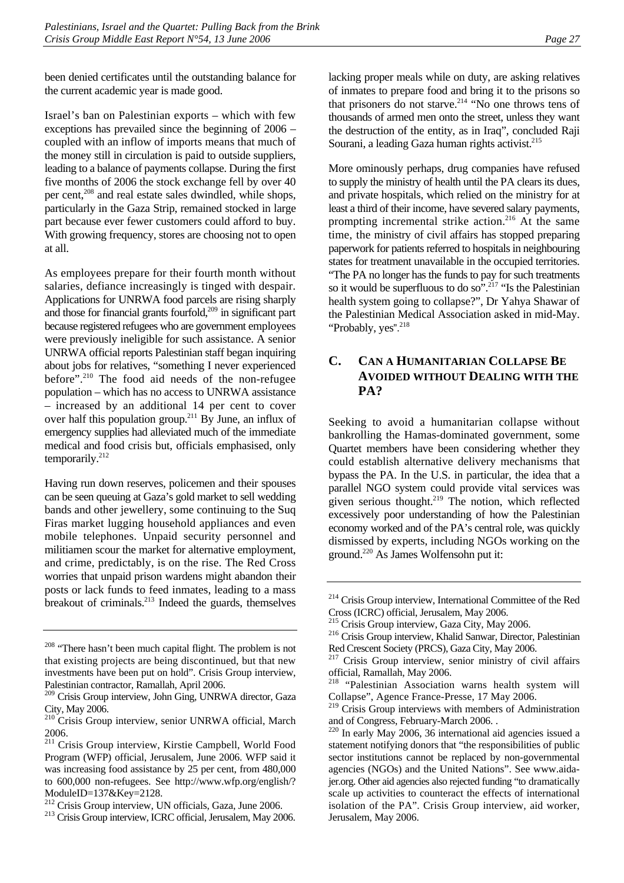been denied certificates until the outstanding balance for the current academic year is made good.

Israel's ban on Palestinian exports – which with few exceptions has prevailed since the beginning of 2006 – coupled with an inflow of imports means that much of the money still in circulation is paid to outside suppliers, leading to a balance of payments collapse. During the first five months of 2006 the stock exchange fell by over 40 per cent,<sup>208</sup> and real estate sales dwindled, while shops, particularly in the Gaza Strip, remained stocked in large part because ever fewer customers could afford to buy. With growing frequency, stores are choosing not to open at all.

As employees prepare for their fourth month without salaries, defiance increasingly is tinged with despair. Applications for UNRWA food parcels are rising sharply and those for financial grants fourfold,<sup>209</sup> in significant part because registered refugees who are government employees were previously ineligible for such assistance. A senior UNRWA official reports Palestinian staff began inquiring about jobs for relatives, "something I never experienced before".<sup>210</sup> The food aid needs of the non-refugee population – which has no access to UNRWA assistance – increased by an additional 14 per cent to cover over half this population group.[211 B](#page-32-4)y June, an influx of emergency supplies had alleviated much of the immediate medical and food crisis but, officials emphasised, only temporarily.[212](#page-32-5) 

Having run down reserves, policemen and their spouses can be seen queuing at Gaza's gold market to sell wedding bands and other jewellery, some continuing to the Suq Firas market lugging household appliances and even mobile telephones. Unpaid security personnel and militiamen scour the market for alternative employment, and crime, predictably, is on the rise. The Red Cross worries that unpaid prison wardens might abandon their posts or lack funds to feed inmates, leading to a mass breakout of criminals.[213](#page-32-6) Indeed the guards, themselves

lacking proper meals while on duty, are asking relatives of inmates to prepare food and bring it to the prisons so that prisoners do not starve.<sup>214</sup> "No one throws tens of thousands of armed men onto the street, unless they want the destruction of the entity, as in Iraq", concluded Raji Sourani, a leading Gaza human rights activist. $215$ 

More ominously perhaps, drug companies have refused to supply the ministry of health until the PA clears its dues, and private hospitals, which relied on the ministry for at least a third of their income, have severed salary payments, prompting incremental strike action.<sup>216</sup> At the same time, the ministry of civil affairs has stopped preparing paperwork for patients referred to hospitals in neighbouring states for treatment unavailable in the occupied territories. "The PA no longer has the funds to pay for such treatments so it would be superfluous to do so".<sup>217</sup> "Is the Palestinian" health system going to collapse?", Dr Yahya Shawar of the Palestinian Medical Association asked in mid-May. "Probably, yes".<sup>[218](#page-32-11)</sup>

# <span id="page-32-0"></span>**C. CAN A HUMANITARIAN COLLAPSE BE AVOIDED WITHOUT DEALING WITH THE PA?**

Seeking to avoid a humanitarian collapse without bankrolling the Hamas-dominated government, some Quartet members have been considering whether they could establish alternative delivery mechanisms that bypass the PA. In the U.S. in particular, the idea that a parallel NGO system could provide vital services was given serious thought. $219$  The notion, which reflected excessively poor understanding of how the Palestinian economy worked and of the PA's central role, was quickly dismissed by experts, including NGOs working on the ground[.220 A](#page-32-13)s James Wolfensohn put it:

<span id="page-32-1"></span><sup>&</sup>lt;sup>208</sup> "There hasn't been much capital flight. The problem is not that existing projects are being discontinued, but that new investments have been put on hold". Crisis Group interview, Palestinian contractor, Ramallah, April 2006.

<span id="page-32-2"></span><sup>209</sup> Crisis Group interview, John Ging, UNRWA director, Gaza City, May 2006.

<span id="page-32-3"></span><sup>210</sup> Crisis Group interview, senior UNRWA official, March 2006.

<span id="page-32-4"></span><sup>211</sup> Crisis Group interview, Kirstie Campbell, World Food Program (WFP) official, Jerusalem, June 2006. WFP said it was increasing food assistance by 25 per cent, from 480,000 to 600,000 non-refugees. See http://www.wfp.org/english/? ModuleID=137&Key=2128.<br><sup>212</sup> Crisis Group interview, UN officials, Gaza, June 2006.

<span id="page-32-5"></span>

<span id="page-32-6"></span><sup>&</sup>lt;sup>213</sup> Crisis Group interview, ICRC official, Jerusalem, May 2006.

<span id="page-32-7"></span><sup>214</sup> Crisis Group interview, International Committee of the Red Cross (ICRC) official, Jerusalem, May 2006.<br><sup>215</sup> Crisis Group interview, Gaza City, May 2006.

<span id="page-32-8"></span>

<span id="page-32-9"></span><sup>&</sup>lt;sup>216</sup> Crisis Group interview, Khalid Sanwar, Director, Palestinian Red Crescent Society (PRCS), Gaza City, May 2006.<br><sup>217</sup> Crisis Group interview, senior ministry of civil affairs

<span id="page-32-10"></span>official, Ramallah, May 2006.

<span id="page-32-11"></span><sup>218 &</sup>quot;Palestinian Association warns health system will Collapse", Agence France-Presse, 17 May 2006.

<span id="page-32-12"></span><sup>&</sup>lt;sup>219</sup> Crisis Group interviews with members of Administration and of Congress, February-March 2006. .

<span id="page-32-13"></span> $220$  In early May 2006, 36 international aid agencies issued a statement notifying donors that "the responsibilities of public sector institutions cannot be replaced by non-governmental agencies (NGOs) and the United Nations". See www.aidajer.org. Other aid agencies also rejected funding "to dramatically scale up activities to counteract the effects of international isolation of the PA". Crisis Group interview, aid worker, Jerusalem, May 2006.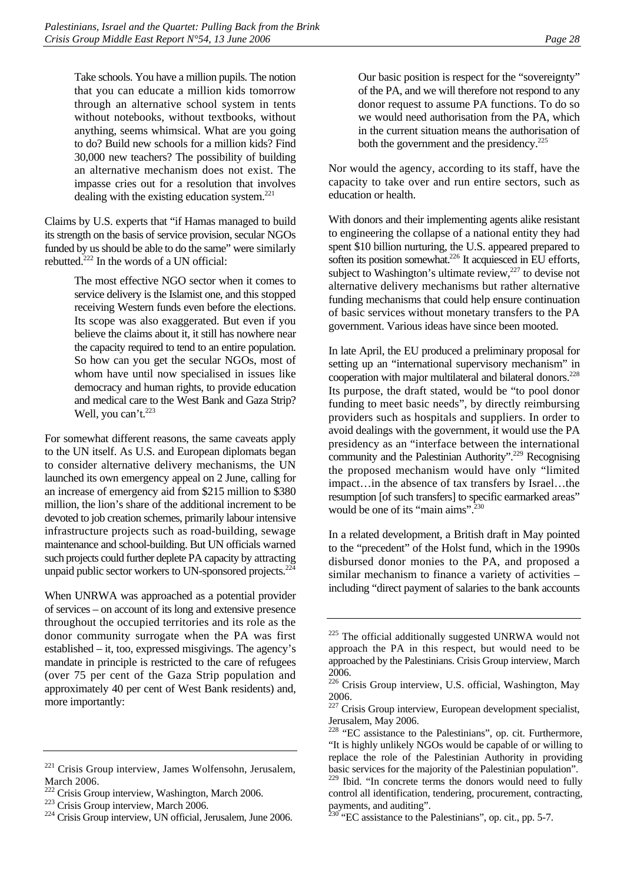Take schools. You have a million pupils. The notion that you can educate a million kids tomorrow through an alternative school system in tents without notebooks, without textbooks, without anything, seems whimsical. What are you going to do? Build new schools for a million kids? Find 30,000 new teachers? The possibility of building an alternative mechanism does not exist. The impasse cries out for a resolution that involves dealing with the existing education system. $^{221}$ 

Claims by U.S. experts that "if Hamas managed to build its strength on the basis of service provision, secular NGOs funded by us should be able to do the same" were similarly rebutted.[222 I](#page-33-1)n the words of a UN official:

> The most effective NGO sector when it comes to service delivery is the Islamist one, and this stopped receiving Western funds even before the elections. Its scope was also exaggerated. But even if you believe the claims about it, it still has nowhere near the capacity required to tend to an entire population. So how can you get the secular NGOs, most of whom have until now specialised in issues like democracy and human rights, to provide education and medical care to the West Bank and Gaza Strip? Well, you can't.<sup>[223](#page-33-2)</sup>

For somewhat different reasons, the same caveats apply to the UN itself. As U.S. and European diplomats began to consider alternative delivery mechanisms, the UN launched its own emergency appeal on 2 June, calling for an increase of emergency aid from \$215 million to \$380 million, the lion's share of the additional increment to be devoted to job creation schemes, primarily labour intensive infrastructure projects such as road-building, sewage maintenance and school-building. But UN officials warned such projects could further deplete PA capacity by attracting unpaid public sector workers to UN-sponsored projects.<sup>224</sup>

When UNRWA was approached as a potential provider of services – on account of its long and extensive presence throughout the occupied territories and its role as the donor community surrogate when the PA was first established – it, too, expressed misgivings. The agency's mandate in principle is restricted to the care of refugees (over 75 per cent of the Gaza Strip population and approximately 40 per cent of West Bank residents) and, more importantly:

Our basic position is respect for the "sovereignty" of the PA, and we will therefore not respond to any donor request to assume PA functions. To do so we would need authorisation from the PA, which in the current situation means the authorisation of both the government and the presidency. $225$ 

Nor would the agency, according to its staff, have the capacity to take over and run entire sectors, such as education or health.

With donors and their implementing agents alike resistant to engineering the collapse of a national entity they had spent \$10 billion nurturing, the U.S. appeared prepared to soften its position somewhat.<sup>226</sup> It acquiesced in EU efforts, subject to Washington's ultimate review, $227$  to devise not alternative delivery mechanisms but rather alternative funding mechanisms that could help ensure continuation of basic services without monetary transfers to the PA government. Various ideas have since been mooted.

In late April, the EU produced a preliminary proposal for setting up an "international supervisory mechanism" in cooperation with major multilateral and bilateral donors.<sup>228</sup> Its purpose, the draft stated, would be "to pool donor funding to meet basic needs", by directly reimbursing providers such as hospitals and suppliers. In order to avoid dealings with the government, it would use the PA presidency as an "interface between the international community and the Palestinian Authority".<sup>229</sup> Recognising the proposed mechanism would have only "limited impact…in the absence of tax transfers by Israel…the resumption [of such transfers] to specific earmarked areas" would be one of its "main aims".<sup>230</sup>

In a related development, a British draft in May pointed to the "precedent" of the Holst fund, which in the 1990s disbursed donor monies to the PA, and proposed a similar mechanism to finance a variety of activities – including "direct payment of salaries to the bank accounts

<span id="page-33-0"></span><sup>&</sup>lt;sup>221</sup> Crisis Group interview, James Wolfensohn, Jerusalem, March 2006.

<span id="page-33-1"></span>

<span id="page-33-3"></span><span id="page-33-2"></span>

<sup>&</sup>lt;sup>222</sup> Crisis Group interview, Washington, March 2006.<br><sup>223</sup> Crisis Group interview, March 2006.<br><sup>224</sup> Crisis Group interview, UN official, Jerusalem, June 2006.

<span id="page-33-4"></span><sup>&</sup>lt;sup>225</sup> The official additionally suggested UNRWA would not approach the PA in this respect, but would need to be approached by the Palestinians. Crisis Group interview, March 2006.

<span id="page-33-5"></span><sup>226</sup> Crisis Group interview, U.S. official, Washington, May 2006.

<span id="page-33-6"></span><sup>&</sup>lt;sup>227</sup> Crisis Group interview, European development specialist, Jerusalem, May 2006.

<span id="page-33-7"></span><sup>&</sup>lt;sup>228</sup> "EC assistance to the Palestinians", op. cit. Furthermore, "It is highly unlikely NGOs would be capable of or willing to replace the role of the Palestinian Authority in providing basic services for the majority of the Palestinian population".

<span id="page-33-8"></span>Ibid. "In concrete terms the donors would need to fully control all identification, tendering, procurement, contracting, payments, and auditing".

<span id="page-33-9"></span> $230$  "EC assistance to the Palestinians", op. cit., pp. 5-7.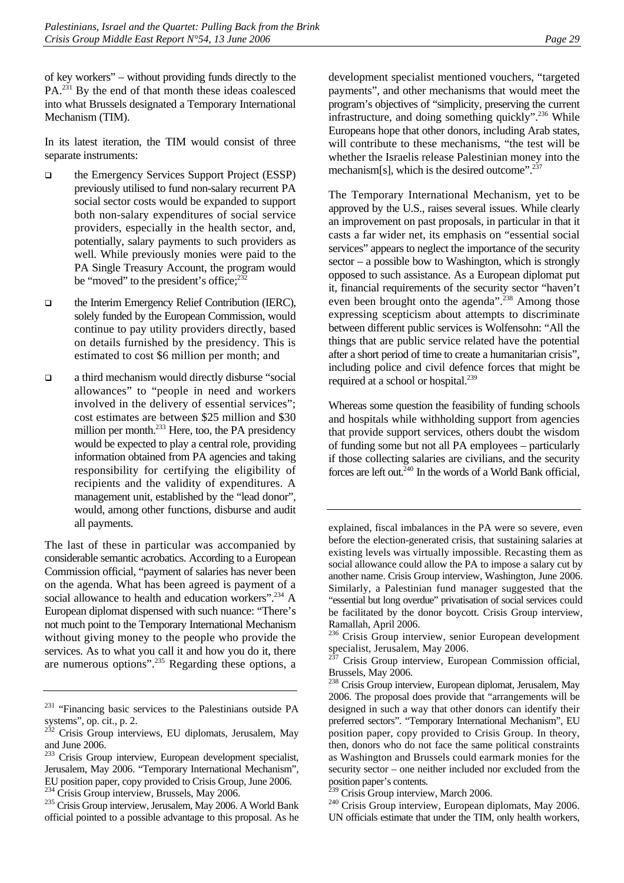of key workers" – without providing funds directly to the  $PA<sup>231</sup>$  By the end of that month these ideas coalesced into what Brussels designated a Temporary International Mechanism (TIM).

In its latest iteration, the TIM would consist of three separate instruments:

- $\Box$  the Emergency Services Support Project (ESSP) previously utilised to fund non-salary recurrent PA social sector costs would be expanded to support both non-salary expenditures of social service providers, especially in the health sector, and, potentially, salary payments to such providers as well. While previously monies were paid to the PA Single Treasury Account, the program would be "moved" to the president's office; $232$
- the Interim Emergency Relief Contribution (IERC), solely funded by the European Commission, would continue to pay utility providers directly, based on details furnished by the presidency. This is estimated to cost \$6 million per month; and
- a third mechanism would directly disburse "social allowances" to "people in need and workers involved in the delivery of essential services"; cost estimates are between \$25 million and \$30 million per month.<sup>233</sup> Here, too, the PA presidency would be expected to play a central role, providing information obtained from PA agencies and taking responsibility for certifying the eligibility of recipients and the validity of expenditures. A management unit, established by the "lead donor", would, among other functions, disburse and audit all payments.

The last of these in particular was accompanied by considerable semantic acrobatics. According to a European Commission official, "payment of salaries has never been on the agenda. What has been agreed is payment of a social allowance to health and education workers".<sup>234</sup> A European diplomat dispensed with such nuance: "There's not much point to the Temporary International Mechanism without giving money to the people who provide the services. As to what you call it and how you do it, there are numerous options".[235](#page-34-4) Regarding these options, a development specialist mentioned vouchers, "targeted payments", and other mechanisms that would meet the program's objectives of "simplicity, preserving the current infrastructure, and doing something quickly". $^{236}$  While Europeans hope that other donors, including Arab states, will contribute to these mechanisms, "the test will be whether the Israelis release Palestinian money into the mechanism[s], which is the desired outcome". $237$ 

The Temporary International Mechanism, yet to be approved by the U.S., raises several issues. While clearly an improvement on past proposals, in particular in that it casts a far wider net, its emphasis on "essential social services" appears to neglect the importance of the security sector – a possible bow to Washington, which is strongly opposed to such assistance. As a European diplomat put it, financial requirements of the security sector "haven't even been brought onto the agenda".<sup>238</sup> Among those expressing scepticism about attempts to discriminate between different public services is Wolfensohn: "All the things that are public service related have the potential after a short period of time to create a humanitarian crisis", including police and civil defence forces that might be required at a school or hospital.<sup>239</sup>

Whereas some question the feasibility of funding schools and hospitals while withholding support from agencies that provide support services, others doubt the wisdom of funding some but not all PA employees – particularly if those collecting salaries are civilians, and the security forces are left out. $240$  In the words of a World Bank official,

<span id="page-34-0"></span><sup>&</sup>lt;sup>231</sup> "Financing basic services to the Palestinians outside PA systems", op. cit., p. 2.

<span id="page-34-1"></span> $232$  Crisis Group interviews, EU diplomats, Jerusalem, May and June 2006.

<span id="page-34-2"></span><sup>&</sup>lt;sup>233</sup> Crisis Group interview, European development specialist, Jerusalem, May 2006. "Temporary International Mechanism", EU position paper, copy provided to Crisis Group, June 2006.<br><sup>234</sup> Crisis Group interview, Brussels, May 2006.

<span id="page-34-3"></span>

<span id="page-34-4"></span><sup>&</sup>lt;sup>235</sup> Crisis Group interview, Jerusalem, May 2006. A World Bank official pointed to a possible advantage to this proposal. As he

explained, fiscal imbalances in the PA were so severe, even before the election-generated crisis, that sustaining salaries at existing levels was virtually impossible. Recasting them as social allowance could allow the PA to impose a salary cut by another name. Crisis Group interview, Washington, June 2006. Similarly, a Palestinian fund manager suggested that the "essential but long overdue" privatisation of social services could be facilitated by the donor boycott. Crisis Group interview, Ramallah, April 2006.

<span id="page-34-5"></span><sup>&</sup>lt;sup>236</sup> Crisis Group interview, senior European development specialist, Jerusalem, May 2006.

<span id="page-34-6"></span>Crisis Group interview, European Commission official, Brussels, May 2006.

<span id="page-34-7"></span><sup>&</sup>lt;sup>238</sup> Crisis Group interview, European diplomat, Jerusalem, May 2006. The proposal does provide that "arrangements will be designed in such a way that other donors can identify their preferred sectors". "Temporary International Mechanism", EU position paper, copy provided to Crisis Group. In theory, then, donors who do not face the same political constraints as Washington and Brussels could earmark monies for the security sector – one neither included nor excluded from the position paper's contents.

<span id="page-34-9"></span><span id="page-34-8"></span>

 $\frac{239}{240}$  Crisis Group interview, March 2006.<br><sup>240</sup> Crisis Group interview, European diplomats, May 2006. UN officials estimate that under the TIM, only health workers,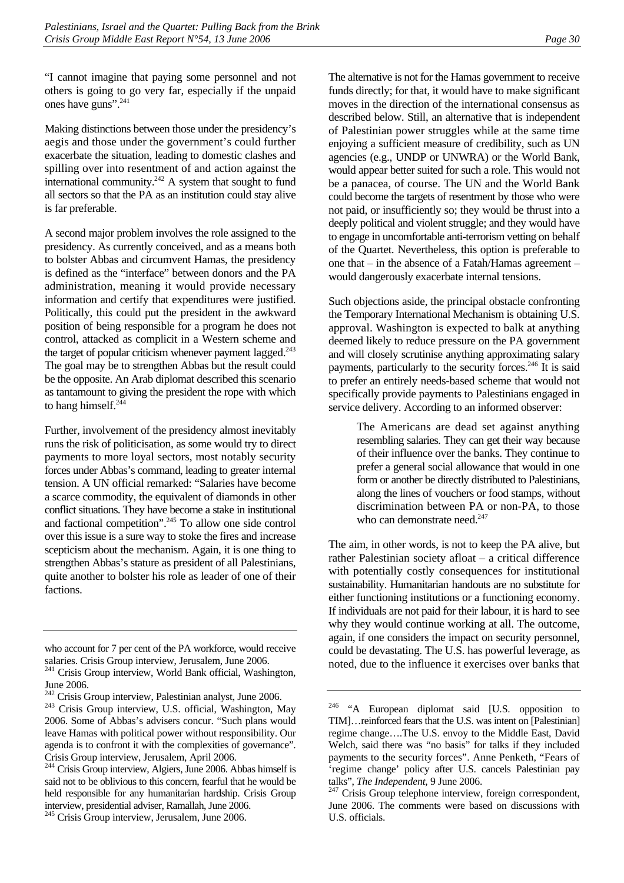"I cannot imagine that paying some personnel and not others is going to go very far, especially if the unpaid ones have guns".[241](#page-35-0) 

Making distinctions between those under the presidency's aegis and those under the government's could further exacerbate the situation, leading to domestic clashes and spilling over into resentment of and action against the international community.<sup>242</sup> A system that sought to fund all sectors so that the PA as an institution could stay alive is far preferable.

A second major problem involves the role assigned to the presidency. As currently conceived, and as a means both to bolster Abbas and circumvent Hamas, the presidency is defined as the "interface" between donors and the PA administration, meaning it would provide necessary information and certify that expenditures were justified. Politically, this could put the president in the awkward position of being responsible for a program he does not control, attacked as complicit in a Western scheme and the target of popular criticism whenever payment lagged. $243$ The goal may be to strengthen Abbas but the result could be the opposite. An Arab diplomat described this scenario as tantamount to giving the president the rope with which to hang himself.<sup>244</sup>

Further, involvement of the presidency almost inevitably runs the risk of politicisation, as some would try to direct payments to more loyal sectors, most notably security forces under Abbas's command, leading to greater internal tension. A UN official remarked: "Salaries have become a scarce commodity, the equivalent of diamonds in other conflict situations. They have become a stake in institutional and factional competition".<sup>245</sup> To allow one side control over this issue is a sure way to stoke the fires and increase scepticism about the mechanism. Again, it is one thing to strengthen Abbas's stature as president of all Palestinians, quite another to bolster his role as leader of one of their factions.

The alternative is not for the Hamas government to receive funds directly; for that, it would have to make significant moves in the direction of the international consensus as described below. Still, an alternative that is independent of Palestinian power struggles while at the same time enjoying a sufficient measure of credibility, such as UN agencies (e.g., UNDP or UNWRA) or the World Bank, would appear better suited for such a role. This would not be a panacea, of course. The UN and the World Bank could become the targets of resentment by those who were not paid, or insufficiently so; they would be thrust into a deeply political and violent struggle; and they would have to engage in uncomfortable anti-terrorism vetting on behalf of the Quartet. Nevertheless, this option is preferable to one that – in the absence of a Fatah/Hamas agreement – would dangerously exacerbate internal tensions.

Such objections aside, the principal obstacle confronting the Temporary International Mechanism is obtaining U.S. approval. Washington is expected to balk at anything deemed likely to reduce pressure on the PA government and will closely scrutinise anything approximating salary payments, particularly to the security forces.<sup>246</sup> It is said to prefer an entirely needs-based scheme that would not specifically provide payments to Palestinians engaged in service delivery. According to an informed observer:

> The Americans are dead set against anything resembling salaries. They can get their way because of their influence over the banks. They continue to prefer a general social allowance that would in one form or another be directly distributed to Palestinians, along the lines of vouchers or food stamps, without discrimination between PA or non-PA, to those who can demonstrate need.<sup>[247](#page-35-6)</sup>

The aim, in other words, is not to keep the PA alive, but rather Palestinian society afloat – a critical difference with potentially costly consequences for institutional sustainability. Humanitarian handouts are no substitute for either functioning institutions or a functioning economy. If individuals are not paid for their labour, it is hard to see why they would continue working at all. The outcome, again, if one considers the impact on security personnel, could be devastating. The U.S. has powerful leverage, as noted, due to the influence it exercises over banks that

who account for 7 per cent of the PA workforce, would receive salaries. Crisis Group interview, Jerusalem, June 2006.

<span id="page-35-0"></span><sup>&</sup>lt;sup>241</sup> Crisis Group interview, World Bank official, Washington,

<span id="page-35-1"></span>June 2006.<br><sup>242</sup> Crisis Group interview, Palestinian analyst, June 2006.

<span id="page-35-2"></span><sup>&</sup>lt;sup>243</sup> Crisis Group interview, U.S. official, Washington, May 2006. Some of Abbas's advisers concur. "Such plans would leave Hamas with political power without responsibility. Our agenda is to confront it with the complexities of governance". Crisis Group interview, Jerusalem, April 2006.

<span id="page-35-3"></span><sup>244</sup> Crisis Group interview, Algiers, June 2006. Abbas himself is said not to be oblivious to this concern, fearful that he would be held responsible for any humanitarian hardship. Crisis Group interview, presidential adviser, Ramallah, June 2006.

<span id="page-35-4"></span><sup>&</sup>lt;sup>245</sup> Crisis Group interview, Jerusalem, June 2006.

<span id="page-35-5"></span><sup>&</sup>lt;sup>246</sup> "A European diplomat said [U.S. opposition to TIM]…reinforced fears that the U.S. was intent on [Palestinian] regime change….The U.S. envoy to the Middle East, David Welch, said there was "no basis" for talks if they included payments to the security forces". Anne Penketh, "Fears of 'regime change' policy after U.S. cancels Palestinian pay talks", *The Independent*, 9 June 2006.<br><sup>247</sup> Crisis Group telephone interview, foreign correspondent,

<span id="page-35-6"></span>June 2006. The comments were based on discussions with U.S. officials.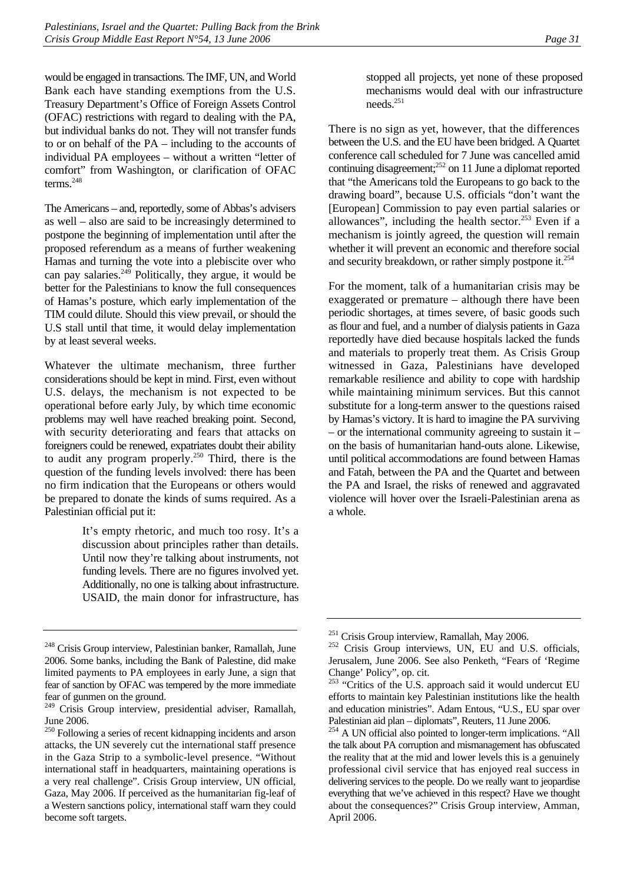would be engaged in transactions. The IMF, UN, and World Bank each have standing exemptions from the U.S. Treasury Department's Office of Foreign Assets Control (OFAC) restrictions with regard to dealing with the PA, but individual banks do not. They will not transfer funds to or on behalf of the PA – including to the accounts of individual PA employees – without a written "letter of comfort" from Washington, or clarification of OFAC terms.[248](#page-36-0) 

The Americans – and, reportedly, some of Abbas's advisers as well – also are said to be increasingly determined to postpone the beginning of implementation until after the proposed referendum as a means of further weakening Hamas and turning the vote into a plebiscite over who can pay salaries.<sup>249</sup> Politically, they argue, it would be better for the Palestinians to know the full consequences of Hamas's posture, which early implementation of the TIM could dilute. Should this view prevail, or should the U.S stall until that time, it would delay implementation by at least several weeks.

Whatever the ultimate mechanism, three further considerations should be kept in mind. First, even without U.S. delays, the mechanism is not expected to be operational before early July, by which time economic problems may well have reached breaking point. Second, with security deteriorating and fears that attacks on foreigners could be renewed, expatriates doubt their ability to audit any program properly.<sup>250</sup> Third, there is the question of the funding levels involved: there has been no firm indication that the Europeans or others would be prepared to donate the kinds of sums required. As a Palestinian official put it:

> It's empty rhetoric, and much too rosy. It's a discussion about principles rather than details. Until now they're talking about instruments, not funding levels. There are no figures involved yet. Additionally, no one is talking about infrastructure. USAID, the main donor for infrastructure, has

stopped all projects, yet none of these proposed mechanisms would deal with our infrastructure needs<sup>251</sup>

There is no sign as yet, however, that the differences between the U.S. and the EU have been bridged. A Quartet conference call scheduled for 7 June was cancelled amid continuing disagreement; $252$  on 11 June a diplomat reported that "the Americans told the Europeans to go back to the drawing board", because U.S. officials "don't want the [European] Commission to pay even partial salaries or allowances", including the health sector.<sup>253</sup> Even if a mechanism is jointly agreed, the question will remain whether it will prevent an economic and therefore social and security breakdown, or rather simply postpone it.<sup>[254](#page-36-6)</sup>

For the moment, talk of a humanitarian crisis may be exaggerated or premature – although there have been periodic shortages, at times severe, of basic goods such as flour and fuel, and a number of dialysis patients in Gaza reportedly have died because hospitals lacked the funds and materials to properly treat them. As Crisis Group witnessed in Gaza, Palestinians have developed remarkable resilience and ability to cope with hardship while maintaining minimum services. But this cannot substitute for a long-term answer to the questions raised by Hamas's victory. It is hard to imagine the PA surviving – or the international community agreeing to sustain it – on the basis of humanitarian hand-outs alone. Likewise, until political accommodations are found between Hamas and Fatah, between the PA and the Quartet and between the PA and Israel, the risks of renewed and aggravated violence will hover over the Israeli-Palestinian arena as a whole.

<span id="page-36-0"></span><sup>248</sup> Crisis Group interview, Palestinian banker, Ramallah, June 2006. Some banks, including the Bank of Palestine, did make limited payments to PA employees in early June, a sign that fear of sanction by OFAC was tempered by the more immediate fear of gunmen on the ground.

<span id="page-36-1"></span><sup>249</sup> Crisis Group interview, presidential adviser, Ramallah, June 2006.

<span id="page-36-2"></span><sup>250</sup> Following a series of recent kidnapping incidents and arson attacks, the UN severely cut the international staff presence in the Gaza Strip to a symbolic-level presence. "Without international staff in headquarters, maintaining operations is a very real challenge". Crisis Group interview, UN official, Gaza, May 2006. If perceived as the humanitarian fig-leaf of a Western sanctions policy, international staff warn they could become soft targets.

<span id="page-36-4"></span><span id="page-36-3"></span><sup>&</sup>lt;sup>251</sup> Crisis Group interview, Ramallah, May 2006.<br><sup>252</sup> Crisis Group interviews, UN, EU and U.S. officials, Jerusalem, June 2006. See also Penketh, "Fears of 'Regime Change' Policy", op. cit.

<span id="page-36-5"></span><sup>&</sup>lt;sup>253</sup> "Critics of the U.S. approach said it would undercut EU efforts to maintain key Palestinian institutions like the health and education ministries". Adam Entous, "U.S., EU spar over Palestinian aid plan – diplomats", Reuters, 11 June 2006.

<span id="page-36-6"></span><sup>&</sup>lt;sup>254</sup> A UN official also pointed to longer-term implications. "All the talk about PA corruption and mismanagement has obfuscated the reality that at the mid and lower levels this is a genuinely professional civil service that has enjoyed real success in delivering services to the people. Do we really want to jeopardise everything that we've achieved in this respect? Have we thought about the consequences?" Crisis Group interview, Amman, April 2006.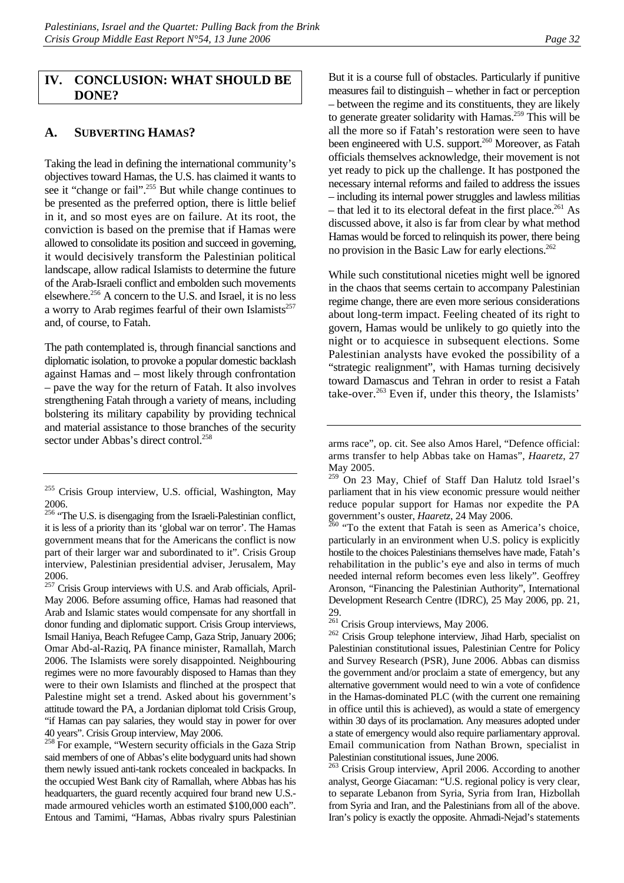#### <span id="page-37-0"></span>**IV. CONCLUSION: WHAT SHOULD BE DONE?**

#### <span id="page-37-1"></span>**A. SUBVERTING HAMAS?**

Taking the lead in defining the international community's objectives toward Hamas, the U.S. has claimed it wants to see it "change or fail".<sup>255</sup> But while change continues to be presented as the preferred option, there is little belief in it, and so most eyes are on failure. At its root, the conviction is based on the premise that if Hamas were allowed to consolidate its position and succeed in governing, it would decisively transform the Palestinian political landscape, allow radical Islamists to determine the future of the Arab-Israeli conflict and embolden such movements elsewhere.<sup>256</sup> A concern to the U.S. and Israel, it is no less a worry to Arab regimes fearful of their own Islamists $^{257}$ and, of course, to Fatah.

The path contemplated is, through financial sanctions and diplomatic isolation, to provoke a popular domestic backlash against Hamas and – most likely through confrontation – pave the way for the return of Fatah. It also involves strengthening Fatah through a variety of means, including bolstering its military capability by providing technical and material assistance to those branches of the security sector under Abbas's direct control.<sup>[258](#page-37-5)</sup>

<span id="page-37-4"></span><sup>257</sup> Crisis Group interviews with U.S. and Arab officials, April-May 2006. Before assuming office, Hamas had reasoned that Arab and Islamic states would compensate for any shortfall in donor funding and diplomatic support. Crisis Group interviews, Ismail Haniya, Beach Refugee Camp, Gaza Strip, January 2006; Omar Abd-al-Raziq, PA finance minister, Ramallah, March 2006. The Islamists were sorely disappointed. Neighbouring regimes were no more favourably disposed to Hamas than they were to their own Islamists and flinched at the prospect that Palestine might set a trend. Asked about his government's attitude toward the PA, a Jordanian diplomat told Crisis Group, "if Hamas can pay salaries, they would stay in power for over 40 years". Crisis Group interview, May 2006.

<span id="page-37-5"></span><sup>258</sup> For example, "Western security officials in the Gaza Strip said members of one of Abbas's elite bodyguard units had shown them newly issued anti-tank rockets concealed in backpacks. In the occupied West Bank city of Ramallah, where Abbas has his headquarters, the guard recently acquired four brand new U.S. made armoured vehicles worth an estimated \$100,000 each". Entous and Tamimi, "Hamas, Abbas rivalry spurs Palestinian

But it is a course full of obstacles. Particularly if punitive measures fail to distinguish – whether in fact or perception – between the regime and its constituents, they are likely to generate greater solidarity with Hamas.<sup>259</sup> This will be all the more so if Fatah's restoration were seen to have been engineered with U.S. support.<sup>260</sup> Moreover, as Fatah officials themselves acknowledge, their movement is not yet ready to pick up the challenge. It has postponed the necessary internal reforms and failed to address the issues – including its internal power struggles and lawless militias – that led it to its electoral defeat in the first place.<sup>261</sup> As discussed above, it also is far from clear by what method Hamas would be forced to relinquish its power, there being no provision in the Basic Law for early elections.<sup>[262](#page-37-9)</sup>

While such constitutional niceties might well be ignored in the chaos that seems certain to accompany Palestinian regime change, there are even more serious considerations about long-term impact. Feeling cheated of its right to govern, Hamas would be unlikely to go quietly into the night or to acquiesce in subsequent elections. Some Palestinian analysts have evoked the possibility of a "strategic realignment", with Hamas turning decisively toward Damascus and Tehran in order to resist a Fatah take-over. $263$  Even if, under this theory, the Islamists'

<span id="page-37-7"></span>particularly in an environment when U.S. policy is explicitly hostile to the choices Palestinians themselves have made, Fatah's rehabilitation in the public's eye and also in terms of much needed internal reform becomes even less likely". Geoffrey Aronson, "Financing the Palestinian Authority", International Development Research Centre (IDRC), 25 May 2006, pp. 21, 29.<br><sup>261</sup> Crisis Group interviews, May 2006.

<span id="page-37-9"></span> $262$  Crisis Group telephone interview, Jihad Harb, specialist on Palestinian constitutional issues, Palestinian Centre for Policy and Survey Research (PSR), June 2006. Abbas can dismiss the government and/or proclaim a state of emergency, but any alternative government would need to win a vote of confidence in the Hamas-dominated PLC (with the current one remaining in office until this is achieved), as would a state of emergency within 30 days of its proclamation. Any measures adopted under a state of emergency would also require parliamentary approval. Email communication from Nathan Brown, specialist in Palestinian constitutional issues, June 2006.

<span id="page-37-10"></span><sup>263</sup> Crisis Group interview, April 2006. According to another analyst, George Giacaman: "U.S. regional policy is very clear, to separate Lebanon from Syria, Syria from Iran, Hizbollah from Syria and Iran, and the Palestinians from all of the above. Iran's policy is exactly the opposite. Ahmadi-Nejad's statements

<span id="page-37-2"></span><sup>&</sup>lt;sup>255</sup> Crisis Group interview, U.S. official, Washington, May 2006.

<span id="page-37-3"></span> $256$  "The U.S. is disengaging from the Israeli-Palestinian conflict, it is less of a priority than its 'global war on terror'. The Hamas government means that for the Americans the conflict is now part of their larger war and subordinated to it". Crisis Group interview, Palestinian presidential adviser, Jerusalem, May 2006.

arms race", op. cit. See also Amos Harel, "Defence official: arms transfer to help Abbas take on Hamas", *Haaretz*, 27 May 2005.

<span id="page-37-6"></span><sup>&</sup>lt;sup>259</sup> On 23 May, Chief of Staff Dan Halutz told Israel's parliament that in his view economic pressure would neither reduce popular support for Hamas nor expedite the PA government's ouster, *Haaretz*, 24 May 2006.<br><sup>260</sup> "To the extent that Fatah is seen as America's choice,

<span id="page-37-8"></span>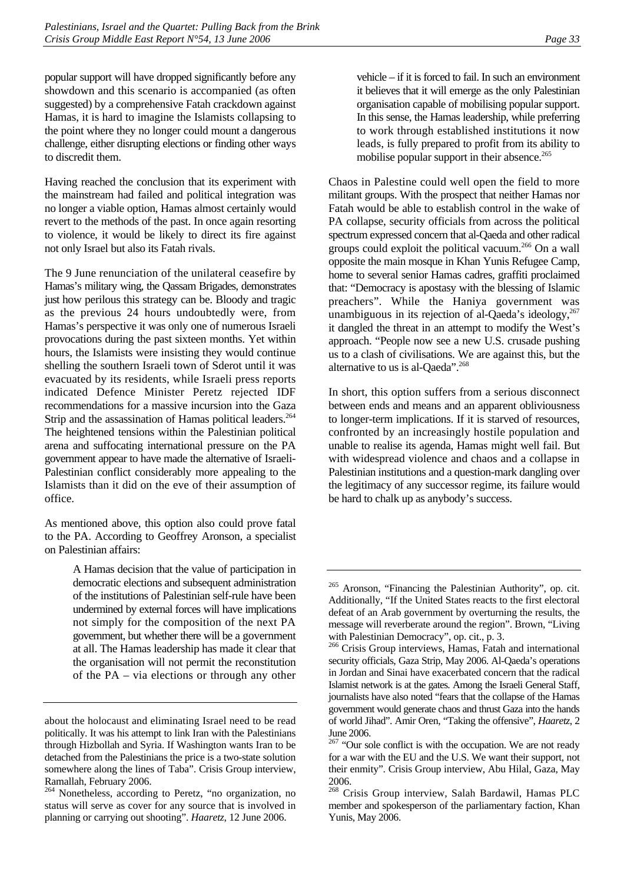popular support will have dropped significantly before any showdown and this scenario is accompanied (as often suggested) by a comprehensive Fatah crackdown against Hamas, it is hard to imagine the Islamists collapsing to the point where they no longer could mount a dangerous challenge, either disrupting elections or finding other ways to discredit them.

Having reached the conclusion that its experiment with the mainstream had failed and political integration was no longer a viable option, Hamas almost certainly would revert to the methods of the past. In once again resorting to violence, it would be likely to direct its fire against not only Israel but also its Fatah rivals.

The 9 June renunciation of the unilateral ceasefire by Hamas's military wing, the Qassam Brigades, demonstrates just how perilous this strategy can be. Bloody and tragic as the previous 24 hours undoubtedly were, from Hamas's perspective it was only one of numerous Israeli provocations during the past sixteen months. Yet within hours, the Islamists were insisting they would continue shelling the southern Israeli town of Sderot until it was evacuated by its residents, while Israeli press reports indicated Defence Minister Peretz rejected IDF recommendations for a massive incursion into the Gaza Strip and the assassination of Hamas political leaders.<sup>264</sup> The heightened tensions within the Palestinian political arena and suffocating international pressure on the PA government appear to have made the alternative of Israeli-Palestinian conflict considerably more appealing to the Islamists than it did on the eve of their assumption of office.

As mentioned above, this option also could prove fatal to the PA. According to Geoffrey Aronson, a specialist on Palestinian affairs:

> A Hamas decision that the value of participation in democratic elections and subsequent administration of the institutions of Palestinian self-rule have been undermined by external forces will have implications not simply for the composition of the next PA government, but whether there will be a government at all. The Hamas leadership has made it clear that the organisation will not permit the reconstitution of the PA – via elections or through any other

vehicle – if it is forced to fail. In such an environment it believes that it will emerge as the only Palestinian organisation capable of mobilising popular support. In this sense, the Hamas leadership, while preferring to work through established institutions it now leads, is fully prepared to profit from its ability to mobilise popular support in their absence.<sup>[265](#page-38-1)</sup>

Chaos in Palestine could well open the field to more militant groups. With the prospect that neither Hamas nor Fatah would be able to establish control in the wake of PA collapse, security officials from across the political spectrum expressed concern that al-Qaeda and other radical groups could exploit the political vacuum[.266 O](#page-38-2)n a wall opposite the main mosque in Khan Yunis Refugee Camp, home to several senior Hamas cadres, graffiti proclaimed that: "Democracy is apostasy with the blessing of Islamic preachers". While the Haniya government was unambiguous in its rejection of al-Qaeda's ideology,<sup>267</sup> it dangled the threat in an attempt to modify the West's approach. "People now see a new U.S. crusade pushing us to a clash of civilisations. We are against this, but the alternative to us is al-Qaeda".<sup>268</sup>

In short, this option suffers from a serious disconnect between ends and means and an apparent obliviousness to longer-term implications. If it is starved of resources, confronted by an increasingly hostile population and unable to realise its agenda, Hamas might well fail. But with widespread violence and chaos and a collapse in Palestinian institutions and a question-mark dangling over the legitimacy of any successor regime, its failure would be hard to chalk up as anybody's success.

about the holocaust and eliminating Israel need to be read politically. It was his attempt to link Iran with the Palestinians through Hizbollah and Syria. If Washington wants Iran to be detached from the Palestinians the price is a two-state solution somewhere along the lines of Taba". Crisis Group interview, Ramallah, February 2006.

<span id="page-38-0"></span><sup>264</sup> Nonetheless, according to Peretz, "no organization, no status will serve as cover for any source that is involved in planning or carrying out shooting". *Haaretz*, 12 June 2006.

<span id="page-38-1"></span><sup>&</sup>lt;sup>265</sup> Aronson, "Financing the Palestinian Authority", op. cit. Additionally, "If the United States reacts to the first electoral defeat of an Arab government by overturning the results, the message will reverberate around the region". Brown, "Living with Palestinian Democracy", op. cit., p. 3.

<span id="page-38-2"></span><sup>266</sup> Crisis Group interviews, Hamas, Fatah and international security officials, Gaza Strip, May 2006. Al-Qaeda's operations in Jordan and Sinai have exacerbated concern that the radical Islamist network is at the gates. Among the Israeli General Staff, journalists have also noted "fears that the collapse of the Hamas government would generate chaos and thrust Gaza into the hands of world Jihad". Amir Oren, "Taking the offensive", *Haaretz*, 2 June 2006.

<span id="page-38-3"></span> $267$  "Our sole conflict is with the occupation. We are not ready for a war with the EU and the U.S. We want their support, not their enmity". Crisis Group interview, Abu Hilal, Gaza, May  $\frac{2006.}{268}$ 

<span id="page-38-4"></span>Crisis Group interview, Salah Bardawil, Hamas PLC member and spokesperson of the parliamentary faction, Khan Yunis, May 2006.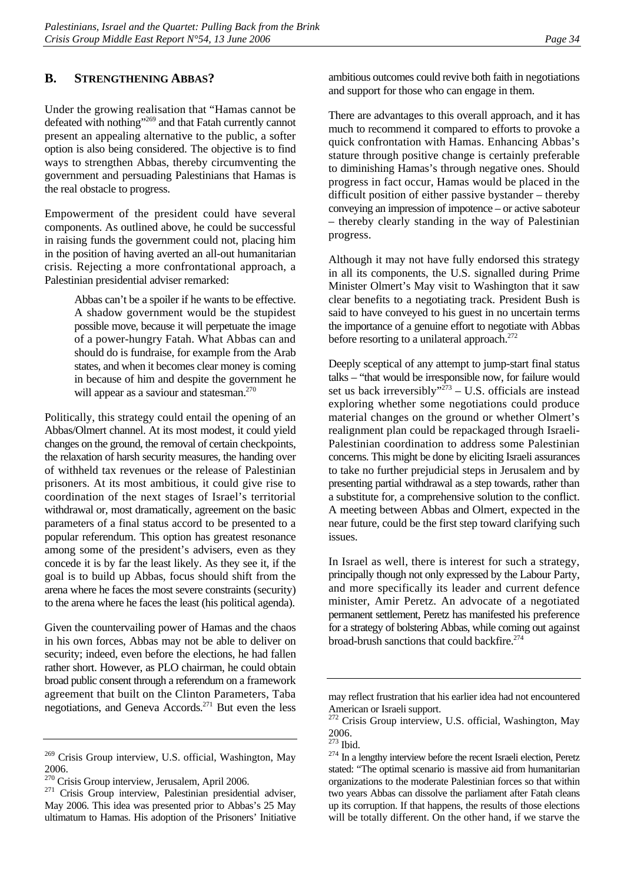#### <span id="page-39-0"></span>**B. STRENGTHENING ABBAS?**

Under the growing realisation that "Hamas cannot be defeated with nothing"[269 a](#page-39-1)nd that Fatah currently cannot present an appealing alternative to the public, a softer option is also being considered. The objective is to find ways to strengthen Abbas, thereby circumventing the government and persuading Palestinians that Hamas is the real obstacle to progress.

Empowerment of the president could have several components. As outlined above, he could be successful in raising funds the government could not, placing him in the position of having averted an all-out humanitarian crisis. Rejecting a more confrontational approach, a Palestinian presidential adviser remarked:

> Abbas can't be a spoiler if he wants to be effective. A shadow government would be the stupidest possible move, because it will perpetuate the image of a power-hungry Fatah. What Abbas can and should do is fundraise, for example from the Arab states, and when it becomes clear money is coming in because of him and despite the government he will appear as a saviour and statesman.<sup>[270](#page-39-2)</sup>

Politically, this strategy could entail the opening of an Abbas/Olmert channel. At its most modest, it could yield changes on the ground, the removal of certain checkpoints, the relaxation of harsh security measures, the handing over of withheld tax revenues or the release of Palestinian prisoners. At its most ambitious, it could give rise to coordination of the next stages of Israel's territorial withdrawal or, most dramatically, agreement on the basic parameters of a final status accord to be presented to a popular referendum. This option has greatest resonance among some of the president's advisers, even as they concede it is by far the least likely. As they see it, if the goal is to build up Abbas, focus should shift from the arena where he faces the most severe constraints (security) to the arena where he faces the least (his political agenda).

Given the countervailing power of Hamas and the chaos in his own forces, Abbas may not be able to deliver on security; indeed, even before the elections, he had fallen rather short. However, as PLO chairman, he could obtain broad public consent through a referendum on a framework agreement that built on the Clinton Parameters, Taba negotiations, and Geneva Accords.[271 B](#page-39-3)ut even the less ambitious outcomes could revive both faith in negotiations and support for those who can engage in them.

There are advantages to this overall approach, and it has much to recommend it compared to efforts to provoke a quick confrontation with Hamas. Enhancing Abbas's stature through positive change is certainly preferable to diminishing Hamas's through negative ones. Should progress in fact occur, Hamas would be placed in the difficult position of either passive bystander – thereby conveying an impression of impotence – or active saboteur – thereby clearly standing in the way of Palestinian progress.

Although it may not have fully endorsed this strategy in all its components, the U.S. signalled during Prime Minister Olmert's May visit to Washington that it saw clear benefits to a negotiating track. President Bush is said to have conveyed to his guest in no uncertain terms the importance of a genuine effort to negotiate with Abbas before resorting to a unilateral approach. $272$ 

Deeply sceptical of any attempt to jump-start final status talks – "that would be irresponsible now, for failure would set us back irreversibly" $273 - U.S.$  officials are instead exploring whether some negotiations could produce material changes on the ground or whether Olmert's realignment plan could be repackaged through Israeli-Palestinian coordination to address some Palestinian concerns. This might be done by eliciting Israeli assurances to take no further prejudicial steps in Jerusalem and by presenting partial withdrawal as a step towards, rather than a substitute for, a comprehensive solution to the conflict. A meeting between Abbas and Olmert, expected in the near future, could be the first step toward clarifying such issues.

In Israel as well, there is interest for such a strategy, principally though not only expressed by the Labour Party, and more specifically its leader and current defence minister, Amir Peretz. An advocate of a negotiated permanent settlement, Peretz has manifested his preference for a strategy of bolstering Abbas, while coming out against broad-brush sanctions that could backfire.<sup>274</sup>

<span id="page-39-1"></span><sup>269</sup> Crisis Group interview, U.S. official, Washington, May 2006.

<span id="page-39-3"></span><span id="page-39-2"></span>

<sup>2000.&</sup>lt;br><sup>270</sup> Crisis Group interview, Jerusalem, April 2006.<br><sup>271</sup> Crisis Group interview, Palestinian presidential adviser, May 2006. This idea was presented prior to Abbas's 25 May ultimatum to Hamas. His adoption of the Prisoners' Initiative

may reflect frustration that his earlier idea had not encountered American or Israeli support.

<span id="page-39-4"></span><sup>&</sup>lt;sup>272</sup> Crisis Group interview, U.S. official, Washington, May  $\frac{2006}{^{273}}$  Ibid.

<span id="page-39-5"></span>

<span id="page-39-6"></span> $274$  In a lengthy interview before the recent Israeli election, Peretz stated: "The optimal scenario is massive aid from humanitarian organizations to the moderate Palestinian forces so that within two years Abbas can dissolve the parliament after Fatah cleans up its corruption. If that happens, the results of those elections will be totally different. On the other hand, if we starve the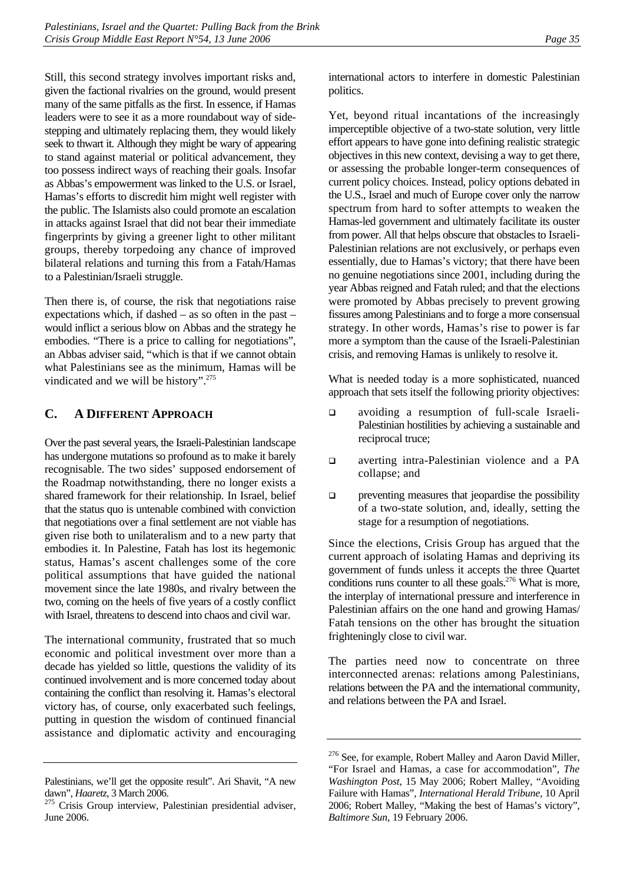Still, this second strategy involves important risks and, given the factional rivalries on the ground, would present many of the same pitfalls as the first. In essence, if Hamas leaders were to see it as a more roundabout way of sidestepping and ultimately replacing them, they would likely seek to thwart it. Although they might be wary of appearing to stand against material or political advancement, they too possess indirect ways of reaching their goals. Insofar as Abbas's empowerment was linked to the U.S. or Israel, Hamas's efforts to discredit him might well register with the public. The Islamists also could promote an escalation in attacks against Israel that did not bear their immediate fingerprints by giving a greener light to other militant groups, thereby torpedoing any chance of improved bilateral relations and turning this from a Fatah/Hamas to a Palestinian/Israeli struggle.

Then there is, of course, the risk that negotiations raise expectations which, if dashed – as so often in the past – would inflict a serious blow on Abbas and the strategy he embodies. "There is a price to calling for negotiations", an Abbas adviser said, "which is that if we cannot obtain what Palestinians see as the minimum, Hamas will be vindicated and we will be history".<sup>[275](#page-40-1)</sup>

# <span id="page-40-0"></span>**C. A DIFFERENT APPROACH**

Over the past several years, the Israeli-Palestinian landscape has undergone mutations so profound as to make it barely recognisable. The two sides' supposed endorsement of the Roadmap notwithstanding, there no longer exists a shared framework for their relationship. In Israel, belief that the status quo is untenable combined with conviction that negotiations over a final settlement are not viable has given rise both to unilateralism and to a new party that embodies it. In Palestine, Fatah has lost its hegemonic status, Hamas's ascent challenges some of the core political assumptions that have guided the national movement since the late 1980s, and rivalry between the two, coming on the heels of five years of a costly conflict with Israel, threatens to descend into chaos and civil war.

The international community, frustrated that so much economic and political investment over more than a decade has yielded so little, questions the validity of its continued involvement and is more concerned today about containing the conflict than resolving it. Hamas's electoral victory has, of course, only exacerbated such feelings, putting in question the wisdom of continued financial assistance and diplomatic activity and encouraging

international actors to interfere in domestic Palestinian politics.

Yet, beyond ritual incantations of the increasingly imperceptible objective of a two-state solution, very little effort appears to have gone into defining realistic strategic objectives in this new context, devising a way to get there, or assessing the probable longer-term consequences of current policy choices. Instead, policy options debated in the U.S., Israel and much of Europe cover only the narrow spectrum from hard to softer attempts to weaken the Hamas-led government and ultimately facilitate its ouster from power. All that helps obscure that obstacles to Israeli-Palestinian relations are not exclusively, or perhaps even essentially, due to Hamas's victory; that there have been no genuine negotiations since 2001, including during the year Abbas reigned and Fatah ruled; and that the elections were promoted by Abbas precisely to prevent growing fissures among Palestinians and to forge a more consensual strategy. In other words, Hamas's rise to power is far more a symptom than the cause of the Israeli-Palestinian crisis, and removing Hamas is unlikely to resolve it.

What is needed today is a more sophisticated, nuanced approach that sets itself the following priority objectives:

- avoiding a resumption of full-scale Israeli-Palestinian hostilities by achieving a sustainable and reciprocal truce;
- **a** averting intra-Palestinian violence and a PA collapse; and
- $\Box$  preventing measures that jeopardise the possibility of a two-state solution, and, ideally, setting the stage for a resumption of negotiations.

Since the elections, Crisis Group has argued that the current approach of isolating Hamas and depriving its government of funds unless it accepts the three Quartet conditions runs counter to all these goals.<sup>276</sup> What is more, the interplay of international pressure and interference in Palestinian affairs on the one hand and growing Hamas/ Fatah tensions on the other has brought the situation frighteningly close to civil war.

The parties need now to concentrate on three interconnected arenas: relations among Palestinians, relations between the PA and the international community, and relations between the PA and Israel.

Palestinians, we'll get the opposite result". Ari Shavit, "A new

<span id="page-40-1"></span>dawn", *Haaretz*, 3 March 2006.<br><sup>275</sup> Crisis Group interview, Palestinian presidential adviser, June 2006.

<span id="page-40-2"></span><sup>276</sup> See, for example, Robert Malley and Aaron David Miller, "For Israel and Hamas, a case for accommodation", *The Washington Post*, 15 May 2006; Robert Malley, "Avoiding Failure with Hamas", *International Herald Tribune*, 10 April 2006; Robert Malley, "Making the best of Hamas's victory", *Baltimore Sun*, 19 February 2006.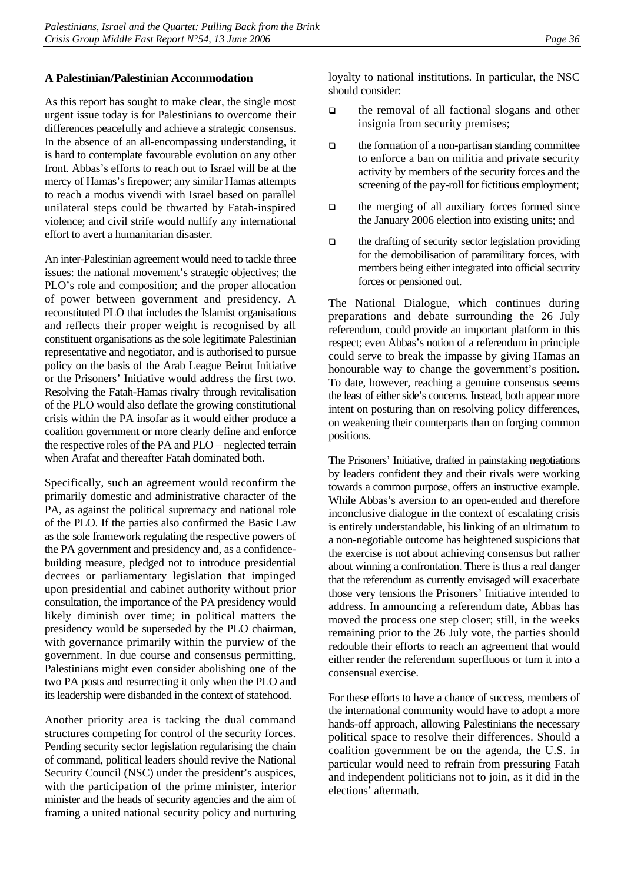#### **A Palestinian/Palestinian Accommodation**

As this report has sought to make clear, the single most urgent issue today is for Palestinians to overcome their differences peacefully and achieve a strategic consensus. In the absence of an all-encompassing understanding, it is hard to contemplate favourable evolution on any other front. Abbas's efforts to reach out to Israel will be at the mercy of Hamas's firepower; any similar Hamas attempts to reach a modus vivendi with Israel based on parallel unilateral steps could be thwarted by Fatah-inspired violence; and civil strife would nullify any international effort to avert a humanitarian disaster.

An inter-Palestinian agreement would need to tackle three issues: the national movement's strategic objectives; the PLO's role and composition; and the proper allocation of power between government and presidency. A reconstituted PLO that includes the Islamist organisations and reflects their proper weight is recognised by all constituent organisations as the sole legitimate Palestinian representative and negotiator, and is authorised to pursue policy on the basis of the Arab League Beirut Initiative or the Prisoners' Initiative would address the first two. Resolving the Fatah-Hamas rivalry through revitalisation of the PLO would also deflate the growing constitutional crisis within the PA insofar as it would either produce a coalition government or more clearly define and enforce the respective roles of the PA and PLO – neglected terrain when Arafat and thereafter Fatah dominated both.

Specifically, such an agreement would reconfirm the primarily domestic and administrative character of the PA, as against the political supremacy and national role of the PLO. If the parties also confirmed the Basic Law as the sole framework regulating the respective powers of the PA government and presidency and, as a confidencebuilding measure, pledged not to introduce presidential decrees or parliamentary legislation that impinged upon presidential and cabinet authority without prior consultation, the importance of the PA presidency would likely diminish over time; in political matters the presidency would be superseded by the PLO chairman, with governance primarily within the purview of the government. In due course and consensus permitting, Palestinians might even consider abolishing one of the two PA posts and resurrecting it only when the PLO and its leadership were disbanded in the context of statehood.

Another priority area is tacking the dual command structures competing for control of the security forces. Pending security sector legislation regularising the chain of command, political leaders should revive the National Security Council (NSC) under the president's auspices, with the participation of the prime minister, interior minister and the heads of security agencies and the aim of framing a united national security policy and nurturing loyalty to national institutions. In particular, the NSC should consider:

- □ the removal of all factional slogans and other insignia from security premises;
- $\Box$  the formation of a non-partisan standing committee to enforce a ban on militia and private security activity by members of the security forces and the screening of the pay-roll for fictitious employment;
- $\Box$  the merging of all auxiliary forces formed since the January 2006 election into existing units; and
- $\Box$  the drafting of security sector legislation providing for the demobilisation of paramilitary forces, with members being either integrated into official security forces or pensioned out.

The National Dialogue, which continues during preparations and debate surrounding the 26 July referendum, could provide an important platform in this respect; even Abbas's notion of a referendum in principle could serve to break the impasse by giving Hamas an honourable way to change the government's position. To date, however, reaching a genuine consensus seems the least of either side's concerns. Instead, both appear more intent on posturing than on resolving policy differences, on weakening their counterparts than on forging common positions.

The Prisoners' Initiative, drafted in painstaking negotiations by leaders confident they and their rivals were working towards a common purpose, offers an instructive example. While Abbas's aversion to an open-ended and therefore inconclusive dialogue in the context of escalating crisis is entirely understandable, his linking of an ultimatum to a non-negotiable outcome has heightened suspicions that the exercise is not about achieving consensus but rather about winning a confrontation. There is thus a real danger that the referendum as currently envisaged will exacerbate those very tensions the Prisoners' Initiative intended to address. In announcing a referendum date**,** Abbas has moved the process one step closer; still, in the weeks remaining prior to the 26 July vote, the parties should redouble their efforts to reach an agreement that would either render the referendum superfluous or turn it into a consensual exercise.

For these efforts to have a chance of success, members of the international community would have to adopt a more hands-off approach, allowing Palestinians the necessary political space to resolve their differences. Should a coalition government be on the agenda, the U.S. in particular would need to refrain from pressuring Fatah and independent politicians not to join, as it did in the elections' aftermath.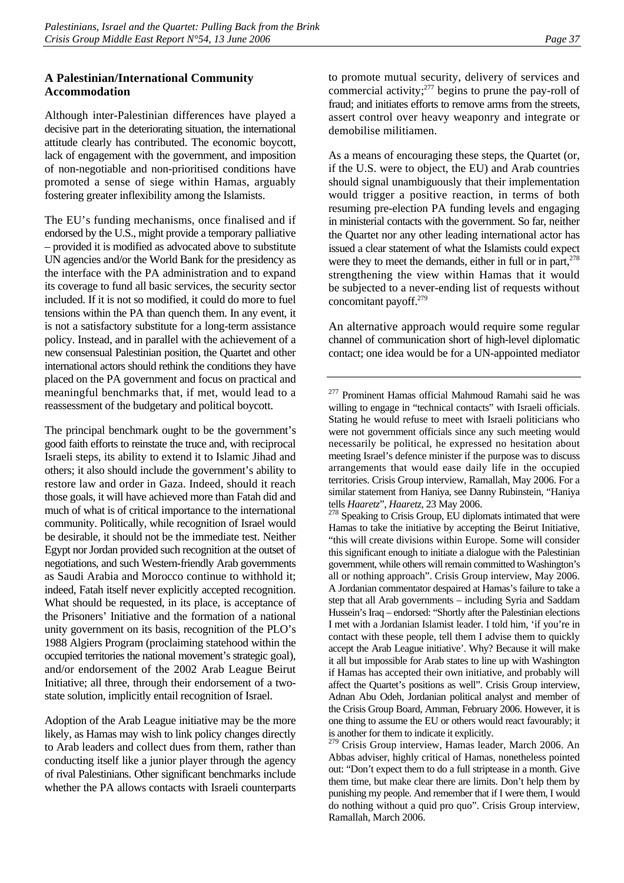#### **A Palestinian/International Community Accommodation**

Although inter-Palestinian differences have played a decisive part in the deteriorating situation, the international attitude clearly has contributed. The economic boycott, lack of engagement with the government, and imposition of non-negotiable and non-prioritised conditions have promoted a sense of siege within Hamas, arguably fostering greater inflexibility among the Islamists.

The EU's funding mechanisms, once finalised and if endorsed by the U.S., might provide a temporary palliative – provided it is modified as advocated above to substitute UN agencies and/or the World Bank for the presidency as the interface with the PA administration and to expand its coverage to fund all basic services, the security sector included. If it is not so modified, it could do more to fuel tensions within the PA than quench them. In any event, it is not a satisfactory substitute for a long-term assistance policy. Instead, and in parallel with the achievement of a new consensual Palestinian position, the Quartet and other international actors should rethink the conditions they have placed on the PA government and focus on practical and meaningful benchmarks that, if met, would lead to a reassessment of the budgetary and political boycott.

The principal benchmark ought to be the government's good faith efforts to reinstate the truce and, with reciprocal Israeli steps, its ability to extend it to Islamic Jihad and others; it also should include the government's ability to restore law and order in Gaza. Indeed, should it reach those goals, it will have achieved more than Fatah did and much of what is of critical importance to the international community. Politically, while recognition of Israel would be desirable, it should not be the immediate test. Neither Egypt nor Jordan provided such recognition at the outset of negotiations, and such Western-friendly Arab governments as Saudi Arabia and Morocco continue to withhold it; indeed, Fatah itself never explicitly accepted recognition. What should be requested, in its place, is acceptance of the Prisoners' Initiative and the formation of a national unity government on its basis, recognition of the PLO's 1988 Algiers Program (proclaiming statehood within the occupied territories the national movement's strategic goal), and/or endorsement of the 2002 Arab League Beirut Initiative; all three, through their endorsement of a twostate solution, implicitly entail recognition of Israel.

Adoption of the Arab League initiative may be the more likely, as Hamas may wish to link policy changes directly to Arab leaders and collect dues from them, rather than conducting itself like a junior player through the agency of rival Palestinians. Other significant benchmarks include whether the PA allows contacts with Israeli counterparts

to promote mutual security, delivery of services and commercial activity; $^{277}$  $^{277}$  $^{277}$  begins to prune the pay-roll of fraud; and initiates efforts to remove arms from the streets, assert control over heavy weaponry and integrate or demobilise militiamen.

As a means of encouraging these steps, the Quartet (or, if the U.S. were to object, the EU) and Arab countries should signal unambiguously that their implementation would trigger a positive reaction, in terms of both resuming pre-election PA funding levels and engaging in ministerial contacts with the government. So far, neither the Quartet nor any other leading international actor has issued a clear statement of what the Islamists could expect were they to meet the demands, either in full or in part, $278$ strengthening the view within Hamas that it would be subjected to a never-ending list of requests without concomitant payoff.<sup>279</sup>

An alternative approach would require some regular channel of communication short of high-level diplomatic contact; one idea would be for a UN-appointed mediator

<span id="page-42-1"></span>tells *Haaretz*", *Haaretz*, 23 May 2006.<br><sup>278</sup> Speaking to Crisis Group, EU diplomats intimated that were Hamas to take the initiative by accepting the Beirut Initiative, "this will create divisions within Europe. Some will consider this significant enough to initiate a dialogue with the Palestinian government, while others will remain committed to Washington's all or nothing approach". Crisis Group interview, May 2006. A Jordanian commentator despaired at Hamas's failure to take a step that all Arab governments – including Syria and Saddam Hussein's Iraq – endorsed: "Shortly after the Palestinian elections I met with a Jordanian Islamist leader. I told him, 'if you're in contact with these people, tell them I advise them to quickly accept the Arab League initiative'. Why? Because it will make it all but impossible for Arab states to line up with Washington if Hamas has accepted their own initiative, and probably will affect the Quartet's positions as well". Crisis Group interview, Adnan Abu Odeh, Jordanian political analyst and member of the Crisis Group Board, Amman, February 2006. However, it is one thing to assume the EU or others would react favourably; it is another for them to indicate it explicitly.

<span id="page-42-2"></span><sup>279</sup> Crisis Group interview, Hamas leader, March 2006. An Abbas adviser, highly critical of Hamas, nonetheless pointed out: "Don't expect them to do a full striptease in a month. Give them time, but make clear there are limits. Don't help them by punishing my people. And remember that if I were them, I would do nothing without a quid pro quo". Crisis Group interview, Ramallah, March 2006.

<span id="page-42-0"></span><sup>277</sup> Prominent Hamas official Mahmoud Ramahi said he was willing to engage in "technical contacts" with Israeli officials. Stating he would refuse to meet with Israeli politicians who were not government officials since any such meeting would necessarily be political, he expressed no hesitation about meeting Israel's defence minister if the purpose was to discuss arrangements that would ease daily life in the occupied territories. Crisis Group interview, Ramallah, May 2006. For a similar statement from Haniya, see Danny Rubinstein, "Haniya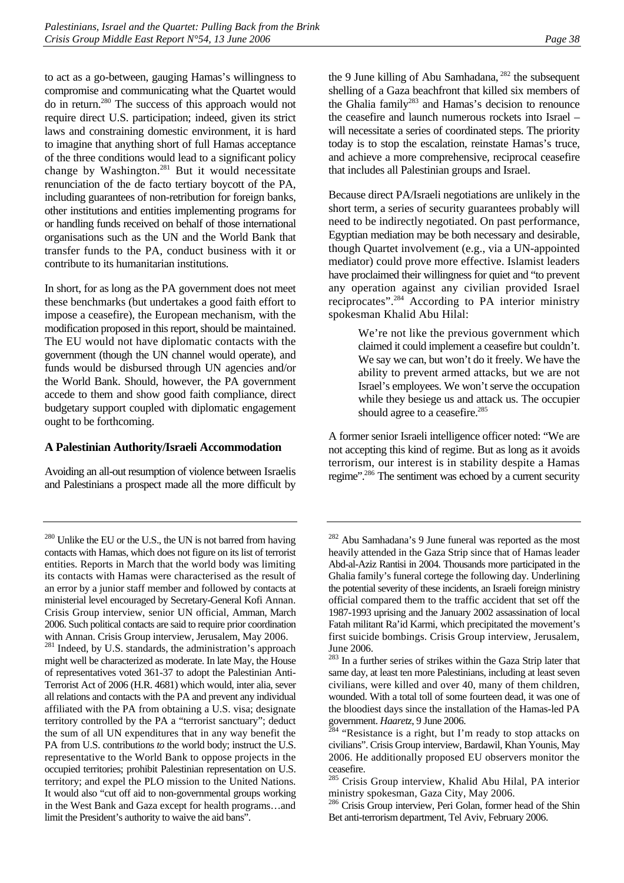to act as a go-between, gauging Hamas's willingness to compromise and communicating what the Quartet would do in return. [280](#page-43-0) The success of this approach would not require direct U.S. participation; indeed, given its strict laws and constraining domestic environment, it is hard to imagine that anything short of full Hamas acceptance of the three conditions would lead to a significant policy change by Washington.<sup>281</sup> But it would necessitate renunciation of the de facto tertiary boycott of the PA, including guarantees of non-retribution for foreign banks, other institutions and entities implementing programs for or handling funds received on behalf of those international organisations such as the UN and the World Bank that transfer funds to the PA, conduct business with it or contribute to its humanitarian institutions.

In short, for as long as the PA government does not meet these benchmarks (but undertakes a good faith effort to impose a ceasefire), the European mechanism, with the modification proposed in this report, should be maintained. The EU would not have diplomatic contacts with the government (though the UN channel would operate), and funds would be disbursed through UN agencies and/or the World Bank. Should, however, the PA government accede to them and show good faith compliance, direct budgetary support coupled with diplomatic engagement ought to be forthcoming.

#### **A Palestinian Authority/Israeli Accommodation**

Avoiding an all-out resumption of violence between Israelis and Palestinians a prospect made all the more difficult by the 9 June killing of Abu Samhadana, <sup>282</sup> the subsequent shelling of a Gaza beachfront that killed six members of the Ghalia family<sup>283</sup> and Hamas's decision to renounce the ceasefire and launch numerous rockets into Israel – will necessitate a series of coordinated steps. The priority today is to stop the escalation, reinstate Hamas's truce, and achieve a more comprehensive, reciprocal ceasefire that includes all Palestinian groups and Israel.

Because direct PA/Israeli negotiations are unlikely in the short term, a series of security guarantees probably will need to be indirectly negotiated. On past performance, Egyptian mediation may be both necessary and desirable, though Quartet involvement (e.g., via a UN-appointed mediator) could prove more effective. Islamist leaders have proclaimed their willingness for quiet and "to prevent any operation against any civilian provided Israel reciprocates".[284](#page-43-4) According to PA interior ministry spokesman Khalid Abu Hilal:

> We're not like the previous government which claimed it could implement a ceasefire but couldn't. We say we can, but won't do it freely. We have the ability to prevent armed attacks, but we are not Israel's employees. We won't serve the occupation while they besiege us and attack us. The occupier should agree to a ceasefire.<sup>[285](#page-43-5)</sup>

A former senior Israeli intelligence officer noted: "We are not accepting this kind of regime. But as long as it avoids terrorism, our interest is in stability despite a Hamas regime".[286 T](#page-43-6)he sentiment was echoed by a current security

<span id="page-43-0"></span><sup>&</sup>lt;sup>280</sup> Unlike the EU or the U.S., the UN is not barred from having contacts with Hamas, which does not figure on its list of terrorist entities. Reports in March that the world body was limiting its contacts with Hamas were characterised as the result of an error by a junior staff member and followed by contacts at ministerial level encouraged by Secretary-General Kofi Annan. Crisis Group interview, senior UN official, Amman, March 2006. Such political contacts are said to require prior coordination

<span id="page-43-1"></span>with Annan. Crisis Group interview, Jerusalem, May 2006.<br><sup>281</sup> Indeed, by U.S. standards, the administration's approach might well be characterized as moderate. In late May, the House of representatives voted 361-37 to adopt the Palestinian Anti-Terrorist Act of 2006 (H.R. 4681) which would, inter alia, sever all relations and contacts with the PA and prevent any individual affiliated with the PA from obtaining a U.S. visa; designate territory controlled by the PA a "terrorist sanctuary"; deduct the sum of all UN expenditures that in any way benefit the PA from U.S. contributions *to* the world body; instruct the U.S. representative to the World Bank to oppose projects in the occupied territories; prohibit Palestinian representation on U.S. territory; and expel the PLO mission to the United Nations. It would also "cut off aid to non-governmental groups working in the West Bank and Gaza except for health programs…and limit the President's authority to waive the aid bans".

<span id="page-43-2"></span><sup>282</sup> Abu Samhadana's 9 June funeral was reported as the most heavily attended in the Gaza Strip since that of Hamas leader Abd-al-Aziz Rantisi in 2004. Thousands more participated in the Ghalia family's funeral cortege the following day. Underlining the potential severity of these incidents, an Israeli foreign ministry official compared them to the traffic accident that set off the 1987-1993 uprising and the January 2002 assassination of local Fatah militant Ra'id Karmi, which precipitated the movement's first suicide bombings. Crisis Group interview, Jerusalem, June 2006.

<span id="page-43-3"></span><sup>&</sup>lt;sup>283</sup> In a further series of strikes within the Gaza Strip later that same day, at least ten more Palestinians, including at least seven civilians, were killed and over 40, many of them children, wounded. With a total toll of some fourteen dead, it was one of the bloodiest days since the installation of the Hamas-led PA government. *Haaretz*, 9 June 2006.<br><sup>284</sup> "Resistance is a right, but I'm ready to stop attacks on

<span id="page-43-4"></span>civilians". Crisis Group interview, Bardawil, Khan Younis, May 2006. He additionally proposed EU observers monitor the ceasefire.

<span id="page-43-5"></span><sup>&</sup>lt;sup>285</sup> Crisis Group interview, Khalid Abu Hilal, PA interior ministry spokesman, Gaza City, May 2006.

<span id="page-43-6"></span><sup>&</sup>lt;sup>286</sup> Crisis Group interview, Peri Golan, former head of the Shin Bet anti-terrorism department, Tel Aviv, February 2006.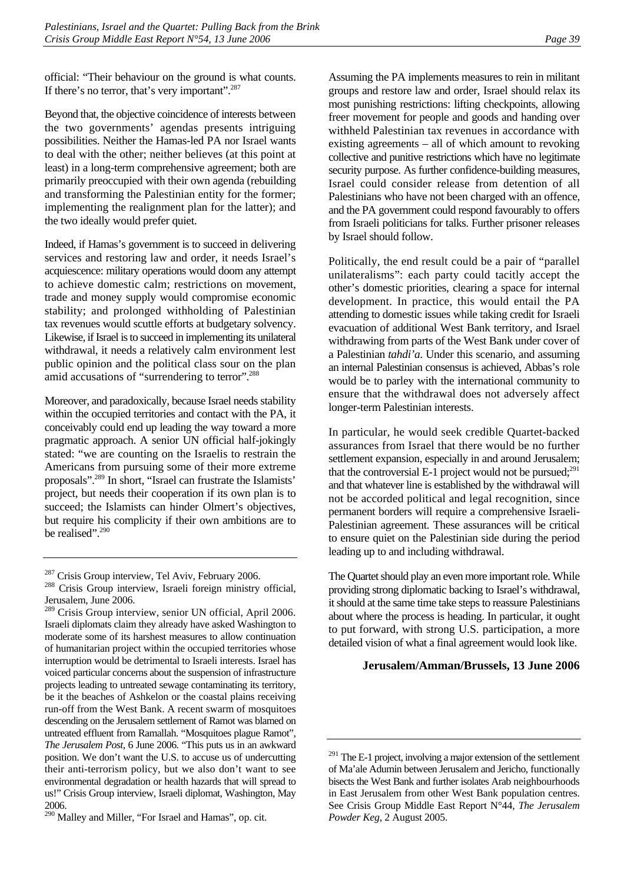official: "Their behaviour on the ground is what counts. If there's no terror, that's very important".<sup>[287](#page-44-0)</sup>

Beyond that, the objective coincidence of interests between the two governments' agendas presents intriguing possibilities. Neither the Hamas-led PA nor Israel wants to deal with the other; neither believes (at this point at least) in a long-term comprehensive agreement; both are primarily preoccupied with their own agenda (rebuilding and transforming the Palestinian entity for the former; implementing the realignment plan for the latter); and the two ideally would prefer quiet.

Indeed, if Hamas's government is to succeed in delivering services and restoring law and order, it needs Israel's acquiescence: military operations would doom any attempt to achieve domestic calm; restrictions on movement, trade and money supply would compromise economic stability; and prolonged withholding of Palestinian tax revenues would scuttle efforts at budgetary solvency. Likewise, if Israel is to succeed in implementing its unilateral withdrawal, it needs a relatively calm environment lest public opinion and the political class sour on the plan amid accusations of "surrendering to terror".<sup>288</sup>

Moreover, and paradoxically, because Israel needs stability within the occupied territories and contact with the PA, it conceivably could end up leading the way toward a more pragmatic approach. A senior UN official half-jokingly stated: "we are counting on the Israelis to restrain the Americans from pursuing some of their more extreme proposals"[.289 I](#page-44-2)n short, "Israel can frustrate the Islamists' project, but needs their cooperation if its own plan is to succeed; the Islamists can hinder Olmert's objectives, but require his complicity if their own ambitions are to be realised".<sup>290</sup>

Assuming the PA implements measures to rein in militant groups and restore law and order, Israel should relax its most punishing restrictions: lifting checkpoints, allowing freer movement for people and goods and handing over withheld Palestinian tax revenues in accordance with existing agreements – all of which amount to revoking collective and punitive restrictions which have no legitimate security purpose. As further confidence-building measures, Israel could consider release from detention of all Palestinians who have not been charged with an offence, and the PA government could respond favourably to offers from Israeli politicians for talks. Further prisoner releases by Israel should follow.

Politically, the end result could be a pair of "parallel unilateralisms": each party could tacitly accept the other's domestic priorities, clearing a space for internal development. In practice, this would entail the PA attending to domestic issues while taking credit for Israeli evacuation of additional West Bank territory, and Israel withdrawing from parts of the West Bank under cover of a Palestinian *tahdi'a*. Under this scenario, and assuming an internal Palestinian consensus is achieved, Abbas's role would be to parley with the international community to ensure that the withdrawal does not adversely affect longer-term Palestinian interests.

In particular, he would seek credible Quartet-backed assurances from Israel that there would be no further settlement expansion, especially in and around Jerusalem; that the controversial E-1 project would not be pursued; $^{291}$ and that whatever line is established by the withdrawal will not be accorded political and legal recognition, since permanent borders will require a comprehensive Israeli-Palestinian agreement. These assurances will be critical to ensure quiet on the Palestinian side during the period leading up to and including withdrawal.

The Quartet should play an even more important role. While providing strong diplomatic backing to Israel's withdrawal, it should at the same time take steps to reassure Palestinians about where the process is heading. In particular, it ought to put forward, with strong U.S. participation, a more detailed vision of what a final agreement would look like.

#### **Jerusalem/Amman/Brussels, 13 June 2006**

<span id="page-44-1"></span><span id="page-44-0"></span>

 $287$  Crisis Group interview, Tel Aviv, February 2006.<br>  $288$  Crisis Group interview, Israeli foreign ministry official, Jerusalem, June 2006.

<span id="page-44-2"></span><sup>289</sup> Crisis Group interview, senior UN official, April 2006. Israeli diplomats claim they already have asked Washington to moderate some of its harshest measures to allow continuation of humanitarian project within the occupied territories whose interruption would be detrimental to Israeli interests. Israel has voiced particular concerns about the suspension of infrastructure projects leading to untreated sewage contaminating its territory, be it the beaches of Ashkelon or the coastal plains receiving run-off from the West Bank. A recent swarm of mosquitoes descending on the Jerusalem settlement of Ramot was blamed on untreated effluent from Ramallah. "Mosquitoes plague Ramot", *The Jerusalem Post*, 6 June 2006. "This puts us in an awkward position. We don't want the U.S. to accuse us of undercutting their anti-terrorism policy, but we also don't want to see environmental degradation or health hazards that will spread to us!" Crisis Group interview, Israeli diplomat, Washington, May 2006.

<span id="page-44-3"></span><sup>290</sup> Malley and Miller, "For Israel and Hamas", op. cit.

<span id="page-44-4"></span> $291$  The E-1 project, involving a major extension of the settlement of Ma'ale Adumin between Jerusalem and Jericho, functionally bisects the West Bank and further isolates Arab neighbourhoods in East Jerusalem from other West Bank population centres. See Crisis Group Middle East Report N°44, *The Jerusalem Powder Keg*, 2 August 2005.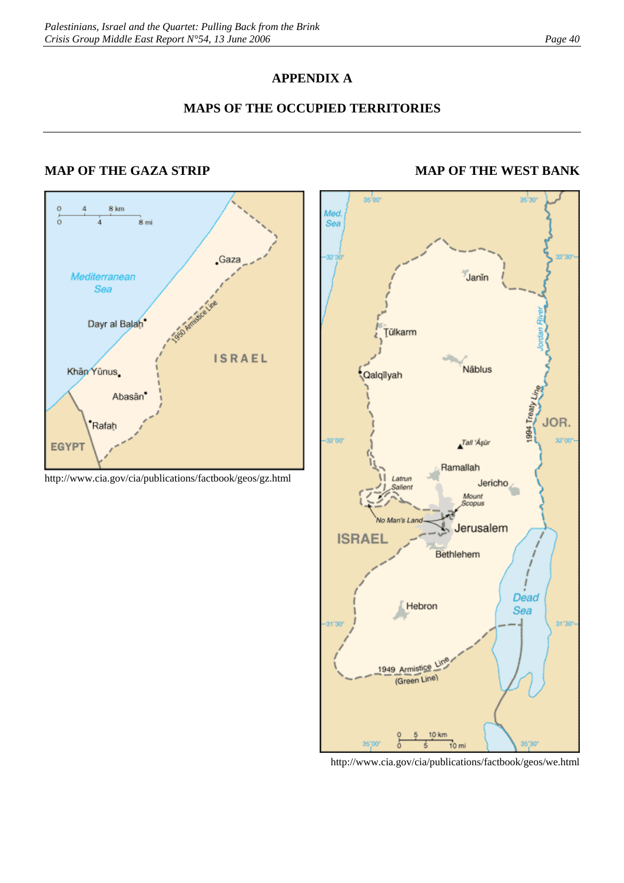# **APPENDIX A**

# **MAPS OF THE OCCUPIED TERRITORIES**

# **MAP OF THE GAZA STRIP MAP OF THE WEST BANK**



http://www.cia.gov/cia/publications/factbook/geos/gz.html



http://www.cia.gov/cia/publications/factbook/geos/we.html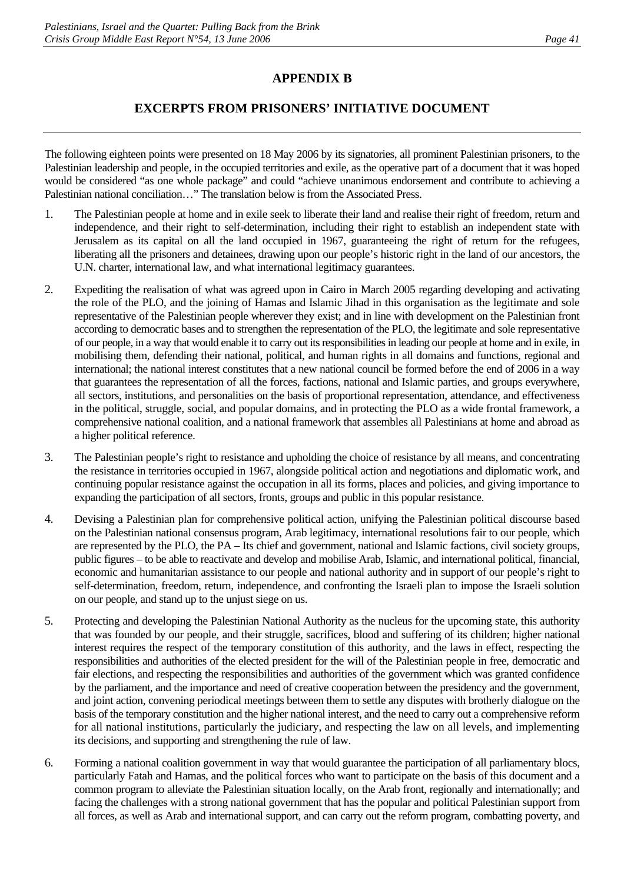# **APPENDIX B**

# **EXCERPTS FROM PRISONERS' INITIATIVE DOCUMENT**

The following eighteen points were presented on 18 May 2006 by its signatories, all prominent Palestinian prisoners, to the Palestinian leadership and people, in the occupied territories and exile, as the operative part of a document that it was hoped would be considered "as one whole package" and could "achieve unanimous endorsement and contribute to achieving a Palestinian national conciliation…" The translation below is from the Associated Press.

- 1. The Palestinian people at home and in exile seek to liberate their land and realise their right of freedom, return and independence, and their right to self-determination, including their right to establish an independent state with Jerusalem as its capital on all the land occupied in 1967, guaranteeing the right of return for the refugees, liberating all the prisoners and detainees, drawing upon our people's historic right in the land of our ancestors, the U.N. charter, international law, and what international legitimacy guarantees.
- 2. Expediting the realisation of what was agreed upon in Cairo in March 2005 regarding developing and activating the role of the PLO, and the joining of Hamas and Islamic Jihad in this organisation as the legitimate and sole representative of the Palestinian people wherever they exist; and in line with development on the Palestinian front according to democratic bases and to strengthen the representation of the PLO, the legitimate and sole representative of our people, in a way that would enable it to carry out its responsibilities in leading our people at home and in exile, in mobilising them, defending their national, political, and human rights in all domains and functions, regional and international; the national interest constitutes that a new national council be formed before the end of 2006 in a way that guarantees the representation of all the forces, factions, national and Islamic parties, and groups everywhere, all sectors, institutions, and personalities on the basis of proportional representation, attendance, and effectiveness in the political, struggle, social, and popular domains, and in protecting the PLO as a wide frontal framework, a comprehensive national coalition, and a national framework that assembles all Palestinians at home and abroad as a higher political reference.
- 3. The Palestinian people's right to resistance and upholding the choice of resistance by all means, and concentrating the resistance in territories occupied in 1967, alongside political action and negotiations and diplomatic work, and continuing popular resistance against the occupation in all its forms, places and policies, and giving importance to expanding the participation of all sectors, fronts, groups and public in this popular resistance.
- 4. Devising a Palestinian plan for comprehensive political action, unifying the Palestinian political discourse based on the Palestinian national consensus program, Arab legitimacy, international resolutions fair to our people, which are represented by the PLO, the PA – Its chief and government, national and Islamic factions, civil society groups, public figures – to be able to reactivate and develop and mobilise Arab, Islamic, and international political, financial, economic and humanitarian assistance to our people and national authority and in support of our people's right to self-determination, freedom, return, independence, and confronting the Israeli plan to impose the Israeli solution on our people, and stand up to the unjust siege on us.
- 5. Protecting and developing the Palestinian National Authority as the nucleus for the upcoming state, this authority that was founded by our people, and their struggle, sacrifices, blood and suffering of its children; higher national interest requires the respect of the temporary constitution of this authority, and the laws in effect, respecting the responsibilities and authorities of the elected president for the will of the Palestinian people in free, democratic and fair elections, and respecting the responsibilities and authorities of the government which was granted confidence by the parliament, and the importance and need of creative cooperation between the presidency and the government, and joint action, convening periodical meetings between them to settle any disputes with brotherly dialogue on the basis of the temporary constitution and the higher national interest, and the need to carry out a comprehensive reform for all national institutions, particularly the judiciary, and respecting the law on all levels, and implementing its decisions, and supporting and strengthening the rule of law.
- 6. Forming a national coalition government in way that would guarantee the participation of all parliamentary blocs, particularly Fatah and Hamas, and the political forces who want to participate on the basis of this document and a common program to alleviate the Palestinian situation locally, on the Arab front, regionally and internationally; and facing the challenges with a strong national government that has the popular and political Palestinian support from all forces, as well as Arab and international support, and can carry out the reform program, combatting poverty, and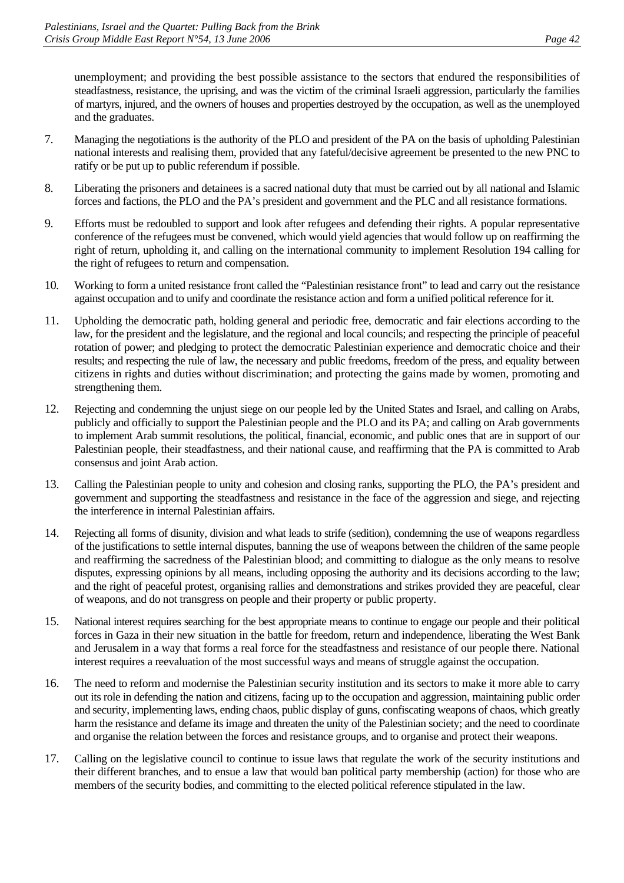unemployment; and providing the best possible assistance to the sectors that endured the responsibilities of steadfastness, resistance, the uprising, and was the victim of the criminal Israeli aggression, particularly the families of martyrs, injured, and the owners of houses and properties destroyed by the occupation, as well as the unemployed and the graduates.

- 7. Managing the negotiations is the authority of the PLO and president of the PA on the basis of upholding Palestinian national interests and realising them, provided that any fateful/decisive agreement be presented to the new PNC to ratify or be put up to public referendum if possible.
- 8. Liberating the prisoners and detainees is a sacred national duty that must be carried out by all national and Islamic forces and factions, the PLO and the PA's president and government and the PLC and all resistance formations.
- 9. Efforts must be redoubled to support and look after refugees and defending their rights. A popular representative conference of the refugees must be convened, which would yield agencies that would follow up on reaffirming the right of return, upholding it, and calling on the international community to implement Resolution 194 calling for the right of refugees to return and compensation.
- 10. Working to form a united resistance front called the "Palestinian resistance front" to lead and carry out the resistance against occupation and to unify and coordinate the resistance action and form a unified political reference for it.
- 11. Upholding the democratic path, holding general and periodic free, democratic and fair elections according to the law, for the president and the legislature, and the regional and local councils; and respecting the principle of peaceful rotation of power; and pledging to protect the democratic Palestinian experience and democratic choice and their results; and respecting the rule of law, the necessary and public freedoms, freedom of the press, and equality between citizens in rights and duties without discrimination; and protecting the gains made by women, promoting and strengthening them.
- 12. Rejecting and condemning the unjust siege on our people led by the United States and Israel, and calling on Arabs, publicly and officially to support the Palestinian people and the PLO and its PA; and calling on Arab governments to implement Arab summit resolutions, the political, financial, economic, and public ones that are in support of our Palestinian people, their steadfastness, and their national cause, and reaffirming that the PA is committed to Arab consensus and joint Arab action.
- 13. Calling the Palestinian people to unity and cohesion and closing ranks, supporting the PLO, the PA's president and government and supporting the steadfastness and resistance in the face of the aggression and siege, and rejecting the interference in internal Palestinian affairs.
- 14. Rejecting all forms of disunity, division and what leads to strife (sedition), condemning the use of weapons regardless of the justifications to settle internal disputes, banning the use of weapons between the children of the same people and reaffirming the sacredness of the Palestinian blood; and committing to dialogue as the only means to resolve disputes, expressing opinions by all means, including opposing the authority and its decisions according to the law; and the right of peaceful protest, organising rallies and demonstrations and strikes provided they are peaceful, clear of weapons, and do not transgress on people and their property or public property.
- 15. National interest requires searching for the best appropriate means to continue to engage our people and their political forces in Gaza in their new situation in the battle for freedom, return and independence, liberating the West Bank and Jerusalem in a way that forms a real force for the steadfastness and resistance of our people there. National interest requires a reevaluation of the most successful ways and means of struggle against the occupation.
- 16. The need to reform and modernise the Palestinian security institution and its sectors to make it more able to carry out its role in defending the nation and citizens, facing up to the occupation and aggression, maintaining public order and security, implementing laws, ending chaos, public display of guns, confiscating weapons of chaos, which greatly harm the resistance and defame its image and threaten the unity of the Palestinian society; and the need to coordinate and organise the relation between the forces and resistance groups, and to organise and protect their weapons.
- 17. Calling on the legislative council to continue to issue laws that regulate the work of the security institutions and their different branches, and to ensue a law that would ban political party membership (action) for those who are members of the security bodies, and committing to the elected political reference stipulated in the law.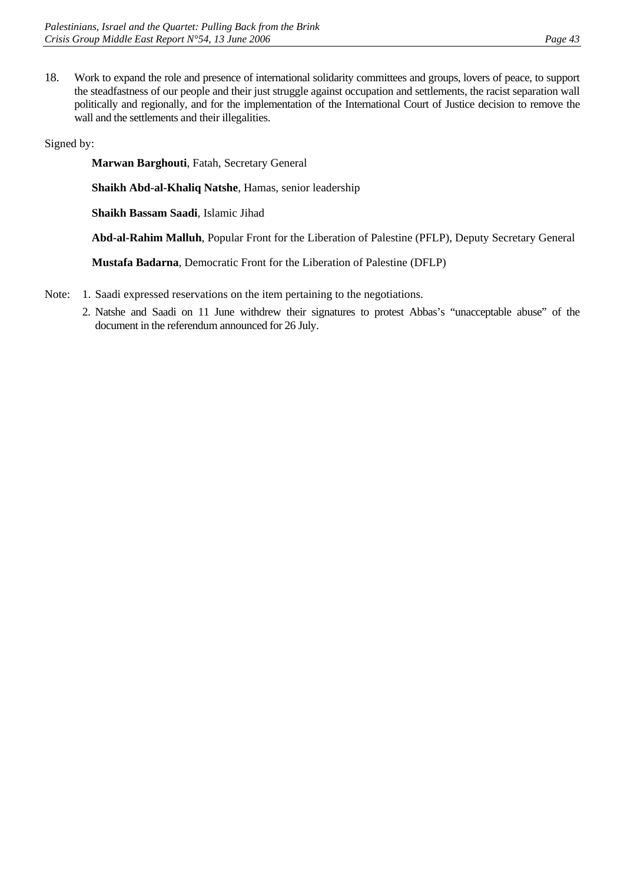18. Work to expand the role and presence of international solidarity committees and groups, lovers of peace, to support the steadfastness of our people and their just struggle against occupation and settlements, the racist separation wall politically and regionally, and for the implementation of the International Court of Justice decision to remove the wall and the settlements and their illegalities.

Signed by:

**Marwan Barghouti**, Fatah, Secretary General

**Shaikh Abd-al-Khaliq Natshe**, Hamas, senior leadership

**Shaikh Bassam Saadi**, Islamic Jihad

**Abd-al-Rahim Malluh**, Popular Front for the Liberation of Palestine (PFLP), Deputy Secretary General

**Mustafa Badarna**, Democratic Front for the Liberation of Palestine (DFLP)

- Note: 1. Saadi expressed reservations on the item pertaining to the negotiations.
	- 2. Natshe and Saadi on 11 June withdrew their signatures to protest Abbas's "unacceptable abuse" of the document in the referendum announced for 26 July.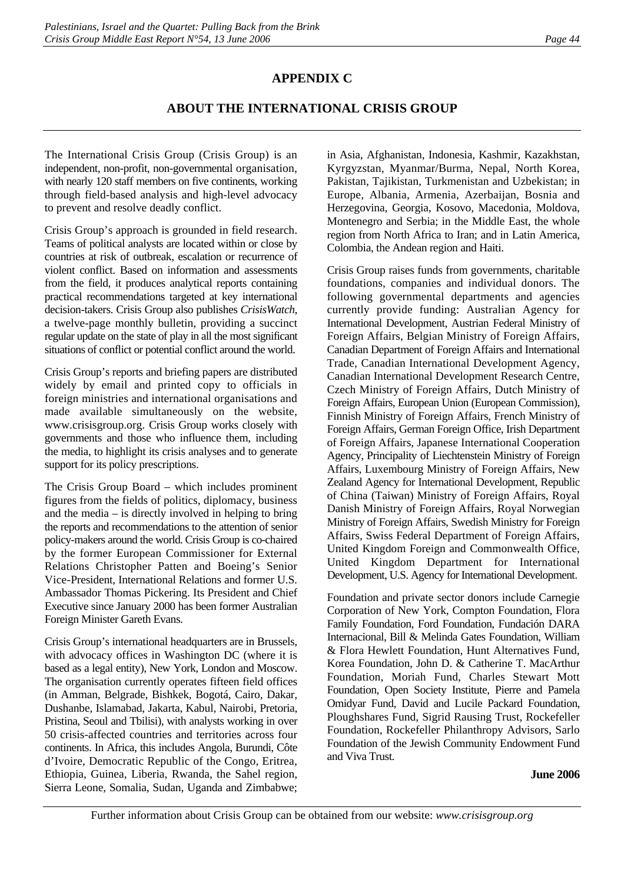# **APPENDIX C**

# **ABOUT THE INTERNATIONAL CRISIS GROUP**

The International Crisis Group (Crisis Group) is an independent, non-profit, non-governmental organisation, with nearly 120 staff members on five continents, working through field-based analysis and high-level advocacy to prevent and resolve deadly conflict.

Crisis Group's approach is grounded in field research. Teams of political analysts are located within or close by countries at risk of outbreak, escalation or recurrence of violent conflict. Based on information and assessments from the field, it produces analytical reports containing practical recommendations targeted at key international decision-takers. Crisis Group also publishes *CrisisWatch*, a twelve-page monthly bulletin, providing a succinct regular update on the state of play in all the most significant situations of conflict or potential conflict around the world.

Crisis Group's reports and briefing papers are distributed widely by email and printed copy to officials in foreign ministries and international organisations and made available simultaneously on the website, www.crisisgroup.org. Crisis Group works closely with governments and those who influence them, including the media, to highlight its crisis analyses and to generate support for its policy prescriptions.

The Crisis Group Board – which includes prominent figures from the fields of politics, diplomacy, business and the media – is directly involved in helping to bring the reports and recommendations to the attention of senior policy-makers around the world. Crisis Group is co-chaired by the former European Commissioner for External Relations Christopher Patten and Boeing's Senior Vice-President, International Relations and former U.S. Ambassador Thomas Pickering. Its President and Chief Executive since January 2000 has been former Australian Foreign Minister Gareth Evans.

Crisis Group's international headquarters are in Brussels, with advocacy offices in Washington DC (where it is based as a legal entity), New York, London and Moscow. The organisation currently operates fifteen field offices (in Amman, Belgrade, Bishkek, Bogotá, Cairo, Dakar, Dushanbe, Islamabad, Jakarta, Kabul, Nairobi, Pretoria, Pristina, Seoul and Tbilisi), with analysts working in over 50 crisis-affected countries and territories across four continents. In Africa, this includes Angola, Burundi, Côte d'Ivoire, Democratic Republic of the Congo, Eritrea, Ethiopia, Guinea, Liberia, Rwanda, the Sahel region, Sierra Leone, Somalia, Sudan, Uganda and Zimbabwe;

in Asia, Afghanistan, Indonesia, Kashmir, Kazakhstan, Kyrgyzstan, Myanmar/Burma, Nepal, North Korea, Pakistan, Tajikistan, Turkmenistan and Uzbekistan; in Europe, Albania, Armenia, Azerbaijan, Bosnia and Herzegovina, Georgia, Kosovo, Macedonia, Moldova, Montenegro and Serbia; in the Middle East, the whole region from North Africa to Iran; and in Latin America, Colombia, the Andean region and Haiti.

Crisis Group raises funds from governments, charitable foundations, companies and individual donors. The following governmental departments and agencies currently provide funding: Australian Agency for International Development, Austrian Federal Ministry of Foreign Affairs, Belgian Ministry of Foreign Affairs, Canadian Department of Foreign Affairs and International Trade, Canadian International Development Agency, Canadian International Development Research Centre, Czech Ministry of Foreign Affairs, Dutch Ministry of Foreign Affairs, European Union (European Commission), Finnish Ministry of Foreign Affairs, French Ministry of Foreign Affairs, German Foreign Office, Irish Department of Foreign Affairs, Japanese International Cooperation Agency, Principality of Liechtenstein Ministry of Foreign Affairs, Luxembourg Ministry of Foreign Affairs, New Zealand Agency for International Development, Republic of China (Taiwan) Ministry of Foreign Affairs, Royal Danish Ministry of Foreign Affairs, Royal Norwegian Ministry of Foreign Affairs, Swedish Ministry for Foreign Affairs, Swiss Federal Department of Foreign Affairs, United Kingdom Foreign and Commonwealth Office, United Kingdom Department for International Development, U.S. Agency for International Development.

Foundation and private sector donors include Carnegie Corporation of New York, Compton Foundation, Flora Family Foundation, Ford Foundation, Fundación DARA Internacional, Bill & Melinda Gates Foundation, William & Flora Hewlett Foundation, Hunt Alternatives Fund, Korea Foundation, John D. & Catherine T. MacArthur Foundation, Moriah Fund, Charles Stewart Mott Foundation, Open Society Institute, Pierre and Pamela Omidyar Fund, David and Lucile Packard Foundation, Ploughshares Fund, Sigrid Rausing Trust, Rockefeller Foundation, Rockefeller Philanthropy Advisors, Sarlo Foundation of the Jewish Community Endowment Fund and Viva Trust.

#### **June 2006**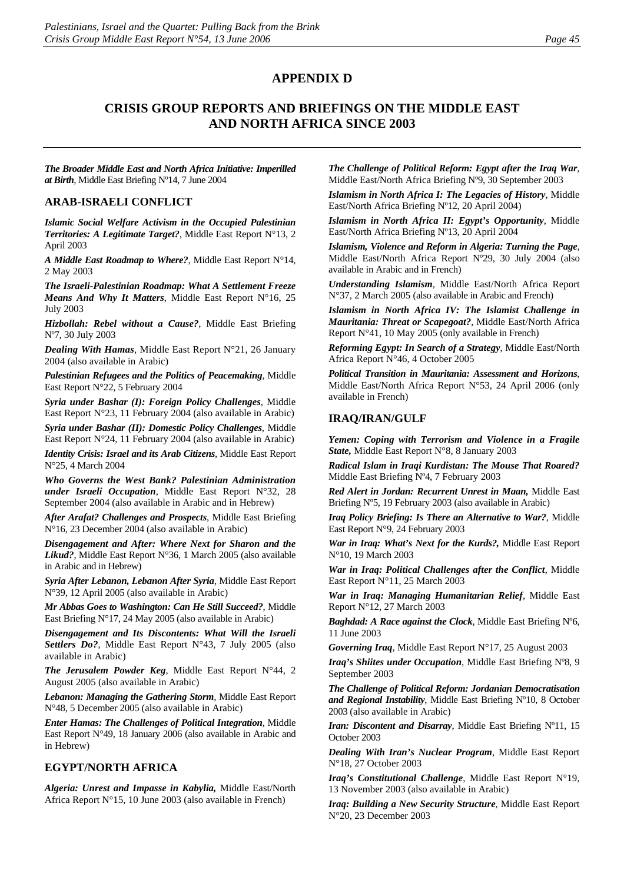#### **APPENDIX D**

#### **CRISIS GROUP REPORTS AND BRIEFINGS ON THE MIDDLE EAST AND NORTH AFRICA SINCE 2003**

*The Broader Middle East and North Africa Initiative: Imperilled at Birth*, Middle East Briefing Nº14, 7 June 2004

#### **ARAB-ISRAELI CONFLICT**

*Islamic Social Welfare Activism in the Occupied Palestinian Territories: A Legitimate Target?*, Middle East Report N°13, 2 April 2003

*A Middle East Roadmap to Where?*, Middle East Report N°14, 2 May 2003

*The Israeli-Palestinian Roadmap: What A Settlement Freeze Means And Why It Matters*, Middle East Report N°16, 25 July 2003

*Hizbollah: Rebel without a Cause?*, Middle East Briefing Nº7, 30 July 2003

*Dealing With Hamas*, Middle East Report N°21, 26 January 2004 (also available in Arabic)

*Palestinian Refugees and the Politics of Peacemaking*, Middle East Report N°22, 5 February 2004

*Syria under Bashar (I): Foreign Policy Challenges*, Middle East Report N°23, 11 February 2004 (also available in Arabic)

*Syria under Bashar (II): Domestic Policy Challenges*, Middle East Report N°24, 11 February 2004 (also available in Arabic)

*Identity Crisis: Israel and its Arab Citizens*, Middle East Report N°25, 4 March 2004

*Who Governs the West Bank? Palestinian Administration under Israeli Occupation*, Middle East Report N°32, 28 September 2004 (also available in Arabic and in Hebrew)

*After Arafat? Challenges and Prospects*, Middle East Briefing N°16, 23 December 2004 (also available in Arabic)

*Disengagement and After: Where Next for Sharon and the Likud?*, Middle East Report N°36, 1 March 2005 (also available in Arabic and in Hebrew)

*Syria After Lebanon, Lebanon After Syria*, Middle East Report N°39, 12 April 2005 (also available in Arabic)

*Mr Abbas Goes to Washington: Can He Still Succeed?*, Middle East Briefing N°17, 24 May 2005 (also available in Arabic)

*Disengagement and Its Discontents: What Will the Israeli Settlers Do?*, Middle East Report N°43, 7 July 2005 (also available in Arabic)

*The Jerusalem Powder Keg*, Middle East Report N°44, 2 August 2005 (also available in Arabic)

*Lebanon: Managing the Gathering Storm*, Middle East Report N°48, 5 December 2005 (also available in Arabic)

*Enter Hamas: The Challenges of Political Integration*, Middle East Report N°49, 18 January 2006 (also available in Arabic and in Hebrew)

#### **EGYPT/NORTH AFRICA**

*Algeria: Unrest and Impasse in Kabylia,* Middle East/North Africa Report N°15, 10 June 2003 (also available in French)

*The Challenge of Political Reform: Egypt after the Iraq War*, Middle East/North Africa Briefing Nº9, 30 September 2003

*Islamism in North Africa I: The Legacies of History*, Middle East/North Africa Briefing Nº12, 20 April 2004)

*Islamism in North Africa II: Egypt's Opportunity*, Middle East/North Africa Briefing Nº13, 20 April 2004

*Islamism, Violence and Reform in Algeria: Turning the Page*, Middle East/North Africa Report Nº29, 30 July 2004 (also available in Arabic and in French)

*Understanding Islamism*, Middle East/North Africa Report N°37, 2 March 2005 (also available in Arabic and French)

*Islamism in North Africa IV: The Islamist Challenge in Mauritania: Threat or Scapegoat?*, Middle East/North Africa Report N°41, 10 May 2005 (only available in French)

*Reforming Egypt: In Search of a Strategy*, Middle East/North Africa Report N°46, 4 October 2005

*Political Transition in Mauritania: Assessment and Horizons*, Middle East/North Africa Report N°53, 24 April 2006 (only available in French)

#### **[IRAQ/IRAN/GULF](http://www.crisisweb.org/home/index.cfm?id=1275&l=1)**

*[Yemen: Coping with Terrorism and Violence in a Fragile](http://www.crisisweb.org/projects/showreport.cfm?reportid=863)  [State,](http://www.crisisweb.org/projects/showreport.cfm?reportid=863)* Middle East Report N°8, 8 January 2003

*Radical Islam in Iraqi Kurdistan: The Mouse That Roared?* Middle East Briefing Nº4, 7 February 2003

*Red Alert in Jordan: Recurrent Unrest in Maan,* Middle East Briefing Nº5, 19 February 2003 (also available in Arabic)

*Iraq Policy Briefing: Is There an Alternative to War?*, Middle East Report N°9, 24 February 2003

*War in Iraq: What's Next for the Kurds?,* Middle East Report N°10, 19 March 2003

*War in Iraq: Political Challenges after the Conflict*, Middle East Report N°11, 25 March 2003

*War in Iraq: Managing Humanitarian Relief,* Middle East Report N°12, 27 March 2003

*Baghdad: A Race against the Clock*, Middle East Briefing Nº6, 11 June 2003

*Governing Iraq*, Middle East Report N°17, 25 August 2003

*Iraq's Shiites under Occupation*, Middle East Briefing Nº8, 9 September 2003

*The Challenge of Political Reform: Jordanian Democratisation and Regional Instability*, Middle East Briefing Nº10, 8 October 2003 (also available in Arabic)

*Iran: Discontent and Disarray*, Middle East Briefing Nº11, 15 October 2003

*Dealing With Iran's Nuclear Program*, Middle East Report N°18, 27 October 2003

*Iraq's Constitutional Challenge*, Middle East Report N°19, 13 November 2003 (also available in Arabic)

*Iraq: Building a New Security Structure*, Middle East Report N°20, 23 December 2003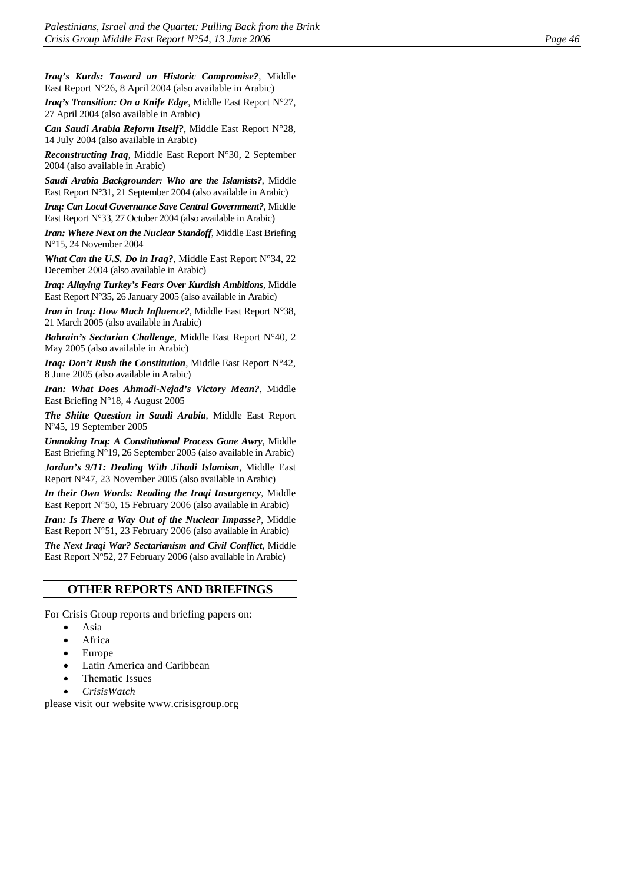*Iraq's Kurds: Toward an Historic Compromise?*, Middle East Report N°26, 8 April 2004 (also available in Arabic)

*Iraq's Transition: On a Knife Edge*, Middle East Report N°27, 27 April 2004 (also available in Arabic)

*Can Saudi Arabia Reform Itself?*, Middle East Report N°28, 14 July 2004 (also available in Arabic)

*Reconstructing Iraq*, Middle East Report N°30, 2 September 2004 (also available in Arabic)

*Saudi Arabia Backgrounder: Who are the Islamists?*, Middle East Report N°31, 21 September 2004 (also available in Arabic)

*Iraq: Can Local Governance Save Central Government?*, Middle East Report N°33, 27 October 2004 (also available in Arabic)

*Iran: Where Next on the Nuclear Standoff*, Middle East Briefing N°15, 24 November 2004

*What Can the U.S. Do in Iraq?*, Middle East Report N°34, 22 December 2004 (also available in Arabic)

*Iraq: Allaying Turkey's Fears Over Kurdish Ambitions*, Middle East Report N°35, 26 January 2005 (also available in Arabic)

*Iran in Iraq: How Much Influence?*, Middle East Report N°38, 21 March 2005 (also available in Arabic)

*Bahrain's Sectarian Challenge*, Middle East Report N°40, 2 May 2005 (also available in Arabic)

*Iraq: Don't Rush the Constitution*, Middle East Report N°42, 8 June 2005 (also available in Arabic)

*Iran: What Does Ahmadi-Nejad's Victory Mean?*, Middle East Briefing N°18, 4 August 2005

*The Shiite Question in Saudi Arabia*, Middle East Report Nº45, 19 September 2005

*Unmaking Iraq: A Constitutional Process Gone Awry*, Middle East Briefing N°19, 26 September 2005 (also available in Arabic)

*Jordan's 9/11: Dealing With Jihadi Islamism*, Middle East Report N°47, 23 November 2005 (also available in Arabic)

*In their Own Words: Reading the Iraqi Insurgency*, Middle East Report N°50, 15 February 2006 (also available in Arabic)

*Iran: Is There a Way Out of the Nuclear Impasse?*, Middle East Report N°51, 23 February 2006 (also available in Arabic)

*The Next Iraqi War? Sectarianism and Civil Conflict*, Middle East Report N°52, 27 February 2006 (also available in Arabic)

#### **OTHER REPORTS AND BRIEFINGS**

For Crisis Group reports and briefing papers on:

- Asia
- Africa
- Europe
- Latin America and Caribbean
- Thematic Issues
- *CrisisWatch*

please visit our website [www.crisisgroup.org](http://www.crisisgroup.org/)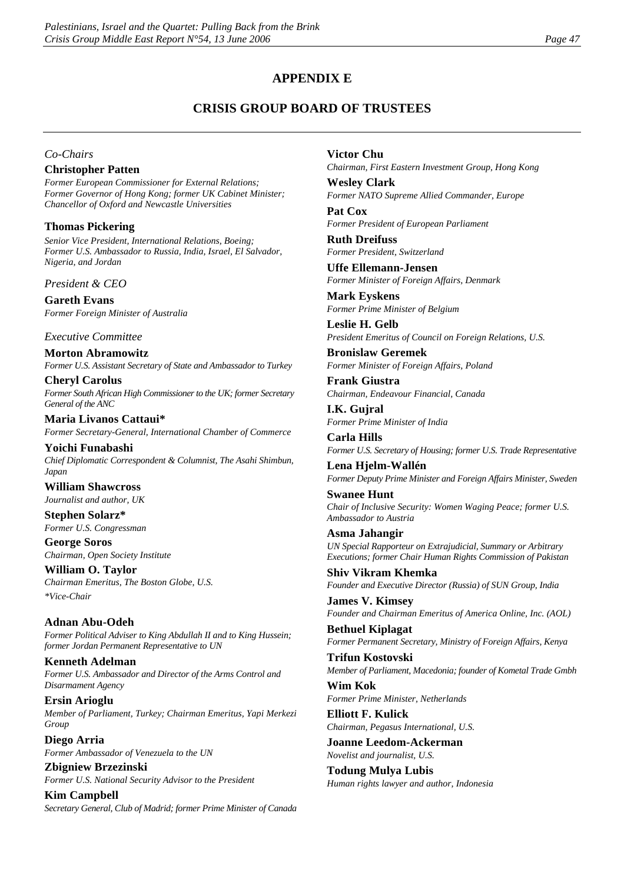#### **APPENDIX E**

# **CRISIS GROUP BOARD OF TRUSTEES**

#### *Co-Chairs*

#### **Christopher Patten**

*Former European Commissioner for External Relations; Former Governor of Hong Kong; former UK Cabinet Minister; Chancellor of Oxford and Newcastle Universities* 

#### **Thomas Pickering**

*Senior Vice President, International Relations, Boeing; Former U.S. Ambassador to Russia, India, Israel, El Salvador, Nigeria, and Jordan* 

*President & CEO*

**Gareth Evans** *Former Foreign Minister of Australia*

#### *Executive Committee*

**Morton Abramowitz** *Former U.S. Assistant Secretary of State and Ambassador to Turkey*

**Cheryl Carolus** *Former South African High Commissioner to the UK; former Secretary General of the ANC*

**Maria Livanos Cattaui\*** *Former Secretary-General, International Chamber of Commerce*

**Yoichi Funabashi** *Chief Diplomatic Correspondent & Columnist, The Asahi Shimbun, Japan* 

**William Shawcross** *Journalist and author, UK*

**Stephen Solarz\*** *Former U.S. Congressman*

**George Soros** *Chairman, Open Society Institute*

**William O. Taylor** *Chairman Emeritus, The Boston Globe, U.S. \*Vice-Chair*

**Adnan Abu-Odeh** *Former Political Adviser to King Abdullah II and to King Hussein; former Jordan Permanent Representative to UN*

**Kenneth Adelman** *Former U.S. Ambassador and Director of the Arms Control and Disarmament Agency*

**Ersin Arioglu** *Member of Parliament, Turkey; Chairman Emeritus, Yapi Merkezi Group*

**Diego Arria** *Former Ambassador of Venezuela to the UN*

**Zbigniew Brzezinski** *Former U.S. National Security Advisor to the President*

**Kim Campbell** *Secretary General, Club of Madrid; former Prime Minister of Canada*

#### **Victor Chu**

*Chairman, First Eastern Investment Group, Hong Kong* **Wesley Clark**

*Former NATO Supreme Allied Commander, Europe*

**Pat Cox** *Former President of European Parliament*

**Ruth Dreifuss** *Former President, Switzerland*

**Uffe Ellemann-Jensen** *Former Minister of Foreign Affairs, Denmark*

**Mark Eyskens** *Former Prime Minister of Belgium*

**Leslie H. Gelb** *President Emeritus of Council on Foreign Relations, U.S.* 

**Bronislaw Geremek** *Former Minister of Foreign Affairs, Poland*

**Frank Giustra** *Chairman, Endeavour Financial, Canada*

**I.K. Gujral** *Former Prime Minister of India*

**Carla Hills** *Former U.S. Secretary of Housing; former U.S. Trade Representative*

**Lena Hjelm-Wallén** *Former Deputy Prime Minister and Foreign Affairs Minister, Sweden* 

**Swanee Hunt** *Chair of Inclusive Security: Women Waging Peace; former U.S. Ambassador to Austria*

**Asma Jahangir** *UN Special Rapporteur on Extrajudicial, Summary or Arbitrary Executions; former Chair Human Rights Commission of Pakistan*

**Shiv Vikram Khemka** *Founder and Executive Director (Russia) of SUN Group, India*

**James V. Kimsey**  *Founder and Chairman Emeritus of America Online, Inc. (AOL)*

**Bethuel Kiplagat** *Former Permanent Secretary, Ministry of Foreign Affairs, Kenya*

**Trifun Kostovski** *Member of Parliament, Macedonia; founder of Kometal Trade Gmbh* 

**Wim Kok** *Former Prime Minister, Netherlands*

**Elliott F. Kulick** *Chairman, Pegasus International, U.S.*

**Joanne Leedom-Ackerman** *Novelist and journalist, U.S.*

**Todung Mulya Lubis** *Human rights lawyer and author, Indonesia*